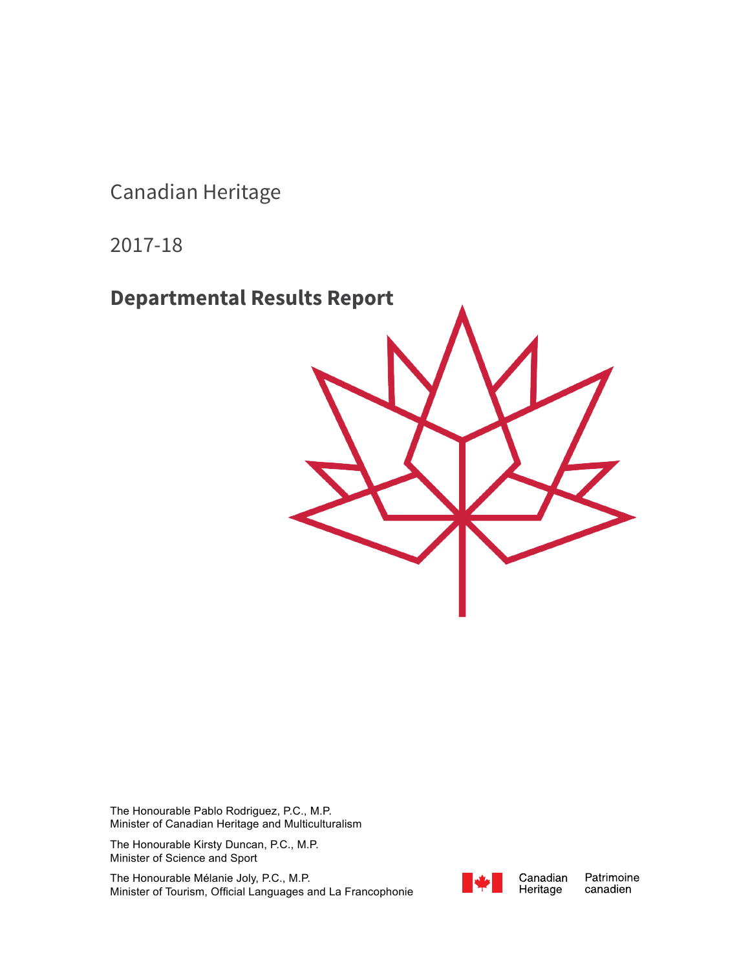Canadian Heritage

2017-18

**Departmental Results Report**



The Honourable Pablo Rodriguez, P.C., M.P. Minister of Canadian Heritage and Multiculturalism

The Honourable Kirsty Duncan, P.C., M.P. Minister of Science and Sport

The Honourable Mélanie Joly, P.C., M.P. Minister of Tourism, Official Languages and La Francophonie



Canadian Heritage

Patrimoine canadien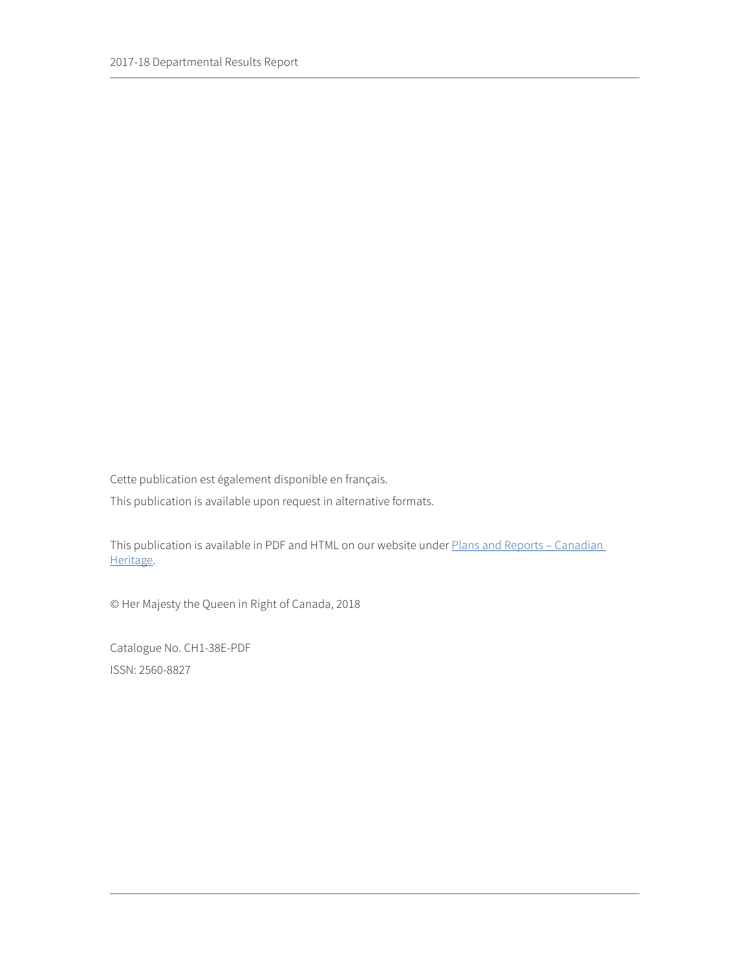Cette publication est également disponible en français.

This publication is available upon request in alternative formats.

This publication is available in PDF and HTML on our website under Plans and Reports - Canadian [Heritage.](https://www.canada.ca/en/canadian-heritage/corporate/publications/plans-reports.html)

© Her Majesty the Queen in Right of Canada, 2018

Catalogue No. CH1-38E-PDF ISSN: 2560-8827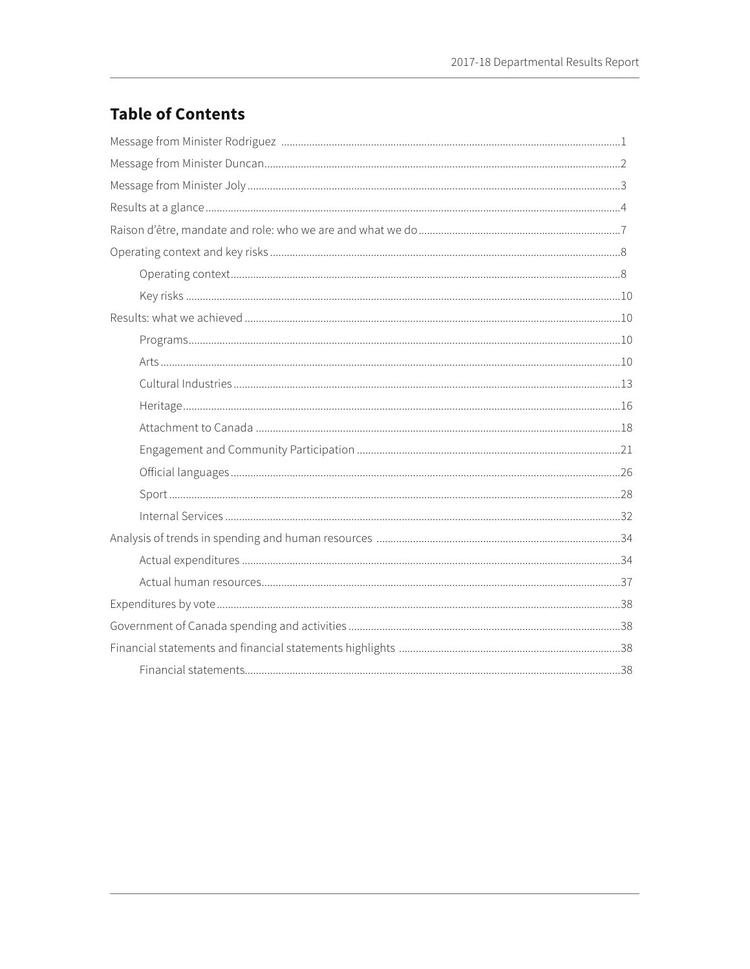# **Table of Contents**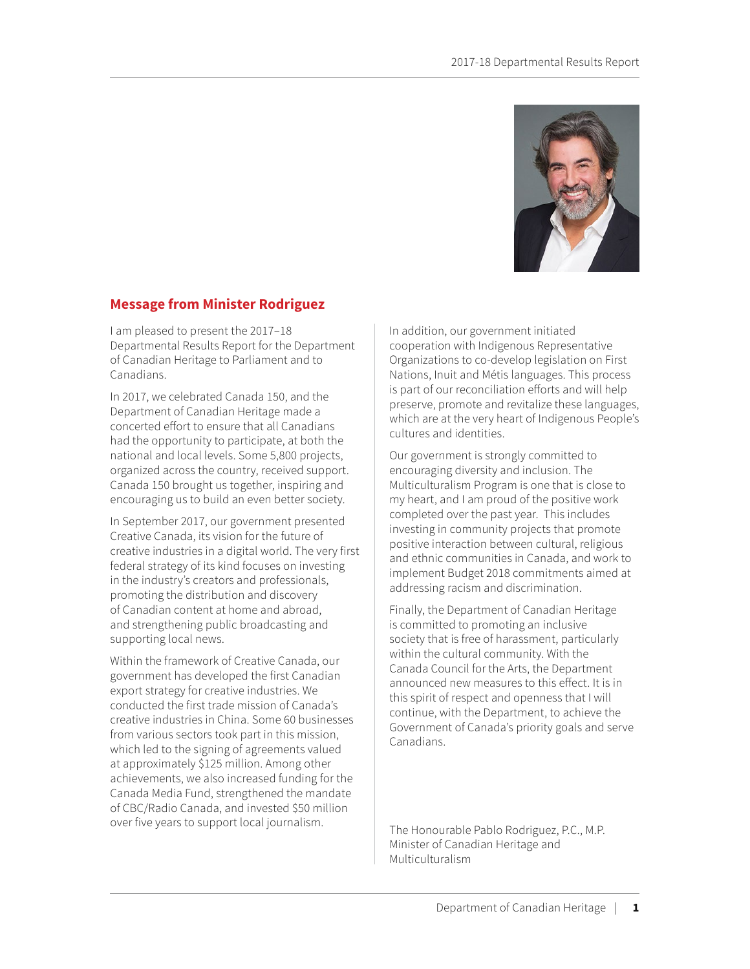

## <span id="page-5-0"></span>**Message from Minister Rodriguez**

I am pleased to present the 2017–18 Departmental Results Report for the Department of Canadian Heritage to Parliament and to Canadians.

In 2017, we celebrated Canada 150, and the Department of Canadian Heritage made a concerted effort to ensure that all Canadians had the opportunity to participate, at both the national and local levels. Some 5,800 projects, organized across the country, received support. Canada 150 brought us together, inspiring and encouraging us to build an even better society.

In September 2017, our government presented Creative Canada, its vision for the future of creative industries in a digital world. The very first federal strategy of its kind focuses on investing in the industry's creators and professionals, promoting the distribution and discovery of Canadian content at home and abroad, and strengthening public broadcasting and supporting local news.

Within the framework of Creative Canada, our government has developed the first Canadian export strategy for creative industries. We conducted the first trade mission of Canada's creative industries in China. Some 60 businesses from various sectors took part in this mission, which led to the signing of agreements valued at approximately \$125 million. Among other achievements, we also increased funding for the Canada Media Fund, strengthened the mandate of CBC/Radio Canada, and invested \$50 million over five years to support local journalism.

In addition, our government initiated cooperation with Indigenous Representative Organizations to co-develop legislation on First Nations, Inuit and Métis languages. This process is part of our reconciliation efforts and will help preserve, promote and revitalize these languages, which are at the very heart of Indigenous People's cultures and identities.

Our government is strongly committed to encouraging diversity and inclusion. The Multiculturalism Program is one that is close to my heart, and I am proud of the positive work completed over the past year. This includes investing in community projects that promote positive interaction between cultural, religious and ethnic communities in Canada, and work to implement Budget 2018 commitments aimed at addressing racism and discrimination.

Finally, the Department of Canadian Heritage is committed to promoting an inclusive society that is free of harassment, particularly within the cultural community. With the Canada Council for the Arts, the Department announced new measures to this effect. It is in this spirit of respect and openness that I will continue, with the Department, to achieve the Government of Canada's priority goals and serve Canadians.

The Honourable Pablo Rodriguez, P.C., M.P. Minister of Canadian Heritage and Multiculturalism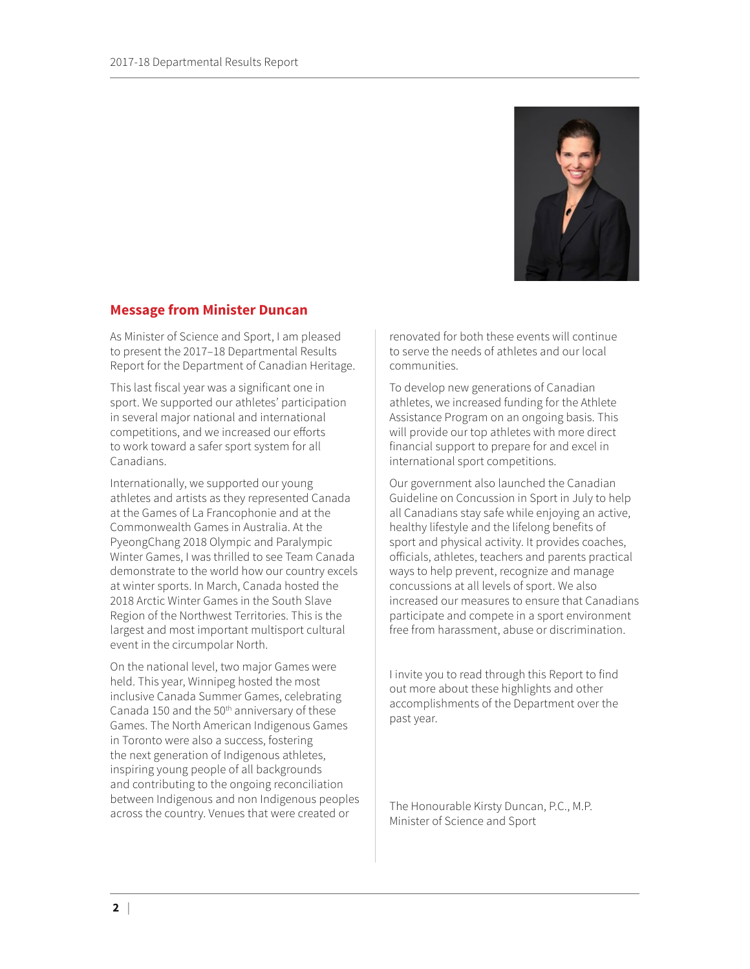

## <span id="page-6-0"></span>**Message from Minister Duncan**

As Minister of Science and Sport, I am pleased to present the 2017–18 Departmental Results Report for the Department of Canadian Heritage.

This last fiscal year was a significant one in sport. We supported our athletes' participation in several major national and international competitions, and we increased our efforts to work toward a safer sport system for all Canadians.

Internationally, we supported our young athletes and artists as they represented Canada at the Games of La Francophonie and at the Commonwealth Games in Australia. At the PyeongChang 2018 Olympic and Paralympic Winter Games, I was thrilled to see Team Canada demonstrate to the world how our country excels at winter sports. In March, Canada hosted the 2018 Arctic Winter Games in the South Slave Region of the Northwest Territories. This is the largest and most important multisport cultural event in the circumpolar North.

On the national level, two major Games were held. This year, Winnipeg hosted the most inclusive Canada Summer Games, celebrating Canada 150 and the 50<sup>th</sup> anniversary of these Games. The North American Indigenous Games in Toronto were also a success, fostering the next generation of Indigenous athletes, inspiring young people of all backgrounds and contributing to the ongoing reconciliation between Indigenous and non Indigenous peoples across the country. Venues that were created or

renovated for both these events will continue to serve the needs of athletes and our local communities.

To develop new generations of Canadian athletes, we increased funding for the Athlete Assistance Program on an ongoing basis. This will provide our top athletes with more direct financial support to prepare for and excel in international sport competitions.

Our government also launched the Canadian Guideline on Concussion in Sport in July to help all Canadians stay safe while enjoying an active, healthy lifestyle and the lifelong benefits of sport and physical activity. It provides coaches, officials, athletes, teachers and parents practical ways to help prevent, recognize and manage concussions at all levels of sport. We also increased our measures to ensure that Canadians participate and compete in a sport environment free from harassment, abuse or discrimination.

I invite you to read through this Report to find out more about these highlights and other accomplishments of the Department over the past year.

The Honourable Kirsty Duncan, P.C., M.P. Minister of Science and Sport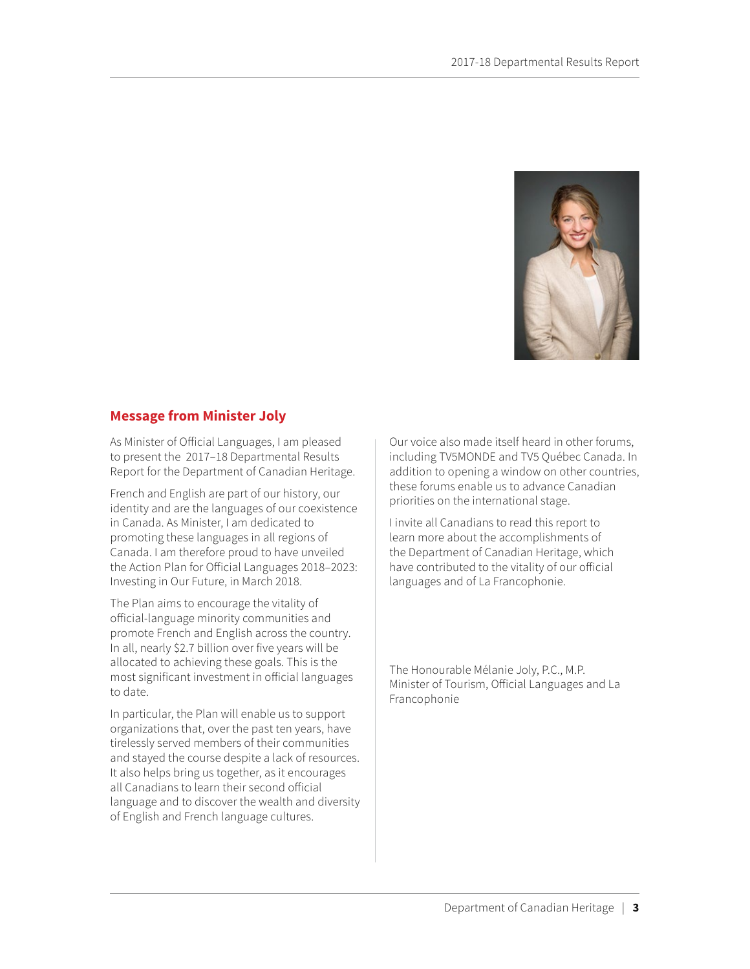

### <span id="page-7-0"></span>**Message from Minister Joly**

As Minister of Official Languages, I am pleased to present the 2017–18 Departmental Results Report for the Department of Canadian Heritage.

French and English are part of our history, our identity and are the languages of our coexistence in Canada. As Minister, I am dedicated to promoting these languages in all regions of Canada. I am therefore proud to have unveiled the Action Plan for Official Languages 2018–2023: Investing in Our Future, in March 2018.

The Plan aims to encourage the vitality of official-language minority communities and promote French and English across the country. In all, nearly \$2.7 billion over five years will be allocated to achieving these goals. This is the most significant investment in official languages to date.

In particular, the Plan will enable us to support organizations that, over the past ten years, have tirelessly served members of their communities and stayed the course despite a lack of resources. It also helps bring us together, as it encourages all Canadians to learn their second official language and to discover the wealth and diversity of English and French language cultures.

Our voice also made itself heard in other forums, including TV5MONDE and TV5 Québec Canada. In addition to opening a window on other countries, these forums enable us to advance Canadian priorities on the international stage.

I invite all Canadians to read this report to learn more about the accomplishments of the Department of Canadian Heritage, which have contributed to the vitality of our official languages and of La Francophonie.

The Honourable Mélanie Joly, P.C., M.P. Minister of Tourism, Official Languages and La Francophonie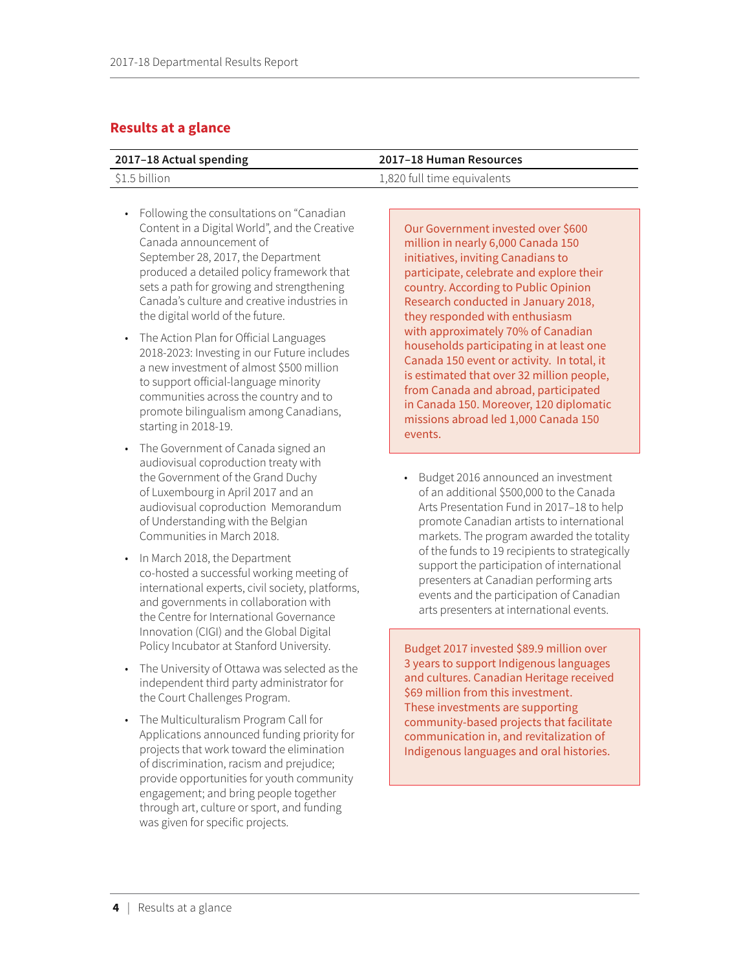## <span id="page-8-0"></span>**Results at a glance**

| 2017-18 Actual spending | 2017–18 Human Resources     |
|-------------------------|-----------------------------|
| \$1.5 billion           | 1,820 full time equivalents |

- Following the consultations on "Canadian Content in a Digital World", and the Creative Canada announcement of September 28, 2017, the Department produced a detailed policy framework that sets a path for growing and strengthening Canada's culture and creative industries in the digital world of the future.
- The Action Plan for Official Languages 2018-2023: Investing in our Future includes a new investment of almost \$500 million to support official-language minority communities across the country and to promote bilingualism among Canadians, starting in 2018-19.
- The Government of Canada signed an audiovisual coproduction treaty with the Government of the Grand Duchy of Luxembourg in April 2017 and an audiovisual coproduction Memorandum of Understanding with the Belgian Communities in March 2018.
- In March 2018, the Department co-hosted a successful working meeting of international experts, civil society, platforms, and governments in collaboration with the Centre for International Governance Innovation (CIGI) and the Global Digital Policy Incubator at Stanford University.
- The University of Ottawa was selected as the independent third party administrator for the Court Challenges Program.
- The Multiculturalism Program Call for Applications announced funding priority for projects that work toward the elimination of discrimination, racism and prejudice; provide opportunities for youth community engagement; and bring people together through art, culture or sport, and funding was given for specific projects.

### Our Government invested over \$600 million in nearly 6,000 Canada 150 initiatives, inviting Canadians to participate, celebrate and explore their country. According to Public Opinion Research conducted in January 2018, they responded with enthusiasm with approximately 70% of Canadian households participating in at least one Canada 150 event or activity. In total, it is estimated that over 32 million people, from Canada and abroad, participated in Canada 150. Moreover, 120 diplomatic missions abroad led 1,000 Canada 150 events.

• Budget 2016 announced an investment of an additional \$500,000 to the Canada Arts Presentation Fund in 2017–18 to help promote Canadian artists to international markets. The program awarded the totality of the funds to 19 recipients to strategically support the participation of international presenters at Canadian performing arts events and the participation of Canadian arts presenters at international events.

Budget 2017 invested \$89.9 million over 3 years to support Indigenous languages and cultures. Canadian Heritage received \$69 million from this investment. These investments are supporting community-based projects that facilitate communication in, and revitalization of Indigenous languages and oral histories.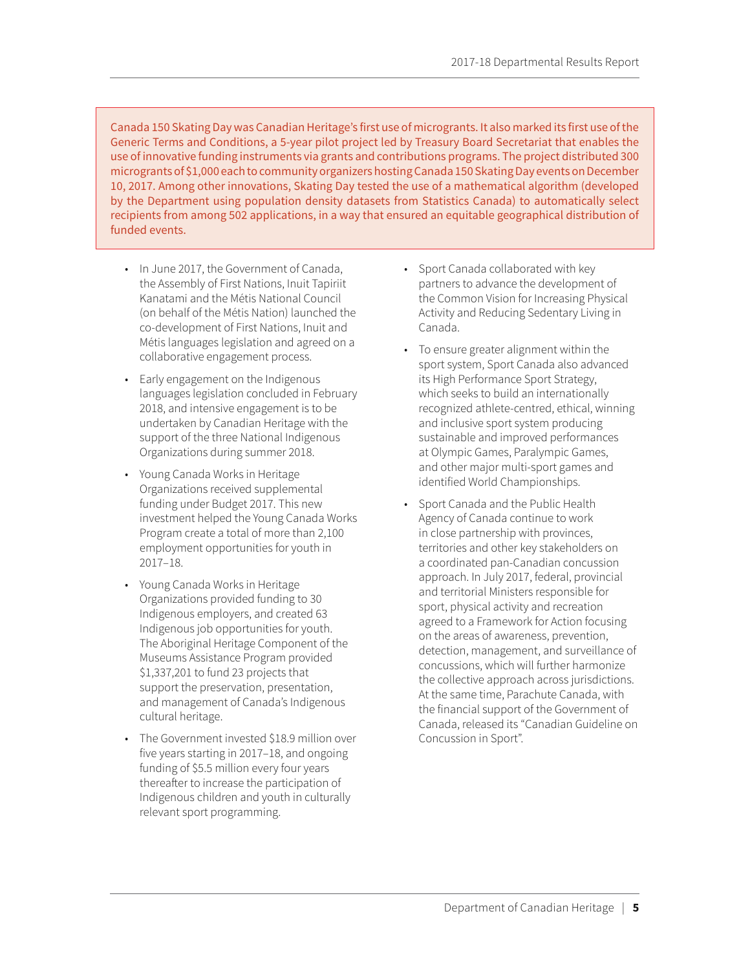Canada 150 Skating Day was Canadian Heritage's first use of microgrants. It also marked its first use of the Generic Terms and Conditions, a 5-year pilot project led by Treasury Board Secretariat that enables the use of innovative funding instruments via grants and contributions programs. The project distributed 300 microgrants of \$1,000 each to community organizers hosting Canada 150 Skating Day events on December 10, 2017. Among other innovations, Skating Day tested the use of a mathematical algorithm (developed by the Department using population density datasets from Statistics Canada) to automatically select recipients from among 502 applications, in a way that ensured an equitable geographical distribution of funded events.

- In June 2017, the Government of Canada, the Assembly of First Nations, Inuit Tapiriit Kanatami and the Métis National Council (on behalf of the Métis Nation) launched the co-development of First Nations, Inuit and Métis languages legislation and agreed on a collaborative engagement process.
- Early engagement on the Indigenous languages legislation concluded in February 2018, and intensive engagement is to be undertaken by Canadian Heritage with the support of the three National Indigenous Organizations during summer 2018.
- Young Canada Works in Heritage Organizations received supplemental funding under Budget 2017. This new investment helped the Young Canada Works Program create a total of more than 2,100 employment opportunities for youth in 2017–18.
- Young Canada Works in Heritage Organizations provided funding to 30 Indigenous employers, and created 63 Indigenous job opportunities for youth. The Aboriginal Heritage Component of the Museums Assistance Program provided \$1,337,201 to fund 23 projects that support the preservation, presentation, and management of Canada's Indigenous cultural heritage.
- The Government invested \$18.9 million over five years starting in 2017–18, and ongoing funding of \$5.5 million every four years thereafter to increase the participation of Indigenous children and youth in culturally relevant sport programming.
- Sport Canada collaborated with key partners to advance the development of the Common Vision for Increasing Physical Activity and Reducing Sedentary Living in Canada.
- To ensure greater alignment within the sport system, Sport Canada also advanced its High Performance Sport Strategy, which seeks to build an internationally recognized athlete-centred, ethical, winning and inclusive sport system producing sustainable and improved performances at Olympic Games, Paralympic Games, and other major multi-sport games and identified World Championships.
- Sport Canada and the Public Health Agency of Canada continue to work in close partnership with provinces, territories and other key stakeholders on a coordinated pan-Canadian concussion approach. In July 2017, federal, provincial and territorial Ministers responsible for sport, physical activity and recreation agreed to a Framework for Action focusing on the areas of awareness, prevention, detection, management, and surveillance of concussions, which will further harmonize the collective approach across jurisdictions. At the same time, Parachute Canada, with the financial support of the Government of Canada, released its "Canadian Guideline on Concussion in Sport".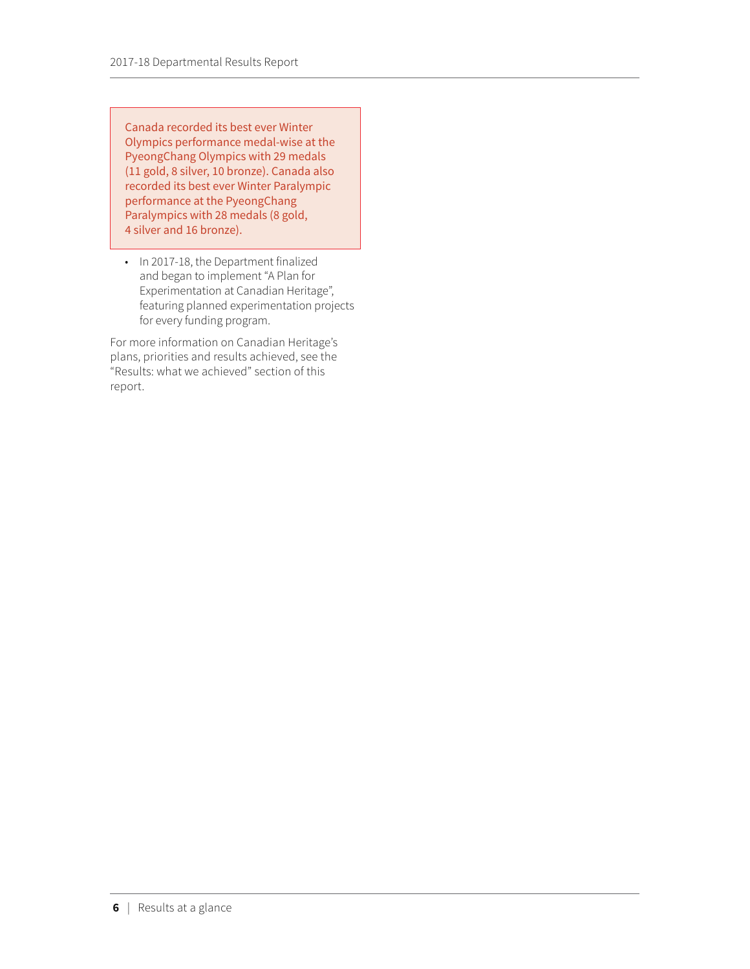Canada recorded its best ever Winter Olympics performance medal-wise at the PyeongChang Olympics with 29 medals (11 gold, 8 silver, 10 bronze). Canada also recorded its best ever Winter Paralympic performance at the PyeongChang Paralympics with 28 medals (8 gold, 4 silver and 16 bronze).

• In 2017-18, the Department finalized and began to implement "A Plan for Experimentation at Canadian Heritage", featuring planned experimentation projects for every funding program.

For more information on Canadian Heritage's plans, priorities and results achieved, see the "Results: what we achieved" section of this report.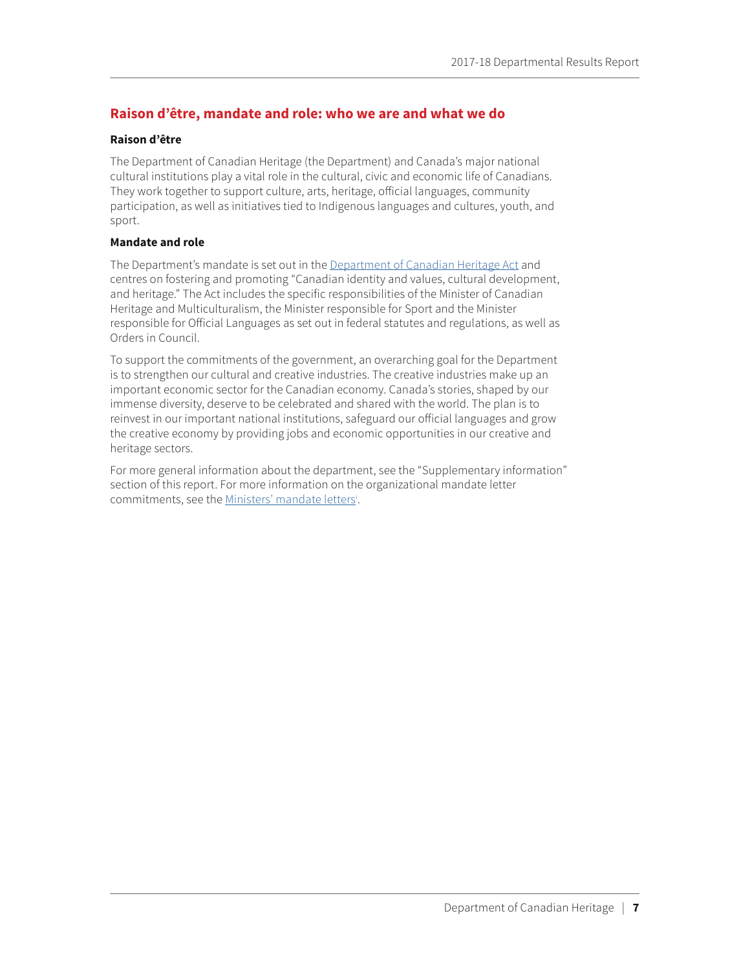## <span id="page-11-0"></span>**Raison d'être, mandate and role: who we are and what we do**

### **Raison d'être**

The Department of Canadian Heritage (the Department) and Canada's major national cultural institutions play a vital role in the cultural, civic and economic life of Canadians. They work together to support culture, arts, heritage, official languages, community participation, as well as initiatives tied to Indigenous languages and cultures, youth, and sport.

### **Mandate and role**

The Department's mandate is set out in the [Department of Canadian Heritage Act](http://laws-lois.justice.gc.ca/eng/acts/C-17.3/) and centres on fostering and promoting "Canadian identity and values, cultural development, and heritage." The Act includes the specific responsibilities of the Minister of Canadian Heritage and Multiculturalism, the Minister responsible for Sport and the Minister responsible for Official Languages as set out in federal statutes and regulations, as well as Orders in Council.

To support the commitments of the government, an overarching goal for the Department is to strengthen our cultural and creative industries. The creative industries make up an important economic sector for the Canadian economy. Canada's stories, shaped by our immense diversity, deserve to be celebrated and shared with the world. The plan is to reinvest in our important national institutions, safeguard our official languages and grow the creative economy by providing jobs and economic opportunities in our creative and heritage sectors.

For more general information about the department, see the "Supplementary information" section of this report. For more information on the organizational mandate letter commitments, see the [Ministers' mandate letter](http://pm.gc.ca/eng/mandate-letters)s<sup>[i](#page-53-1)</sup>.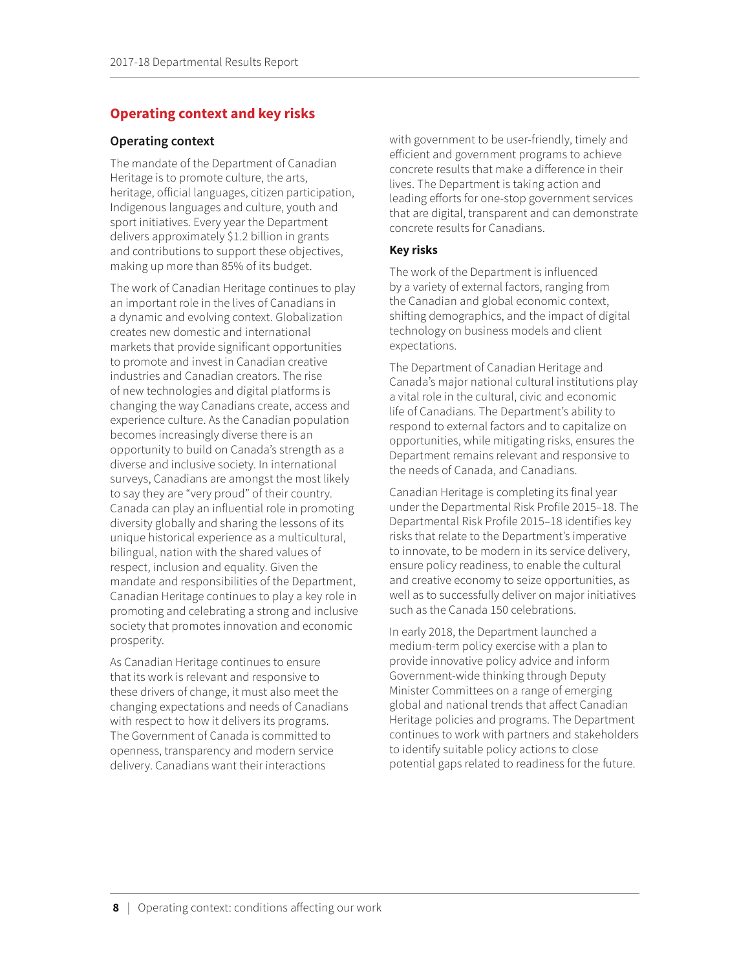## <span id="page-12-0"></span>**Operating context and key risks**

### **Operating context**

The mandate of the Department of Canadian Heritage is to promote culture, the arts, heritage, official languages, citizen participation, Indigenous languages and culture, youth and sport initiatives. Every year the Department delivers approximately \$1.2 billion in grants and contributions to support these objectives, making up more than 85% of its budget.

The work of Canadian Heritage continues to play an important role in the lives of Canadians in a dynamic and evolving context. Globalization creates new domestic and international markets that provide significant opportunities to promote and invest in Canadian creative industries and Canadian creators. The rise of new technologies and digital platforms is changing the way Canadians create, access and experience culture. As the Canadian population becomes increasingly diverse there is an opportunity to build on Canada's strength as a diverse and inclusive society. In international surveys, Canadians are amongst the most likely to say they are "very proud" of their country. Canada can play an influential role in promoting diversity globally and sharing the lessons of its unique historical experience as a multicultural, bilingual, nation with the shared values of respect, inclusion and equality. Given the mandate and responsibilities of the Department, Canadian Heritage continues to play a key role in promoting and celebrating a strong and inclusive society that promotes innovation and economic prosperity.

As Canadian Heritage continues to ensure that its work is relevant and responsive to these drivers of change, it must also meet the changing expectations and needs of Canadians with respect to how it delivers its programs. The Government of Canada is committed to openness, transparency and modern service delivery. Canadians want their interactions

with government to be user-friendly, timely and efficient and government programs to achieve concrete results that make a difference in their lives. The Department is taking action and leading efforts for one-stop government services that are digital, transparent and can demonstrate concrete results for Canadians.

### **Key risks**

The work of the Department is influenced by a variety of external factors, ranging from the Canadian and global economic context, shifting demographics, and the impact of digital technology on business models and client expectations.

The Department of Canadian Heritage and Canada's major national cultural institutions play a vital role in the cultural, civic and economic life of Canadians. The Department's ability to respond to external factors and to capitalize on opportunities, while mitigating risks, ensures the Department remains relevant and responsive to the needs of Canada, and Canadians.

Canadian Heritage is completing its final year under the Departmental Risk Profile 2015–18. The Departmental Risk Profile 2015–18 identifies key risks that relate to the Department's imperative to innovate, to be modern in its service delivery, ensure policy readiness, to enable the cultural and creative economy to seize opportunities, as well as to successfully deliver on major initiatives such as the Canada 150 celebrations.

In early 2018, the Department launched a medium-term policy exercise with a plan to provide innovative policy advice and inform Government-wide thinking through Deputy Minister Committees on a range of emerging global and national trends that affect Canadian Heritage policies and programs. The Department continues to work with partners and stakeholders to identify suitable policy actions to close potential gaps related to readiness for the future.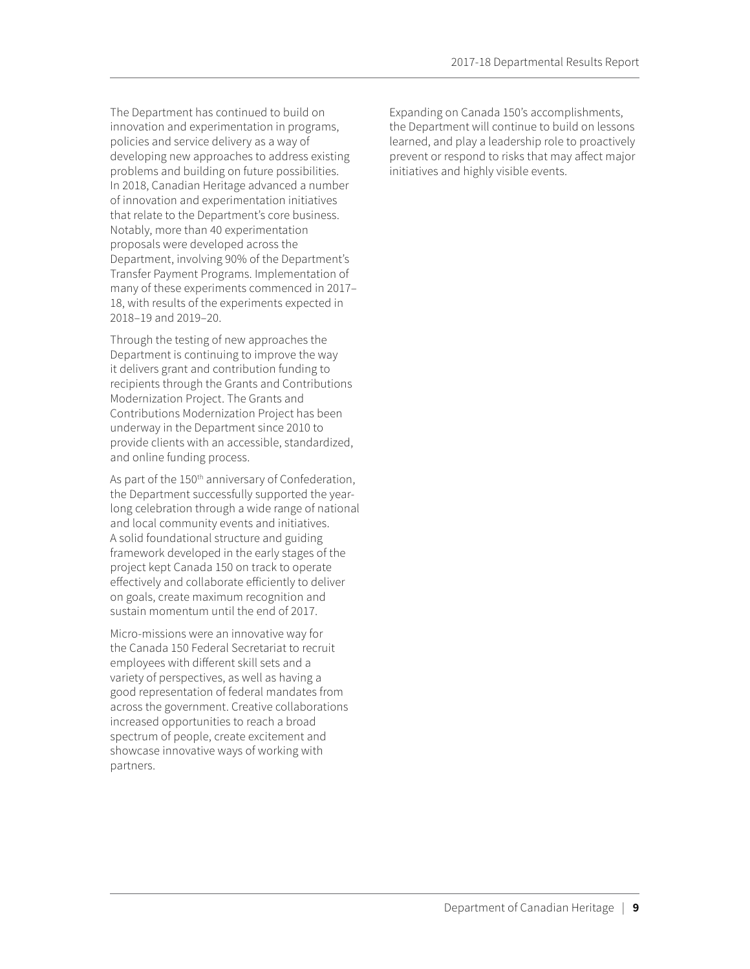The Department has continued to build on innovation and experimentation in programs, policies and service delivery as a way of developing new approaches to address existing problems and building on future possibilities. In 2018, Canadian Heritage advanced a number of innovation and experimentation initiatives that relate to the Department's core business. Notably, more than 40 experimentation proposals were developed across the Department, involving 90% of the Department's Transfer Payment Programs. Implementation of many of these experiments commenced in 2017– 18, with results of the experiments expected in 2018–19 and 2019–20.

Through the testing of new approaches the Department is continuing to improve the way it delivers grant and contribution funding to recipients through the Grants and Contributions Modernization Project. The Grants and Contributions Modernization Project has been underway in the Department since 2010 to provide clients with an accessible, standardized, and online funding process.

As part of the 150<sup>th</sup> anniversary of Confederation, the Department successfully supported the yearlong celebration through a wide range of national and local community events and initiatives. A solid foundational structure and guiding framework developed in the early stages of the project kept Canada 150 on track to operate effectively and collaborate efficiently to deliver on goals, create maximum recognition and sustain momentum until the end of 2017.

Micro-missions were an innovative way for the Canada 150 Federal Secretariat to recruit employees with different skill sets and a variety of perspectives, as well as having a good representation of federal mandates from across the government. Creative collaborations increased opportunities to reach a broad spectrum of people, create excitement and showcase innovative ways of working with partners.

Expanding on Canada 150's accomplishments, the Department will continue to build on lessons learned, and play a leadership role to proactively prevent or respond to risks that may affect major initiatives and highly visible events.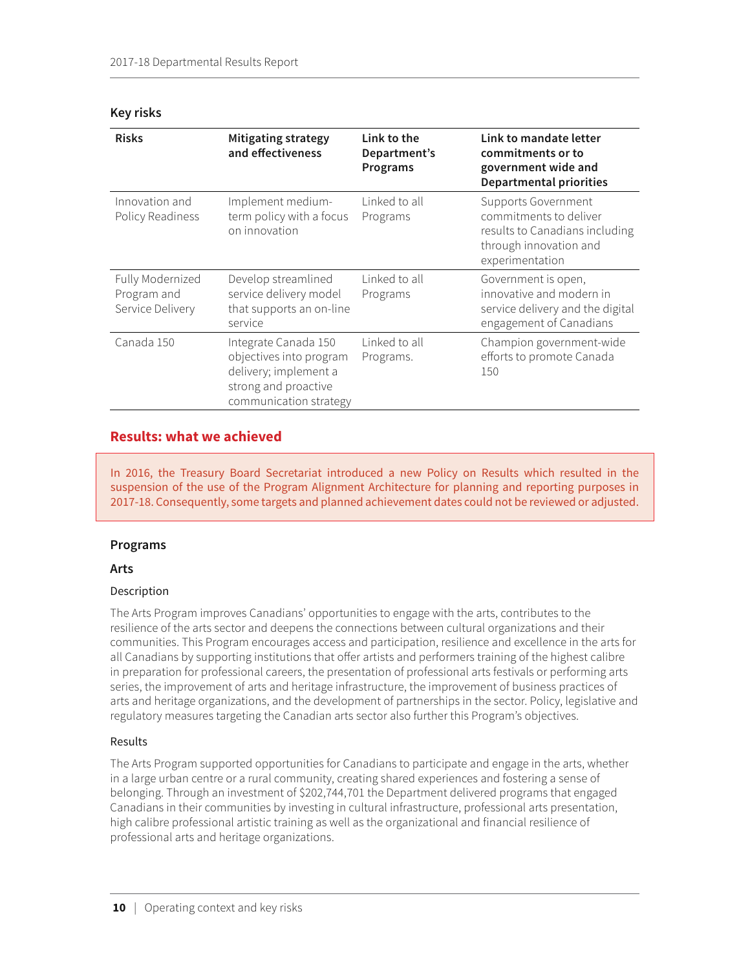| <b>Risks</b>                                        | <b>Mitigating strategy</b><br>and effectiveness                                                                            | Link to the<br>Department's<br>Programs | Link to mandate letter<br>commitments or to<br>government wide and<br><b>Departmental priorities</b>                                |
|-----------------------------------------------------|----------------------------------------------------------------------------------------------------------------------------|-----------------------------------------|-------------------------------------------------------------------------------------------------------------------------------------|
| Innovation and<br>Policy Readiness                  | Implement medium-<br>term policy with a focus<br>on innovation                                                             | Linked to all<br>Programs               | <b>Supports Government</b><br>commitments to deliver<br>results to Canadians including<br>through innovation and<br>experimentation |
| Fully Modernized<br>Program and<br>Service Delivery | Develop streamlined<br>service delivery model<br>that supports an on-line<br>service                                       | Linked to all<br>Programs               | Government is open,<br>innovative and modern in<br>service delivery and the digital<br>engagement of Canadians                      |
| Canada 150                                          | Integrate Canada 150<br>objectives into program<br>delivery; implement a<br>strong and proactive<br>communication strategy | Linked to all<br>Programs.              | Champion government-wide<br>efforts to promote Canada<br>150                                                                        |

#### <span id="page-14-0"></span>**Key risks**

## **Results: what we achieved**

In 2016, the Treasury Board Secretariat introduced a new Policy on Results which resulted in the suspension of the use of the Program Alignment Architecture for planning and reporting purposes in 2017-18. Consequently, some targets and planned achievement dates could not be reviewed or adjusted.

### **Programs**

### **Arts**

### Description

The Arts Program improves Canadians' opportunities to engage with the arts, contributes to the resilience of the arts sector and deepens the connections between cultural organizations and their communities. This Program encourages access and participation, resilience and excellence in the arts for all Canadians by supporting institutions that offer artists and performers training of the highest calibre in preparation for professional careers, the presentation of professional arts festivals or performing arts series, the improvement of arts and heritage infrastructure, the improvement of business practices of arts and heritage organizations, and the development of partnerships in the sector. Policy, legislative and regulatory measures targeting the Canadian arts sector also further this Program's objectives.

### Results

The Arts Program supported opportunities for Canadians to participate and engage in the arts, whether in a large urban centre or a rural community, creating shared experiences and fostering a sense of belonging. Through an investment of \$202,744,701 the Department delivered programs that engaged Canadians in their communities by investing in cultural infrastructure, professional arts presentation, high calibre professional artistic training as well as the organizational and financial resilience of professional arts and heritage organizations.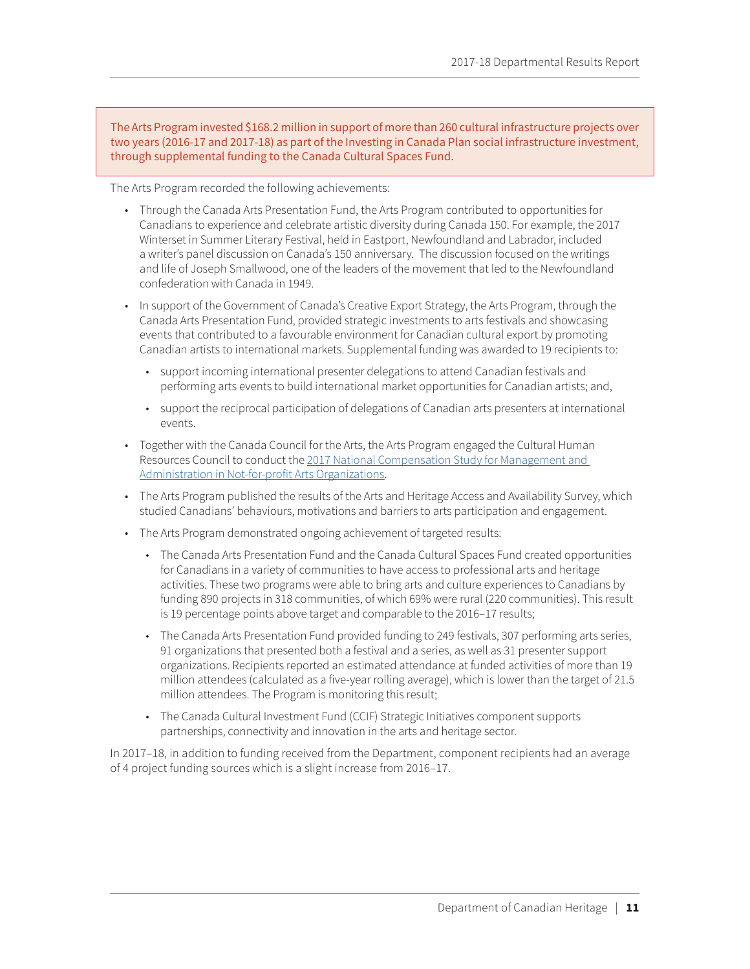The Arts Program invested \$168.2 million in support of more than 260 cultural infrastructure projects over two years (2016-17 and 2017-18) as part of the Investing in Canada Plan social infrastructure investment, through supplemental funding to the Canada Cultural Spaces Fund.

The Arts Program recorded the following achievements:

- Through the Canada Arts Presentation Fund, the Arts Program contributed to opportunities for Canadians to experience and celebrate artistic diversity during Canada 150. For example, the 2017 Winterset in Summer Literary Festival, held in Eastport, Newfoundland and Labrador, included a writer's panel discussion on Canada's 150 anniversary. The discussion focused on the writings and life of Joseph Smallwood, one of the leaders of the movement that led to the Newfoundland confederation with Canada in 1949.
- In support of the Government of Canada's Creative Export Strategy, the Arts Program, through the Canada Arts Presentation Fund, provided strategic investments to arts festivals and showcasing events that contributed to a favourable environment for Canadian cultural export by promoting Canadian artists to international markets. Supplemental funding was awarded to 19 recipients to:
	- ◆ support incoming international presenter delegations to attend Canadian festivals and performing arts events to build international market opportunities for Canadian artists; and,
	- support the reciprocal participation of delegations of Canadian arts presenters at international events.
- Together with the Canada Council for the Arts, the Arts Program engaged the Cultural Human Resources Council to conduct the [2017 National Compensation Study for Management and](http://www.culturalhrc.ca/research/compensation/CompStudy17EN.pdf)  [Administration in Not-for-profit Arts Organizations.](http://www.culturalhrc.ca/research/compensation/CompStudy17EN.pdf)
- The Arts Program published the results of the Arts and Heritage Access and Availability Survey, which studied Canadians' behaviours, motivations and barriers to arts participation and engagement.
- The Arts Program demonstrated ongoing achievement of targeted results:
	- The Canada Arts Presentation Fund and the Canada Cultural Spaces Fund created opportunities for Canadians in a variety of communities to have access to professional arts and heritage activities. These two programs were able to bring arts and culture experiences to Canadians by funding 890 projects in 318 communities, of which 69% were rural (220 communities). This result is 19 percentage points above target and comparable to the 2016–17 results;
	- The Canada Arts Presentation Fund provided funding to 249 festivals, 307 performing arts series, 91 organizations that presented both a festival and a series, as well as 31 presenter support organizations. Recipients reported an estimated attendance at funded activities of more than 19 million attendees (calculated as a five-year rolling average), which is lower than the target of 21.5 million attendees. The Program is monitoring this result;
	- The Canada Cultural Investment Fund (CCIF) Strategic Initiatives component supports partnerships, connectivity and innovation in the arts and heritage sector.

In 2017–18, in addition to funding received from the Department, component recipients had an average of 4 project funding sources which is a slight increase from 2016–17.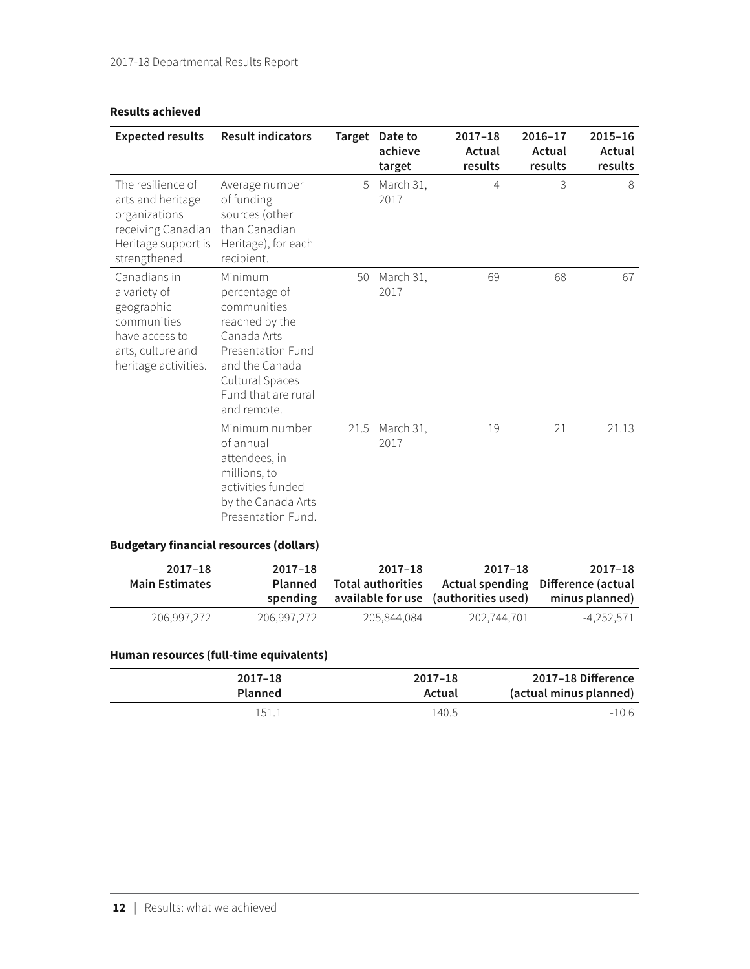| <b>Expected results</b>                                                                                                  | <b>Result indicators</b>                                                                                                                                                        |      | Target Date to<br>achieve<br>target | $2017 - 18$<br>Actual<br>results | $2016 - 17$<br>Actual<br>results | $2015 - 16$<br>Actual<br>results |
|--------------------------------------------------------------------------------------------------------------------------|---------------------------------------------------------------------------------------------------------------------------------------------------------------------------------|------|-------------------------------------|----------------------------------|----------------------------------|----------------------------------|
| The resilience of<br>arts and heritage<br>organizations<br>receiving Canadian<br>Heritage support is<br>strengthened.    | Average number<br>of funding<br>sources (other<br>than Canadian<br>Heritage), for each<br>recipient.                                                                            | 5    | March 31,<br>2017                   | 4                                | 3                                | 8                                |
| Canadians in<br>a variety of<br>geographic<br>communities<br>have access to<br>arts, culture and<br>heritage activities. | Minimum<br>percentage of<br>communities<br>reached by the<br>Canada Arts<br><b>Presentation Fund</b><br>and the Canada<br>Cultural Spaces<br>Fund that are rural<br>and remote. | 50   | March 31,<br>2017                   | 69                               | 68                               | 67                               |
| <b>Budgetary financial resources (dollars)</b>                                                                           | Minimum number<br>of annual<br>attendees, in<br>millions, to<br>activities funded<br>by the Canada Arts<br>Presentation Fund.                                                   | 21.5 | March 31,<br>2017                   | 19                               | 21                               | 21.13                            |
| $2017 - 18$<br>.                                                                                                         | $2017 - 18$<br>- 1                                                                                                                                                              |      | $2017 - 18$                         | $2017 - 18$                      | $ -$                             | $2017 - 18$                      |

### **Results achieved**

| 2017–18<br>Actual spending Difference (actual<br>minus planned) | 2017-18<br>available for use (authorities used) | 2017-18<br><b>Total authorities</b> | $2017 - 18$<br><b>Planned</b><br>spending | 2017-18<br><b>Main Estimates</b> |
|-----------------------------------------------------------------|-------------------------------------------------|-------------------------------------|-------------------------------------------|----------------------------------|
| -4.252.571                                                      | 202,744,701                                     | 205.844.084                         | 206.997.272                               | 206.997.272                      |

## **Human resources (full-time equivalents)**

| $2017 - 18$    | $2017 - 18$ | 2017-18 Difference     |
|----------------|-------------|------------------------|
| <b>Planned</b> | Actual      | (actual minus planned) |
| '51.           | 140.5       | $-10.6$                |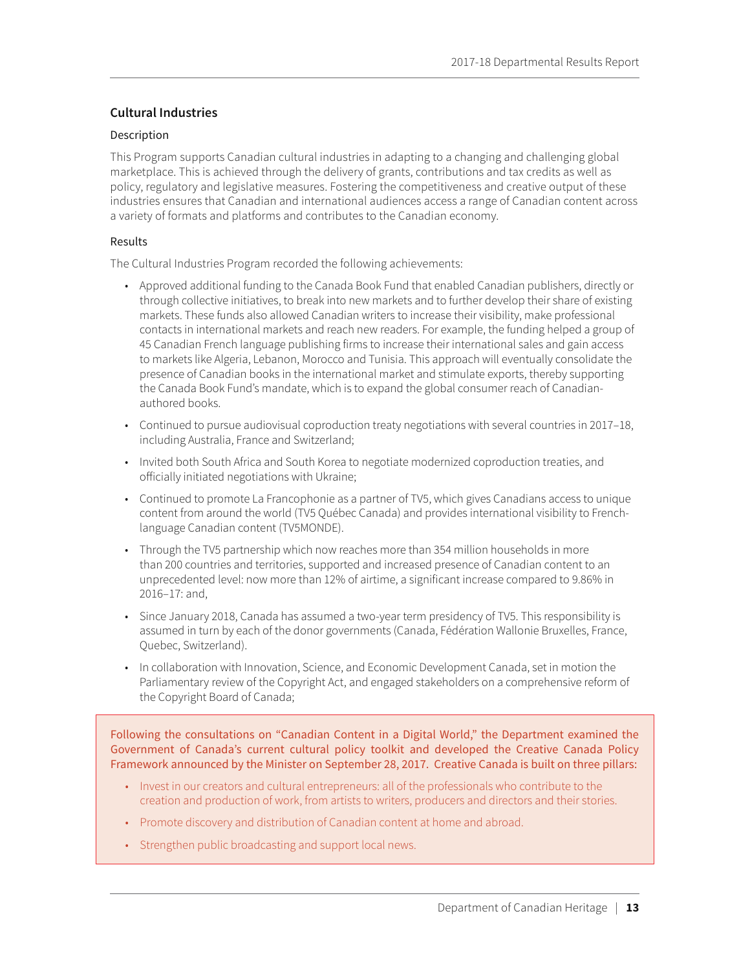### <span id="page-17-0"></span>**Cultural Industries**

### Description

This Program supports Canadian cultural industries in adapting to a changing and challenging global marketplace. This is achieved through the delivery of grants, contributions and tax credits as well as policy, regulatory and legislative measures. Fostering the competitiveness and creative output of these industries ensures that Canadian and international audiences access a range of Canadian content across a variety of formats and platforms and contributes to the Canadian economy.

### Results

The Cultural Industries Program recorded the following achievements:

- Approved additional funding to the Canada Book Fund that enabled Canadian publishers, directly or through collective initiatives, to break into new markets and to further develop their share of existing markets. These funds also allowed Canadian writers to increase their visibility, make professional contacts in international markets and reach new readers. For example, the funding helped a group of 45 Canadian French language publishing firms to increase their international sales and gain access to markets like Algeria, Lebanon, Morocco and Tunisia. This approach will eventually consolidate the presence of Canadian books in the international market and stimulate exports, thereby supporting the Canada Book Fund's mandate, which is to expand the global consumer reach of Canadianauthored books.
- Continued to pursue audiovisual coproduction treaty negotiations with several countries in 2017–18, including Australia, France and Switzerland;
- Invited both South Africa and South Korea to negotiate modernized coproduction treaties, and officially initiated negotiations with Ukraine;
- Continued to promote La Francophonie as a partner of TV5, which gives Canadians access to unique content from around the world (TV5 Québec Canada) and provides international visibility to Frenchlanguage Canadian content (TV5MONDE).
- Through the TV5 partnership which now reaches more than 354 million households in more than 200 countries and territories, supported and increased presence of Canadian content to an unprecedented level: now more than 12% of airtime, a significant increase compared to 9.86% in 2016–17: and,
- Since January 2018, Canada has assumed a two-year term presidency of TV5. This responsibility is assumed in turn by each of the donor governments (Canada, Fédération Wallonie Bruxelles, France, Quebec, Switzerland).
- In collaboration with Innovation, Science, and Economic Development Canada, set in motion the Parliamentary review of the Copyright Act, and engaged stakeholders on a comprehensive reform of the Copyright Board of Canada;

Following the consultations on "Canadian Content in a Digital World," the Department examined the Government of Canada's current cultural policy toolkit and developed the Creative Canada Policy Framework announced by the Minister on September 28, 2017. Creative Canada is built on three pillars:

- Invest in our creators and cultural entrepreneurs: all of the professionals who contribute to the creation and production of work, from artists to writers, producers and directors and their stories.
- Promote discovery and distribution of Canadian content at home and abroad.
- Strengthen public broadcasting and support local news.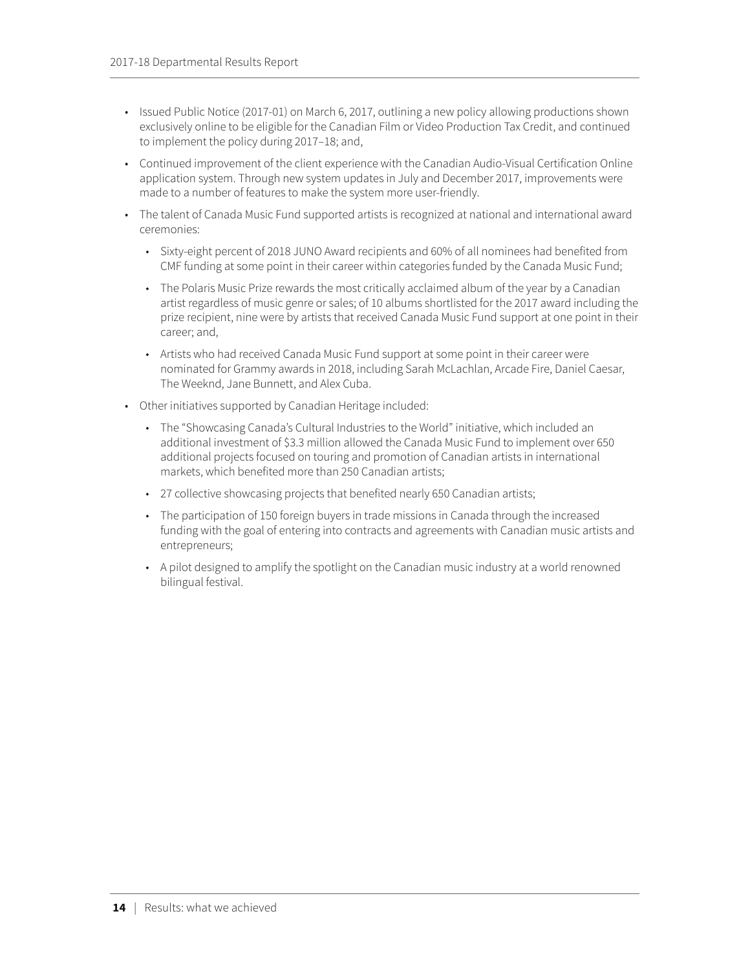- Issued Public Notice (2017-01) on March 6, 2017, outlining a new policy allowing productions shown exclusively online to be eligible for the Canadian Film or Video Production Tax Credit, and continued to implement the policy during 2017–18; and,
- Continued improvement of the client experience with the Canadian Audio-Visual Certification Online application system. Through new system updates in July and December 2017, improvements were made to a number of features to make the system more user-friendly.
- The talent of Canada Music Fund supported artists is recognized at national and international award ceremonies:
	- ◆ Sixty-eight percent of 2018 JUNO Award recipients and 60% of all nominees had benefited from CMF funding at some point in their career within categories funded by the Canada Music Fund;
	- The Polaris Music Prize rewards the most critically acclaimed album of the year by a Canadian artist regardless of music genre or sales; of 10 albums shortlisted for the 2017 award including the prize recipient, nine were by artists that received Canada Music Fund support at one point in their career; and,
	- Artists who had received Canada Music Fund support at some point in their career were nominated for Grammy awards in 2018, including Sarah McLachlan, Arcade Fire, Daniel Caesar, The Weeknd, Jane Bunnett, and Alex Cuba.
- Other initiatives supported by Canadian Heritage included:
	- The "Showcasing Canada's Cultural Industries to the World" initiative, which included an additional investment of \$3.3 million allowed the Canada Music Fund to implement over 650 additional projects focused on touring and promotion of Canadian artists in international markets, which benefited more than 250 Canadian artists;
	- 27 collective showcasing projects that benefited nearly 650 Canadian artists;
	- The participation of 150 foreign buyers in trade missions in Canada through the increased funding with the goal of entering into contracts and agreements with Canadian music artists and entrepreneurs;
	- A pilot designed to amplify the spotlight on the Canadian music industry at a world renowned bilingual festival.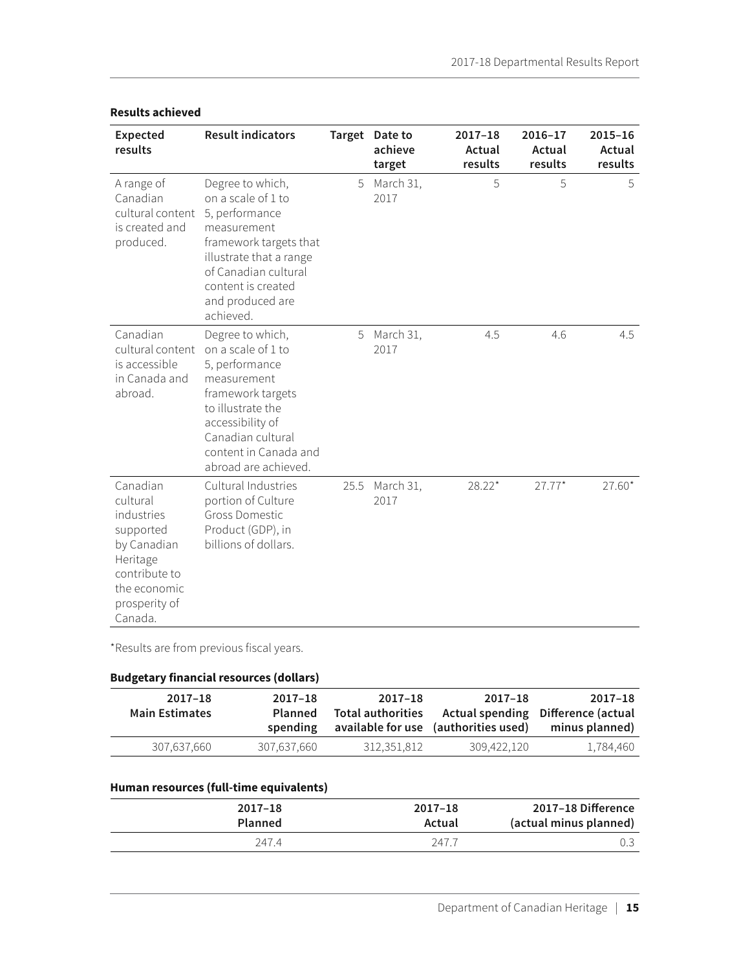| <b>Expected</b><br>results                                                                                                              | <b>Result indicators</b>                                                                                                                                                                                    |      | Target Date to<br>achieve<br>target | $2017 - 18$<br>Actual<br>results | 2016-17<br>Actual<br>results | $2015 - 16$<br>Actual<br>results |
|-----------------------------------------------------------------------------------------------------------------------------------------|-------------------------------------------------------------------------------------------------------------------------------------------------------------------------------------------------------------|------|-------------------------------------|----------------------------------|------------------------------|----------------------------------|
| A range of<br>Canadian<br>cultural content<br>is created and<br>produced.                                                               | Degree to which,<br>on a scale of 1 to<br>5, performance<br>measurement<br>framework targets that<br>illustrate that a range<br>of Canadian cultural<br>content is created<br>and produced are<br>achieved. | 5    | March 31,<br>2017                   | 5                                | 5                            | 5                                |
| Canadian<br>cultural content<br>is accessible<br>in Canada and<br>abroad.                                                               | Degree to which,<br>on a scale of 1 to<br>5, performance<br>measurement<br>framework targets<br>to illustrate the<br>accessibility of<br>Canadian cultural<br>content in Canada and<br>abroad are achieved. | 5    | March 31,<br>2017                   | 4.5                              | 4.6                          | 4.5                              |
| Canadian<br>cultural<br>industries<br>supported<br>by Canadian<br>Heritage<br>contribute to<br>the economic<br>prosperity of<br>Canada. | Cultural Industries<br>portion of Culture<br><b>Gross Domestic</b><br>Product (GDP), in<br>billions of dollars.                                                                                             | 25.5 | March 31,<br>2017                   | $28.22*$                         | $27.77*$                     | $27.60*$                         |

### **Results achieved**

\*Results are from previous fiscal years.

## **Budgetary financial resources (dollars)**

| 2017-18<br>Actual spending Difference (actual<br>minus planned) | 2017-18<br>available for use (authorities used) | 2017-18<br><b>Total authorities</b> | $2017 - 18$<br>Planned<br>spending | $2017 - 18$<br><b>Main Estimates</b> |
|-----------------------------------------------------------------|-------------------------------------------------|-------------------------------------|------------------------------------|--------------------------------------|
| 1,784,460                                                       | 309.422.120                                     | 312,351,812                         | 307,637,660                        | 307.637.660                          |

### **Human resources (full-time equivalents)**

| 2017-18 Difference     | $2017 - 18$ | $2017 - 18$    |
|------------------------|-------------|----------------|
| (actual minus planned) | Actual      | <b>Planned</b> |
|                        | 247.7       | 2474           |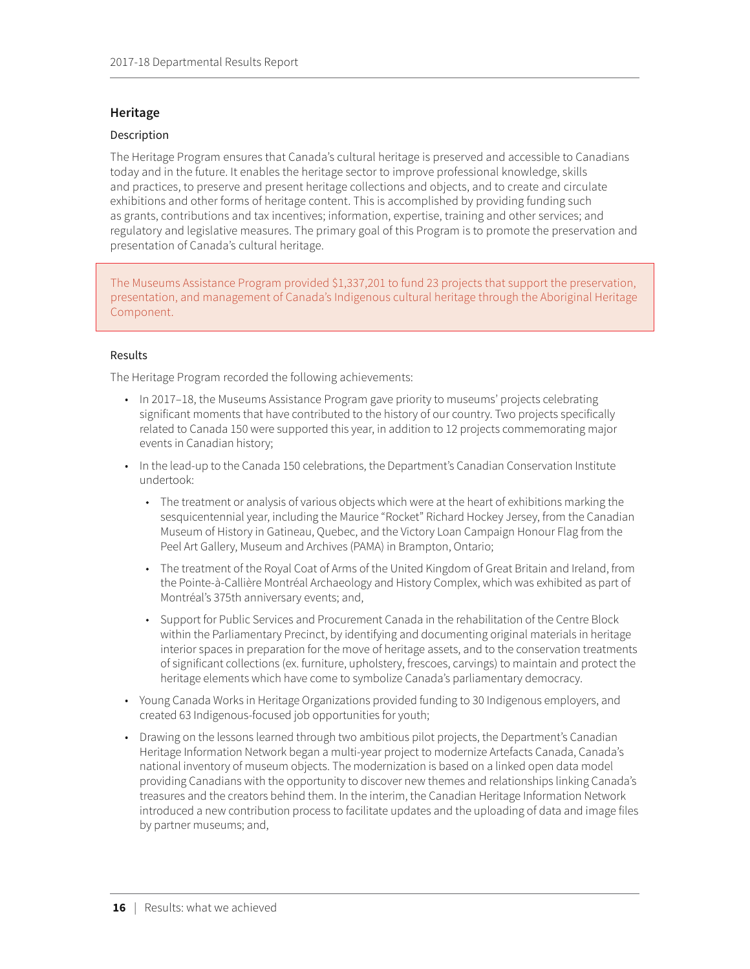### <span id="page-20-0"></span>**Heritage**

### Description

The Heritage Program ensures that Canada's cultural heritage is preserved and accessible to Canadians today and in the future. It enables the heritage sector to improve professional knowledge, skills and practices, to preserve and present heritage collections and objects, and to create and circulate exhibitions and other forms of heritage content. This is accomplished by providing funding such as grants, contributions and tax incentives; information, expertise, training and other services; and regulatory and legislative measures. The primary goal of this Program is to promote the preservation and presentation of Canada's cultural heritage.

The Museums Assistance Program provided \$1,337,201 to fund 23 projects that support the preservation, presentation, and management of Canada's Indigenous cultural heritage through the Aboriginal Heritage Component.

### Results

The Heritage Program recorded the following achievements:

- In 2017–18, the Museums Assistance Program gave priority to museums' projects celebrating significant moments that have contributed to the history of our country. Two projects specifically related to Canada 150 were supported this year, in addition to 12 projects commemorating major events in Canadian history;
- In the lead-up to the Canada 150 celebrations, the Department's Canadian Conservation Institute undertook:
	- The treatment or analysis of various objects which were at the heart of exhibitions marking the sesquicentennial year, including the Maurice "Rocket" Richard Hockey Jersey, from the Canadian Museum of History in Gatineau, Quebec, and the Victory Loan Campaign Honour Flag from the Peel Art Gallery, Museum and Archives (PAMA) in Brampton, Ontario;
	- The treatment of the Royal Coat of Arms of the United Kingdom of Great Britain and Ireland, from the Pointe-à-Callière Montréal Archaeology and History Complex, which was exhibited as part of Montréal's 375th anniversary events; and,
	- ◆ Support for Public Services and Procurement Canada in the rehabilitation of the Centre Block within the Parliamentary Precinct, by identifying and documenting original materials in heritage interior spaces in preparation for the move of heritage assets, and to the conservation treatments of significant collections (ex. furniture, upholstery, frescoes, carvings) to maintain and protect the heritage elements which have come to symbolize Canada's parliamentary democracy.
- Young Canada Works in Heritage Organizations provided funding to 30 Indigenous employers, and created 63 Indigenous-focused job opportunities for youth;
- Drawing on the lessons learned through two ambitious pilot projects, the Department's Canadian Heritage Information Network began a multi-year project to modernize Artefacts Canada, Canada's national inventory of museum objects. The modernization is based on a linked open data model providing Canadians with the opportunity to discover new themes and relationships linking Canada's treasures and the creators behind them. In the interim, the Canadian Heritage Information Network introduced a new contribution process to facilitate updates and the uploading of data and image files by partner museums; and,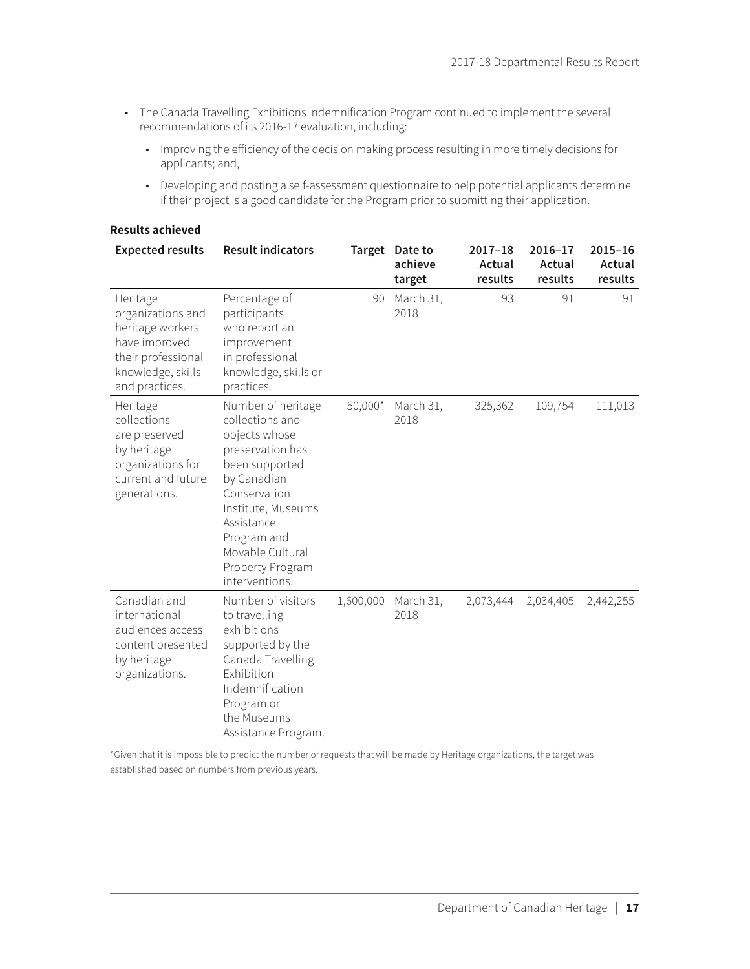- The Canada Travelling Exhibitions Indemnification Program continued to implement the several recommendations of its 2016-17 evaluation, including:
	- ◆ Improving the efficiency of the decision making process resulting in more timely decisions for applicants; and,
	- Developing and posting a self-assessment questionnaire to help potential applicants determine if their project is a good candidate for the Program prior to submitting their application.

| <b>Expected results</b>                                                                                                         | <b>Result indicators</b>                                                                                                                                                                                                                 |           | Target Date to<br>achieve<br>target | $2017 - 18$<br>Actual<br>results | $2016 - 17$<br>Actual<br>results | $2015 - 16$<br>Actual<br>results |
|---------------------------------------------------------------------------------------------------------------------------------|------------------------------------------------------------------------------------------------------------------------------------------------------------------------------------------------------------------------------------------|-----------|-------------------------------------|----------------------------------|----------------------------------|----------------------------------|
| Heritage<br>organizations and<br>heritage workers<br>have improved<br>their professional<br>knowledge, skills<br>and practices. | Percentage of<br>participants<br>who report an<br>improvement<br>in professional<br>knowledge, skills or<br>practices.                                                                                                                   | 90        | March 31,<br>2018                   | 93                               | 91                               | 91                               |
| Heritage<br>collections<br>are preserved<br>by heritage<br>organizations for<br>current and future<br>generations.              | Number of heritage<br>collections and<br>objects whose<br>preservation has<br>been supported<br>by Canadian<br>Conservation<br>Institute, Museums<br>Assistance<br>Program and<br>Movable Cultural<br>Property Program<br>interventions. | $50,000*$ | March 31,<br>2018                   | 325,362                          | 109,754                          | 111,013                          |
| Canadian and<br>international<br>audiences access<br>content presented<br>by heritage<br>organizations.                         | Number of visitors<br>to travelling<br>exhibitions<br>supported by the<br>Canada Travelling<br>Exhibition<br>Indemnification<br>Program or<br>the Museums<br>Assistance Program.                                                         | 1,600,000 | March 31,<br>2018                   | 2,073,444                        | 2,034,405                        | 2,442,255                        |

#### **Results achieved**

\*Given that it is impossible to predict the number of requests that will be made by Heritage organizations, the target was established based on numbers from previous years.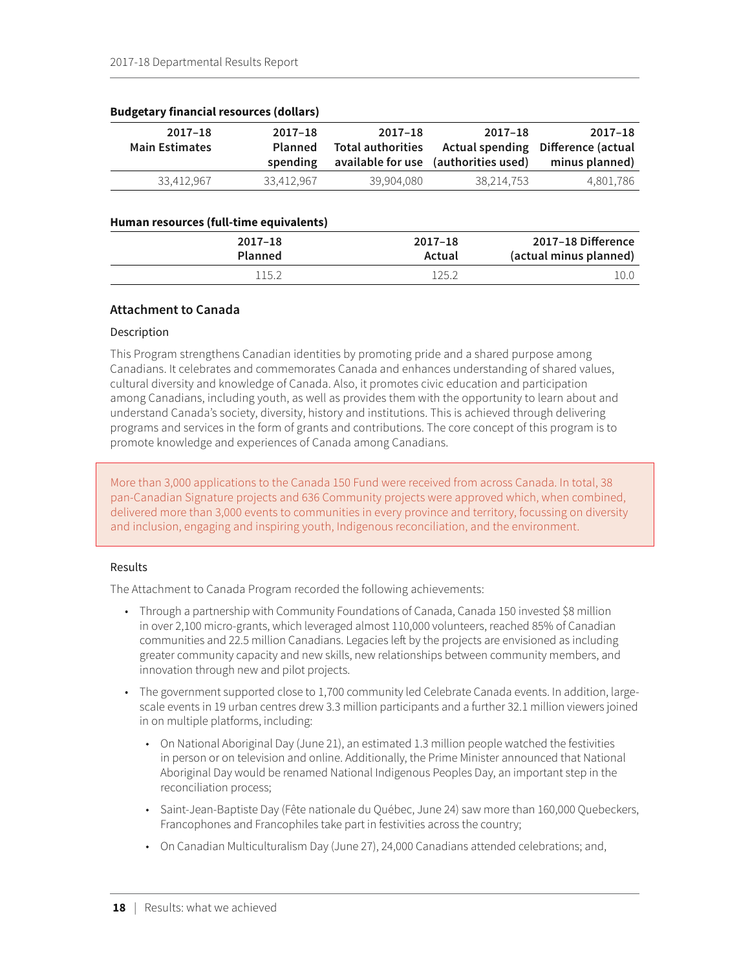| 2017-18<br><b>Main Estimates</b> | $2017 - 18$<br><b>Planned</b><br>spending | 2017-18<br><b>Total authorities</b> | 2017-18<br>available for use (authorities used) | 2017-18<br>Actual spending Difference (actual<br>minus planned) |
|----------------------------------|-------------------------------------------|-------------------------------------|-------------------------------------------------|-----------------------------------------------------------------|
| 33.412.967                       | 33.412.967                                | 39.904.080                          | 38.214.753                                      | 4.801.786                                                       |

#### <span id="page-22-0"></span>**Budgetary financial resources (dollars)**

#### **Human resources (full-time equivalents)**

| 2017-18 Difference     | 2017-18 | $2017 - 18$    |
|------------------------|---------|----------------|
| (actual minus planned) | Actual  | <b>Planned</b> |
|                        | 125     | 115.2          |

### **Attachment to Canada**

### Description

This Program strengthens Canadian identities by promoting pride and a shared purpose among Canadians. It celebrates and commemorates Canada and enhances understanding of shared values, cultural diversity and knowledge of Canada. Also, it promotes civic education and participation among Canadians, including youth, as well as provides them with the opportunity to learn about and understand Canada's society, diversity, history and institutions. This is achieved through delivering programs and services in the form of grants and contributions. The core concept of this program is to promote knowledge and experiences of Canada among Canadians.

More than 3,000 applications to the Canada 150 Fund were received from across Canada. In total, 38 pan-Canadian Signature projects and 636 Community projects were approved which, when combined, delivered more than 3,000 events to communities in every province and territory, focussing on diversity and inclusion, engaging and inspiring youth, Indigenous reconciliation, and the environment.

#### Results

The Attachment to Canada Program recorded the following achievements:

- Through a partnership with Community Foundations of Canada, Canada 150 invested \$8 million in over 2,100 micro-grants, which leveraged almost 110,000 volunteers, reached 85% of Canadian communities and 22.5 million Canadians. Legacies left by the projects are envisioned as including greater community capacity and new skills, new relationships between community members, and innovation through new and pilot projects.
- The government supported close to 1,700 community led Celebrate Canada events. In addition, largescale events in 19 urban centres drew 3.3 million participants and a further 32.1 million viewers joined in on multiple platforms, including:
	- ◆ On National Aboriginal Day (June 21), an estimated 1.3 million people watched the festivities in person or on television and online. Additionally, the Prime Minister announced that National Aboriginal Day would be renamed National Indigenous Peoples Day, an important step in the reconciliation process;
	- ◆ Saint-Jean-Baptiste Day (Fête nationale du Québec, June 24) saw more than 160,000 Quebeckers, Francophones and Francophiles take part in festivities across the country;
	- ◆ On Canadian Multiculturalism Day (June 27), 24,000 Canadians attended celebrations; and,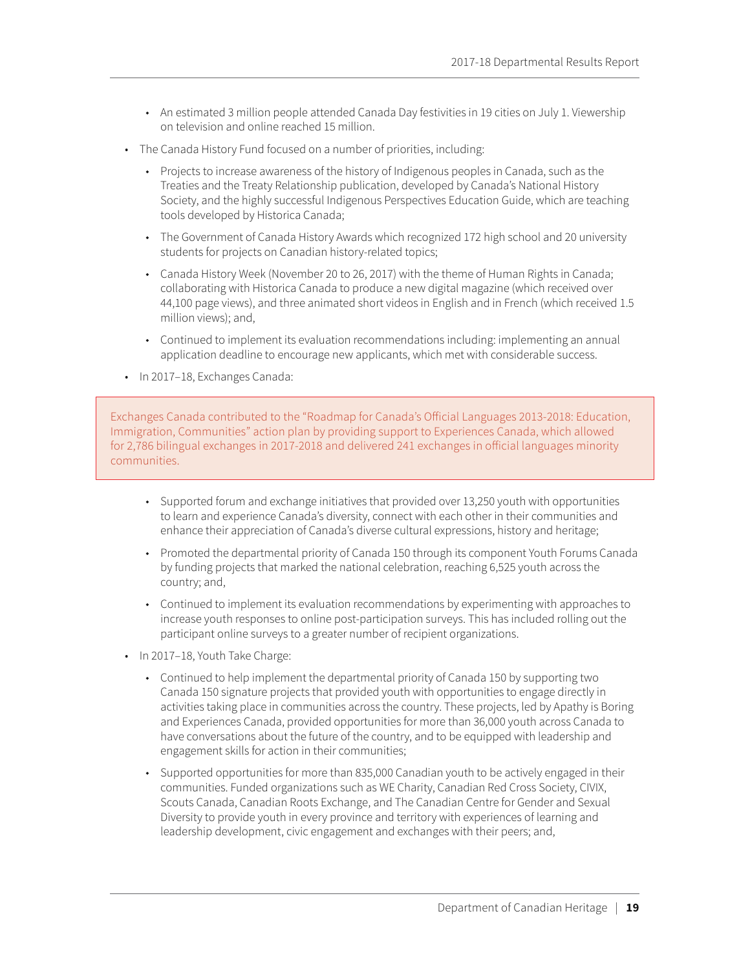- An estimated 3 million people attended Canada Day festivities in 19 cities on July 1. Viewership on television and online reached 15 million.
- The Canada History Fund focused on a number of priorities, including:
	- Projects to increase awareness of the history of Indigenous peoples in Canada, such as the Treaties and the Treaty Relationship publication, developed by Canada's National History Society, and the highly successful Indigenous Perspectives Education Guide, which are teaching tools developed by Historica Canada;
	- The Government of Canada History Awards which recognized 172 high school and 20 university students for projects on Canadian history-related topics;
	- ◆ Canada History Week (November 20 to 26, 2017) with the theme of Human Rights in Canada; collaborating with Historica Canada to produce a new digital magazine (which received over 44,100 page views), and three animated short videos in English and in French (which received 1.5 million views); and,
	- ◆ Continued to implement its evaluation recommendations including: implementing an annual application deadline to encourage new applicants, which met with considerable success.
- In 2017–18, Exchanges Canada:

Exchanges Canada contributed to the "Roadmap for Canada's Official Languages 2013-2018: Education, Immigration, Communities" action plan by providing support to Experiences Canada, which allowed for 2,786 bilingual exchanges in 2017-2018 and delivered 241 exchanges in official languages minority communities.

- Supported forum and exchange initiatives that provided over 13,250 youth with opportunities to learn and experience Canada's diversity, connect with each other in their communities and enhance their appreciation of Canada's diverse cultural expressions, history and heritage;
- Promoted the departmental priority of Canada 150 through its component Youth Forums Canada by funding projects that marked the national celebration, reaching 6,525 youth across the country; and,
- ◆ Continued to implement its evaluation recommendations by experimenting with approaches to increase youth responses to online post-participation surveys. This has included rolling out the participant online surveys to a greater number of recipient organizations.
- In 2017-18, Youth Take Charge:
	- Continued to help implement the departmental priority of Canada 150 by supporting two Canada 150 signature projects that provided youth with opportunities to engage directly in activities taking place in communities across the country. These projects, led by Apathy is Boring and Experiences Canada, provided opportunities for more than 36,000 youth across Canada to have conversations about the future of the country, and to be equipped with leadership and engagement skills for action in their communities;
	- Supported opportunities for more than 835,000 Canadian youth to be actively engaged in their communities. Funded organizations such as WE Charity, Canadian Red Cross Society, CIVIX, Scouts Canada, Canadian Roots Exchange, and The Canadian Centre for Gender and Sexual Diversity to provide youth in every province and territory with experiences of learning and leadership development, civic engagement and exchanges with their peers; and,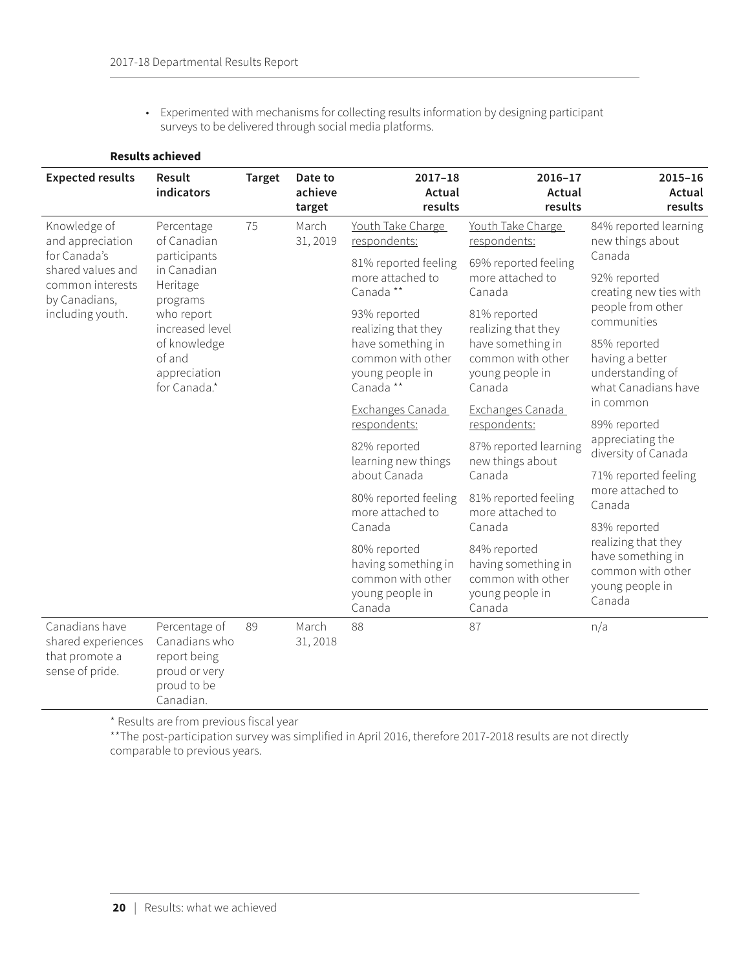◆ Experimented with mechanisms for collecting results information by designing participant surveys to be delivered through social media platforms.

### **Results achieved**

| <b>Expected results</b>                                                   | Result<br>indicators                                                                        | <b>Target</b> | Date to<br>achieve<br>target | $2017 - 18$<br>Actual<br>results                                                      | $2016 - 17$<br>Actual<br>results                                                      | $2015 - 16$<br>Actual<br>results                                                           |
|---------------------------------------------------------------------------|---------------------------------------------------------------------------------------------|---------------|------------------------------|---------------------------------------------------------------------------------------|---------------------------------------------------------------------------------------|--------------------------------------------------------------------------------------------|
| Knowledge of<br>and appreciation                                          | Percentage<br>of Canadian                                                                   | 75            | March<br>31, 2019            | Youth Take Charge<br>respondents:                                                     | Youth Take Charge<br>respondents:                                                     | 84% reported learning<br>new things about                                                  |
| for Canada's<br>shared values and<br>common interests                     | participants<br>in Canadian<br>Heritage                                                     |               |                              | 81% reported feeling<br>more attached to<br>Canada**                                  | 69% reported feeling<br>more attached to<br>Canada                                    | Canada<br>92% reported<br>creating new ties with                                           |
| by Canadians,<br>including youth.                                         | programs<br>who report<br>increased level                                                   |               |                              | 93% reported<br>realizing that they                                                   | 81% reported<br>realizing that they                                                   | people from other<br>communities                                                           |
|                                                                           | of knowledge<br>of and<br>appreciation<br>for Canada.*                                      |               |                              | have something in<br>common with other<br>young people in<br>Canada**                 | have something in<br>common with other<br>young people in<br>Canada                   | 85% reported<br>having a better<br>understanding of<br>what Canadians have                 |
|                                                                           |                                                                                             |               |                              | Exchanges Canada<br>respondents:                                                      | Exchanges Canada<br>respondents:                                                      | in common<br>89% reported                                                                  |
|                                                                           |                                                                                             |               |                              | 82% reported<br>learning new things                                                   | 87% reported learning<br>new things about                                             | appreciating the<br>diversity of Canada                                                    |
|                                                                           |                                                                                             |               |                              | about Canada                                                                          | Canada                                                                                | 71% reported feeling<br>more attached to                                                   |
|                                                                           |                                                                                             |               |                              | 80% reported feeling<br>more attached to                                              | 81% reported feeling<br>more attached to                                              | Canada                                                                                     |
|                                                                           |                                                                                             |               |                              | Canada                                                                                | Canada                                                                                | 83% reported                                                                               |
|                                                                           |                                                                                             |               |                              | 80% reported<br>having something in<br>common with other<br>young people in<br>Canada | 84% reported<br>having something in<br>common with other<br>young people in<br>Canada | realizing that they<br>have something in<br>common with other<br>young people in<br>Canada |
| Canadians have<br>shared experiences<br>that promote a<br>sense of pride. | Percentage of<br>Canadians who<br>report being<br>proud or very<br>proud to be<br>Canadian. | 89            | March<br>31, 2018            | 88                                                                                    | 87                                                                                    | n/a                                                                                        |

\* Results are from previous fiscal year

\*\*The post-participation survey was simplified in April 2016, therefore 2017-2018 results are not directly comparable to previous years.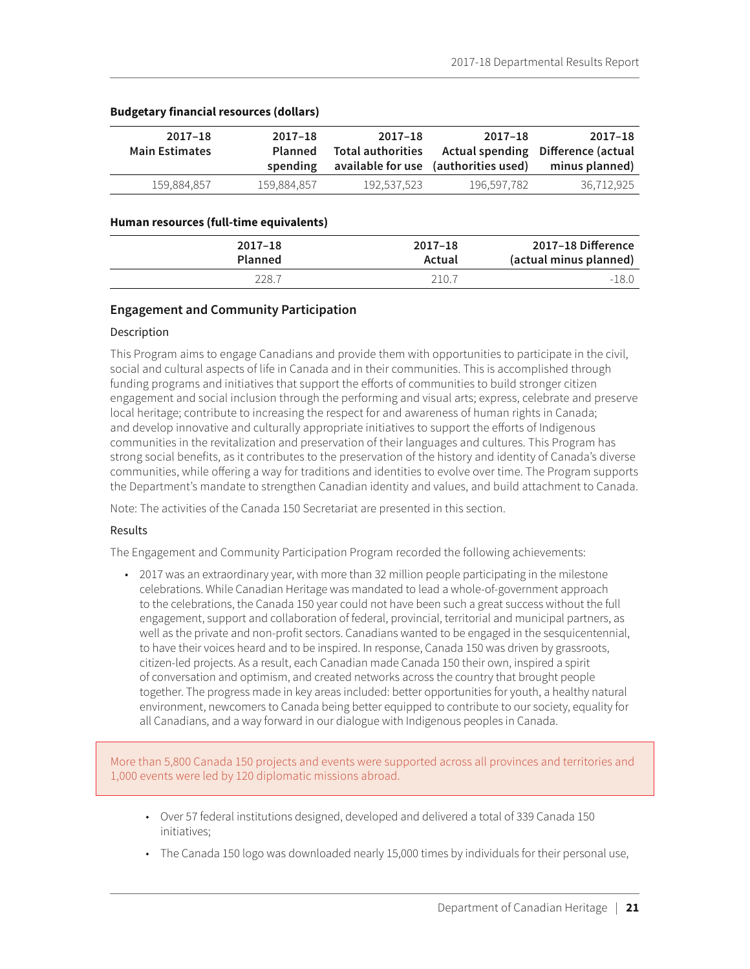| $2017 - 18$<br><b>Main Estimates</b> | $2017 - 18$<br>Planned<br>spending | 2017-18<br>Total authorities | 2017-18<br>available for use (authorities used) | 2017–18<br>Actual spending Difference (actual<br>minus planned) |
|--------------------------------------|------------------------------------|------------------------------|-------------------------------------------------|-----------------------------------------------------------------|
| 159.884.857                          | 159.884.857                        | 192.537.523                  | 196.597.782                                     | 36,712,925                                                      |

### <span id="page-25-0"></span>**Budgetary financial resources (dollars)**

#### **Human resources (full-time equivalents)**

| 2017-18 Difference     | $2017 - 18$ | $2017 - 18$    |
|------------------------|-------------|----------------|
| (actual minus planned) | Actual      | <b>Planned</b> |
| $-18.0$                | 210.7       | 228.7          |

### **Engagement and Community Participation**

#### Description

This Program aims to engage Canadians and provide them with opportunities to participate in the civil, social and cultural aspects of life in Canada and in their communities. This is accomplished through funding programs and initiatives that support the efforts of communities to build stronger citizen engagement and social inclusion through the performing and visual arts; express, celebrate and preserve local heritage; contribute to increasing the respect for and awareness of human rights in Canada; and develop innovative and culturally appropriate initiatives to support the efforts of Indigenous communities in the revitalization and preservation of their languages and cultures. This Program has strong social benefits, as it contributes to the preservation of the history and identity of Canada's diverse communities, while offering a way for traditions and identities to evolve over time. The Program supports the Department's mandate to strengthen Canadian identity and values, and build attachment to Canada.

Note: The activities of the Canada 150 Secretariat are presented in this section.

#### Results

The Engagement and Community Participation Program recorded the following achievements:

• 2017 was an extraordinary year, with more than 32 million people participating in the milestone celebrations. While Canadian Heritage was mandated to lead a whole-of-government approach to the celebrations, the Canada 150 year could not have been such a great success without the full engagement, support and collaboration of federal, provincial, territorial and municipal partners, as well as the private and non-profit sectors. Canadians wanted to be engaged in the sesquicentennial, to have their voices heard and to be inspired. In response, Canada 150 was driven by grassroots, citizen-led projects. As a result, each Canadian made Canada 150 their own, inspired a spirit of conversation and optimism, and created networks across the country that brought people together. The progress made in key areas included: better opportunities for youth, a healthy natural environment, newcomers to Canada being better equipped to contribute to our society, equality for all Canadians, and a way forward in our dialogue with Indigenous peoples in Canada.

More than 5,800 Canada 150 projects and events were supported across all provinces and territories and 1,000 events were led by 120 diplomatic missions abroad.

- ◆ Over 57 federal institutions designed, developed and delivered a total of 339 Canada 150 initiatives;
- The Canada 150 logo was downloaded nearly 15,000 times by individuals for their personal use,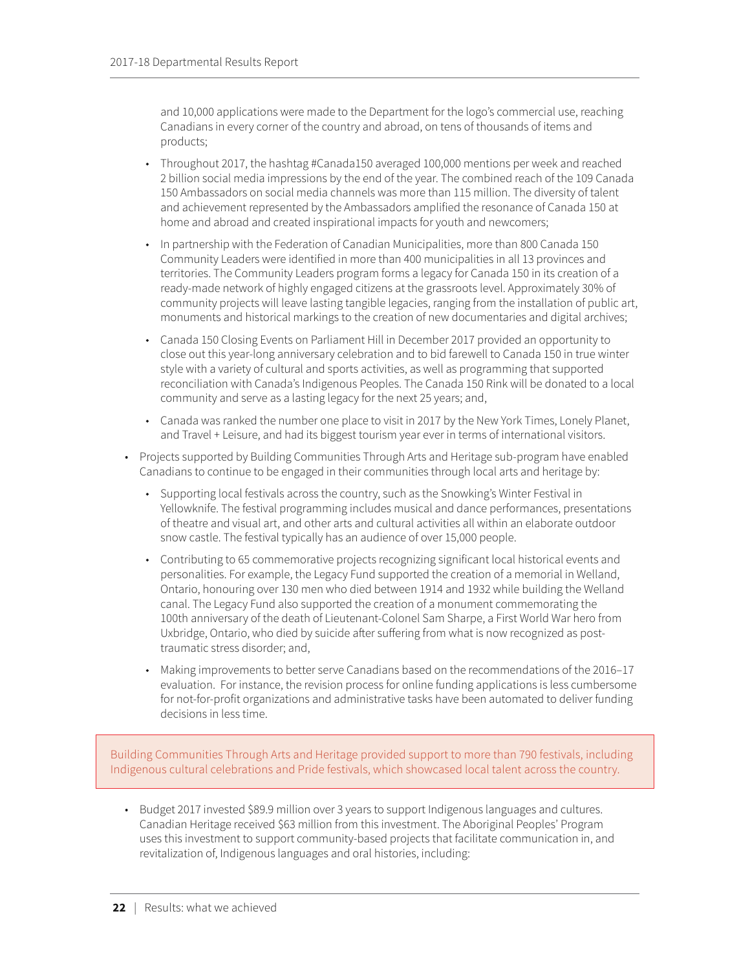and 10,000 applications were made to the Department for the logo's commercial use, reaching Canadians in every corner of the country and abroad, on tens of thousands of items and products;

- Throughout 2017, the hashtag #Canada150 averaged 100,000 mentions per week and reached 2 billion social media impressions by the end of the year. The combined reach of the 109 Canada 150 Ambassadors on social media channels was more than 115 million. The diversity of talent and achievement represented by the Ambassadors amplified the resonance of Canada 150 at home and abroad and created inspirational impacts for youth and newcomers;
- In partnership with the Federation of Canadian Municipalities, more than 800 Canada 150 Community Leaders were identified in more than 400 municipalities in all 13 provinces and territories. The Community Leaders program forms a legacy for Canada 150 in its creation of a ready-made network of highly engaged citizens at the grassroots level. Approximately 30% of community projects will leave lasting tangible legacies, ranging from the installation of public art, monuments and historical markings to the creation of new documentaries and digital archives;
- ◆ Canada 150 Closing Events on Parliament Hill in December 2017 provided an opportunity to close out this year-long anniversary celebration and to bid farewell to Canada 150 in true winter style with a variety of cultural and sports activities, as well as programming that supported reconciliation with Canada's Indigenous Peoples. The Canada 150 Rink will be donated to a local community and serve as a lasting legacy for the next 25 years; and,
- ◆ Canada was ranked the number one place to visit in 2017 by the New York Times, Lonely Planet, and Travel + Leisure, and had its biggest tourism year ever in terms of international visitors.
- Projects supported by Building Communities Through Arts and Heritage sub-program have enabled Canadians to continue to be engaged in their communities through local arts and heritage by:
	- Supporting local festivals across the country, such as the Snowking's Winter Festival in Yellowknife. The festival programming includes musical and dance performances, presentations of theatre and visual art, and other arts and cultural activities all within an elaborate outdoor snow castle. The festival typically has an audience of over 15,000 people.
	- ◆ Contributing to 65 commemorative projects recognizing significant local historical events and personalities. For example, the Legacy Fund supported the creation of a memorial in Welland, Ontario, honouring over 130 men who died between 1914 and 1932 while building the Welland canal. The Legacy Fund also supported the creation of a monument commemorating the 100th anniversary of the death of Lieutenant-Colonel Sam Sharpe, a First World War hero from Uxbridge, Ontario, who died by suicide after suffering from what is now recognized as posttraumatic stress disorder; and,
	- Making improvements to better serve Canadians based on the recommendations of the 2016–17 evaluation. For instance, the revision process for online funding applications is less cumbersome for not-for-profit organizations and administrative tasks have been automated to deliver funding decisions in less time.

Building Communities Through Arts and Heritage provided support to more than 790 festivals, including Indigenous cultural celebrations and Pride festivals, which showcased local talent across the country.

• Budget 2017 invested \$89.9 million over 3 years to support Indigenous languages and cultures. Canadian Heritage received \$63 million from this investment. The Aboriginal Peoples' Program uses this investment to support community-based projects that facilitate communication in, and revitalization of, Indigenous languages and oral histories, including: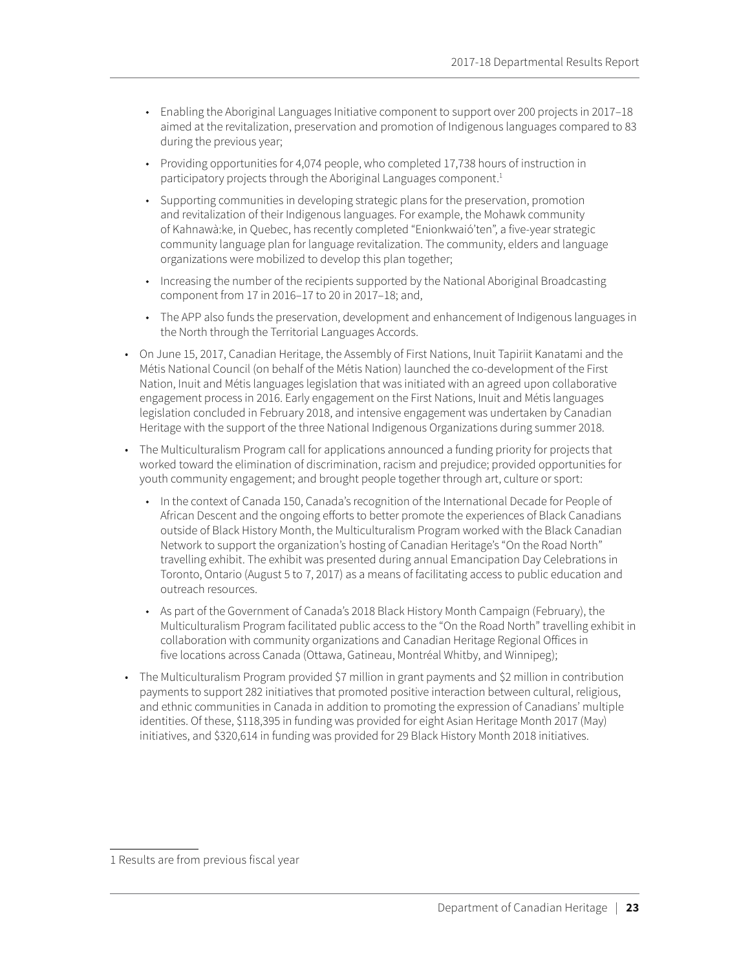- Enabling the Aboriginal Languages Initiative component to support over 200 projects in 2017–18 aimed at the revitalization, preservation and promotion of Indigenous languages compared to 83 during the previous year;
- Providing opportunities for 4,074 people, who completed 17,738 hours of instruction in participatory projects through the Aboriginal Languages component.<sup>1</sup>
- ◆ Supporting communities in developing strategic plans for the preservation, promotion and revitalization of their Indigenous languages. For example, the Mohawk community of Kahnawà:ke, in Quebec, has recently completed "Enionkwaió'ten", a five-year strategic community language plan for language revitalization. The community, elders and language organizations were mobilized to develop this plan together;
- Increasing the number of the recipients supported by the National Aboriginal Broadcasting component from 17 in 2016–17 to 20 in 2017–18; and,
- The APP also funds the preservation, development and enhancement of Indigenous languages in the North through the Territorial Languages Accords.
- On June 15, 2017, Canadian Heritage, the Assembly of First Nations, Inuit Tapiriit Kanatami and the Métis National Council (on behalf of the Métis Nation) launched the co-development of the First Nation, Inuit and Métis languages legislation that was initiated with an agreed upon collaborative engagement process in 2016. Early engagement on the First Nations, Inuit and Métis languages legislation concluded in February 2018, and intensive engagement was undertaken by Canadian Heritage with the support of the three National Indigenous Organizations during summer 2018.
- The Multiculturalism Program call for applications announced a funding priority for projects that worked toward the elimination of discrimination, racism and prejudice; provided opportunities for youth community engagement; and brought people together through art, culture or sport:
	- ◆ In the context of Canada 150, Canada's recognition of the International Decade for People of African Descent and the ongoing efforts to better promote the experiences of Black Canadians outside of Black History Month, the Multiculturalism Program worked with the Black Canadian Network to support the organization's hosting of Canadian Heritage's "On the Road North" travelling exhibit. The exhibit was presented during annual Emancipation Day Celebrations in Toronto, Ontario (August 5 to 7, 2017) as a means of facilitating access to public education and outreach resources.
	- ◆ As part of the Government of Canada's 2018 Black History Month Campaign (February), the Multiculturalism Program facilitated public access to the "On the Road North" travelling exhibit in collaboration with community organizations and Canadian Heritage Regional Offices in five locations across Canada (Ottawa, Gatineau, Montréal Whitby, and Winnipeg);
- The Multiculturalism Program provided \$7 million in grant payments and \$2 million in contribution payments to support 282 initiatives that promoted positive interaction between cultural, religious, and ethnic communities in Canada in addition to promoting the expression of Canadians' multiple identities. Of these, \$118,395 in funding was provided for eight Asian Heritage Month 2017 (May) initiatives, and \$320,614 in funding was provided for 29 Black History Month 2018 initiatives.

<sup>1</sup> Results are from previous fiscal year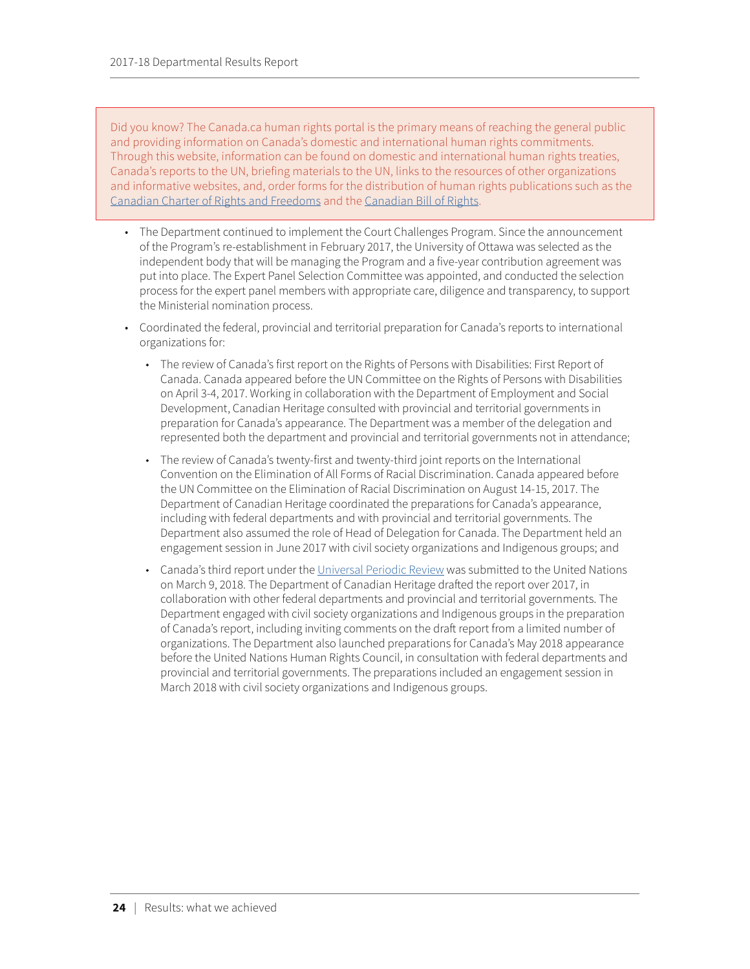Did you know? The Canada.ca human rights portal is the primary means of reaching the general public and providing information on Canada's domestic and international human rights commitments. Through this website, information can be found on domestic and international human rights treaties, Canada's reports to the UN, briefing materials to the UN, links to the resources of other organizations and informative websites, and, order forms for the distribution of human rights publications such as the [Canadian Charter of Rights and Freedoms](http://laws-lois.justice.gc.ca/eng/Const/page-15.html) and the [Canadian Bill of Rights.](http://laws-lois.justice.gc.ca/eng/acts/C-12.3/page-1.html)

- The Department continued to implement the Court Challenges Program. Since the announcement of the Program's re-establishment in February 2017, the University of Ottawa was selected as the independent body that will be managing the Program and a five-year contribution agreement was put into place. The Expert Panel Selection Committee was appointed, and conducted the selection process for the expert panel members with appropriate care, diligence and transparency, to support the Ministerial nomination process.
- Coordinated the federal, provincial and territorial preparation for Canada's reports to international organizations for:
	- ◆ The review of Canada's first report on the Rights of Persons with Disabilities: First Report of Canada. Canada appeared before the UN Committee on the Rights of Persons with Disabilities on April 3-4, 2017. Working in collaboration with the Department of Employment and Social Development, Canadian Heritage consulted with provincial and territorial governments in preparation for Canada's appearance. The Department was a member of the delegation and represented both the department and provincial and territorial governments not in attendance;
	- The review of Canada's twenty-first and twenty-third joint reports on the International Convention on the Elimination of All Forms of Racial Discrimination. Canada appeared before the UN Committee on the Elimination of Racial Discrimination on August 14-15, 2017. The Department of Canadian Heritage coordinated the preparations for Canada's appearance, including with federal departments and with provincial and territorial governments. The Department also assumed the role of Head of Delegation for Canada. The Department held an engagement session in June 2017 with civil society organizations and Indigenous groups; and
	- Canada's third report under the [Universal Periodic Review](http://canada.pch.gc.ca/eng/1448633334009/1448633334011) was submitted to the United Nations on March 9, 2018. The Department of Canadian Heritage drafted the report over 2017, in collaboration with other federal departments and provincial and territorial governments. The Department engaged with civil society organizations and Indigenous groups in the preparation of Canada's report, including inviting comments on the draft report from a limited number of organizations. The Department also launched preparations for Canada's May 2018 appearance before the United Nations Human Rights Council, in consultation with federal departments and provincial and territorial governments. The preparations included an engagement session in March 2018 with civil society organizations and Indigenous groups.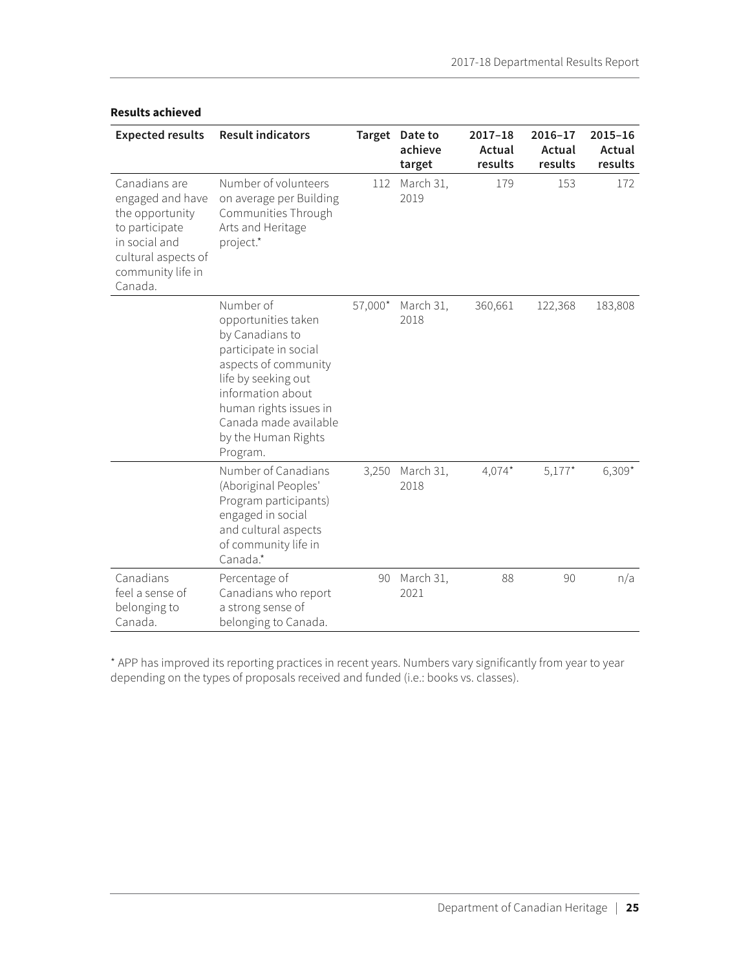| <b>Expected results</b>                                                                                                                        | <b>Result indicators</b>                                                                                                                                                                                                               |         | Target Date to<br>achieve<br>target | $2017 - 18$<br>Actual<br>results | 2016-17<br>Actual<br>results | $2015 - 16$<br>Actual<br>results |
|------------------------------------------------------------------------------------------------------------------------------------------------|----------------------------------------------------------------------------------------------------------------------------------------------------------------------------------------------------------------------------------------|---------|-------------------------------------|----------------------------------|------------------------------|----------------------------------|
| Canadians are<br>engaged and have<br>the opportunity<br>to participate<br>in social and<br>cultural aspects of<br>community life in<br>Canada. | Number of volunteers<br>on average per Building<br>Communities Through<br>Arts and Heritage<br>project.*                                                                                                                               | 112     | March 31,<br>2019                   | 179                              | 153                          | 172                              |
|                                                                                                                                                | Number of<br>opportunities taken<br>by Canadians to<br>participate in social<br>aspects of community<br>life by seeking out<br>information about<br>human rights issues in<br>Canada made available<br>by the Human Rights<br>Program. | 57,000* | March 31,<br>2018                   | 360,661                          | 122,368                      | 183,808                          |
|                                                                                                                                                | Number of Canadians<br>(Aboriginal Peoples'<br>Program participants)<br>engaged in social<br>and cultural aspects<br>of community life in<br>Canada.*                                                                                  | 3,250   | March 31,<br>2018                   | $4,074*$                         | $5,177*$                     | $6,309*$                         |
| Canadians<br>feel a sense of<br>belonging to<br>Canada.                                                                                        | Percentage of<br>Canadians who report<br>a strong sense of<br>belonging to Canada.                                                                                                                                                     | 90      | March 31,<br>2021                   | 88                               | 90                           | n/a                              |

#### **Results achieved**

\* APP has improved its reporting practices in recent years. Numbers vary significantly from year to year depending on the types of proposals received and funded (i.e.: books vs. classes).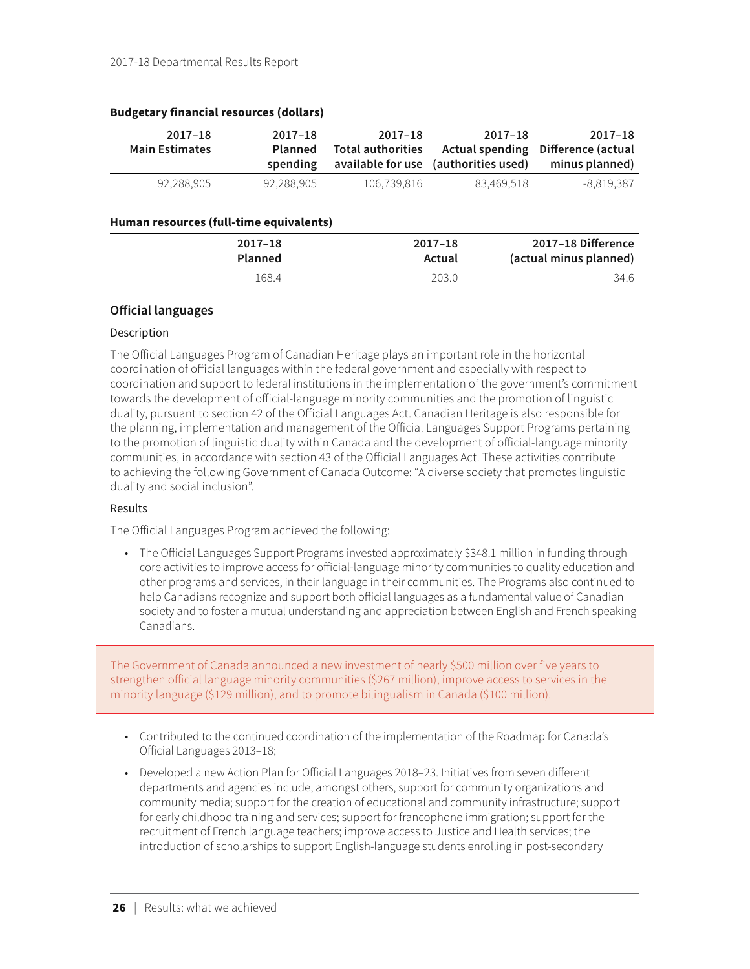| 2017-18<br><b>Main Estimates</b> | $2017 - 18$<br><b>Planned</b><br>spending | 2017-18<br><b>Total authorities</b> | $2017 - 18$<br>available for use (authorities used) | 2017–18<br>Actual spending Difference (actual<br>minus planned) |
|----------------------------------|-------------------------------------------|-------------------------------------|-----------------------------------------------------|-----------------------------------------------------------------|
| 92,288,905                       | 92,288,905                                | 106,739,816                         | 83,469,518                                          | -8,819,387                                                      |

#### <span id="page-30-0"></span>**Budgetary financial resources (dollars)**

#### **Human resources (full-time equivalents)**

| 2017-18 Difference     | $2017 - 18$ | 2017-18        |
|------------------------|-------------|----------------|
| (actual minus planned) | Actual      | <b>Planned</b> |
| 34.6                   | 203.0       | 168.4          |

### **Official languages**

### Description

The Official Languages Program of Canadian Heritage plays an important role in the horizontal coordination of official languages within the federal government and especially with respect to coordination and support to federal institutions in the implementation of the government's commitment towards the development of official-language minority communities and the promotion of linguistic duality, pursuant to section 42 of the Official Languages Act. Canadian Heritage is also responsible for the planning, implementation and management of the Official Languages Support Programs pertaining to the promotion of linguistic duality within Canada and the development of official-language minority communities, in accordance with section 43 of the Official Languages Act. These activities contribute to achieving the following Government of Canada Outcome: "A diverse society that promotes linguistic duality and social inclusion".

#### Results

The Official Languages Program achieved the following:

• The Official Languages Support Programs invested approximately \$348.1 million in funding through core activities to improve access for official-language minority communities to quality education and other programs and services, in their language in their communities. The Programs also continued to help Canadians recognize and support both official languages as a fundamental value of Canadian society and to foster a mutual understanding and appreciation between English and French speaking Canadians.

The Government of Canada announced a new investment of nearly \$500 million over five years to strengthen official language minority communities (\$267 million), improve access to services in the minority language (\$129 million), and to promote bilingualism in Canada (\$100 million).

- Contributed to the continued coordination of the implementation of the Roadmap for Canada's Official Languages 2013–18;
- Developed a new Action Plan for Official Languages 2018–23. Initiatives from seven different departments and agencies include, amongst others, support for community organizations and community media; support for the creation of educational and community infrastructure; support for early childhood training and services; support for francophone immigration; support for the recruitment of French language teachers; improve access to Justice and Health services; the introduction of scholarships to support English-language students enrolling in post-secondary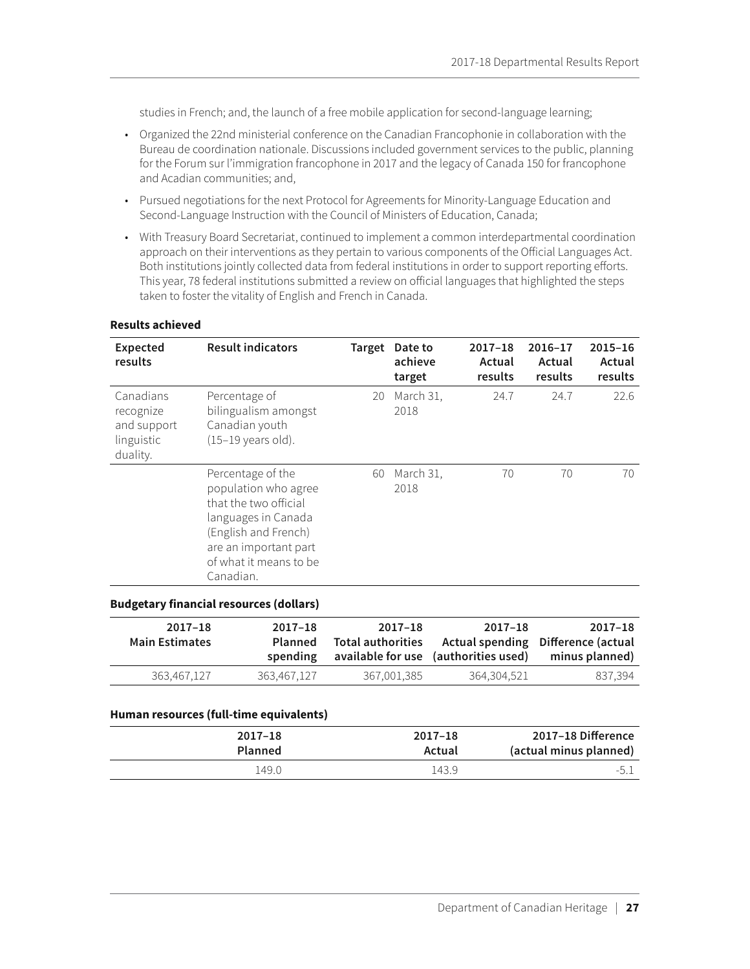studies in French; and, the launch of a free mobile application for second-language learning;

- Organized the 22nd ministerial conference on the Canadian Francophonie in collaboration with the Bureau de coordination nationale. Discussions included government services to the public, planning for the Forum sur l'immigration francophone in 2017 and the legacy of Canada 150 for francophone and Acadian communities; and,
- Pursued negotiations for the next Protocol for Agreements for Minority-Language Education and Second-Language Instruction with the Council of Ministers of Education, Canada;
- With Treasury Board Secretariat, continued to implement a common interdepartmental coordination approach on their interventions as they pertain to various components of the Official Languages Act. Both institutions jointly collected data from federal institutions in order to support reporting efforts. This year, 78 federal institutions submitted a review on official languages that highlighted the steps taken to foster the vitality of English and French in Canada.

| <b>Result indicators</b>                                                                                                                                                          |    | Date to<br>achieve<br>target | $2017 - 18$<br>Actual<br>results | 2016-17<br>Actual<br>results | $2015 - 16$<br>Actual<br>results |
|-----------------------------------------------------------------------------------------------------------------------------------------------------------------------------------|----|------------------------------|----------------------------------|------------------------------|----------------------------------|
| Percentage of<br>bilingualism amongst<br>Canadian youth<br>$(15-19 \text{ years old}).$                                                                                           | 20 | March 31,<br>2018            | 24.7                             | 24.7                         | 22.6                             |
| Percentage of the<br>population who agree<br>that the two official<br>languages in Canada<br>(English and French)<br>are an important part<br>of what it means to be<br>Canadian. | 60 | March 31,<br>2018            | 70                               | 70                           | 70                               |
|                                                                                                                                                                                   |    |                              | Target                           |                              |                                  |

#### **Results achieved**

#### **Budgetary financial resources (dollars)**

| 2017-18<br><b>Main Estimates</b> | $2017 - 18$<br><b>Planned</b><br>spending | 2017-18<br><b>Total authorities</b> | 2017-18<br>available for use (authorities used) | 2017–18<br>Actual spending Difference (actual<br>minus planned) |
|----------------------------------|-------------------------------------------|-------------------------------------|-------------------------------------------------|-----------------------------------------------------------------|
| 363,467,127                      | 363.467.127                               | 367,001,385                         | 364.304.521                                     | 837.394                                                         |

#### **Human resources (full-time equivalents)**

| 2017-18 Difference     | $2017 - 18$ | $2017 - 18$    |
|------------------------|-------------|----------------|
| (actual minus planned) | Actual      | <b>Planned</b> |
|                        | 143.9       | .49.0          |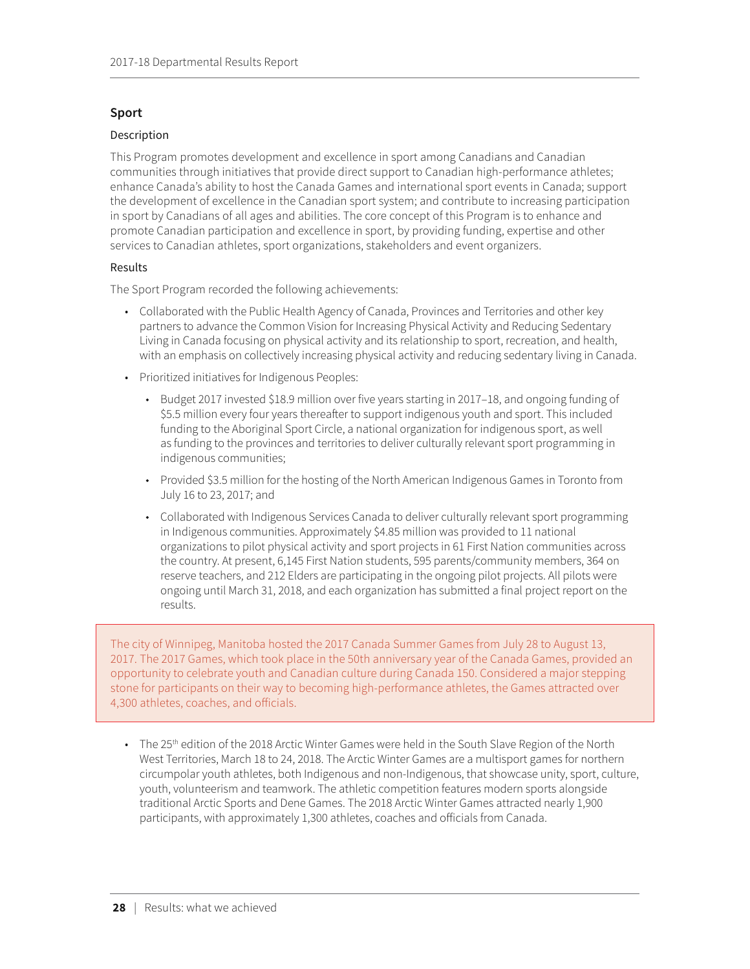### <span id="page-32-0"></span>**Sport**

### Description

This Program promotes development and excellence in sport among Canadians and Canadian communities through initiatives that provide direct support to Canadian high-performance athletes; enhance Canada's ability to host the Canada Games and international sport events in Canada; support the development of excellence in the Canadian sport system; and contribute to increasing participation in sport by Canadians of all ages and abilities. The core concept of this Program is to enhance and promote Canadian participation and excellence in sport, by providing funding, expertise and other services to Canadian athletes, sport organizations, stakeholders and event organizers.

### Results

The Sport Program recorded the following achievements:

- Collaborated with the Public Health Agency of Canada, Provinces and Territories and other key partners to advance the Common Vision for Increasing Physical Activity and Reducing Sedentary Living in Canada focusing on physical activity and its relationship to sport, recreation, and health, with an emphasis on collectively increasing physical activity and reducing sedentary living in Canada.
- Prioritized initiatives for Indigenous Peoples:
	- Budget 2017 invested \$18.9 million over five years starting in 2017–18, and ongoing funding of \$5.5 million every four years thereafter to support indigenous youth and sport. This included funding to the Aboriginal Sport Circle, a national organization for indigenous sport, as well as funding to the provinces and territories to deliver culturally relevant sport programming in indigenous communities;
	- Provided \$3.5 million for the hosting of the North American Indigenous Games in Toronto from July 16 to 23, 2017; and
	- Collaborated with Indigenous Services Canada to deliver culturally relevant sport programming in Indigenous communities. Approximately \$4.85 million was provided to 11 national organizations to pilot physical activity and sport projects in 61 First Nation communities across the country. At present, 6,145 First Nation students, 595 parents/community members, 364 on reserve teachers, and 212 Elders are participating in the ongoing pilot projects. All pilots were ongoing until March 31, 2018, and each organization has submitted a final project report on the results.

The city of Winnipeg, Manitoba hosted the 2017 Canada Summer Games from July 28 to August 13, 2017. The 2017 Games, which took place in the 50th anniversary year of the Canada Games, provided an opportunity to celebrate youth and Canadian culture during Canada 150. Considered a major stepping stone for participants on their way to becoming high-performance athletes, the Games attracted over 4,300 athletes, coaches, and officials.

• The 25<sup>th</sup> edition of the 2018 Arctic Winter Games were held in the South Slave Region of the North West Territories, March 18 to 24, 2018. The Arctic Winter Games are a multisport games for northern circumpolar youth athletes, both Indigenous and non-Indigenous, that showcase unity, sport, culture, youth, volunteerism and teamwork. The athletic competition features modern sports alongside traditional Arctic Sports and Dene Games. The 2018 Arctic Winter Games attracted nearly 1,900 participants, with approximately 1,300 athletes, coaches and officials from Canada.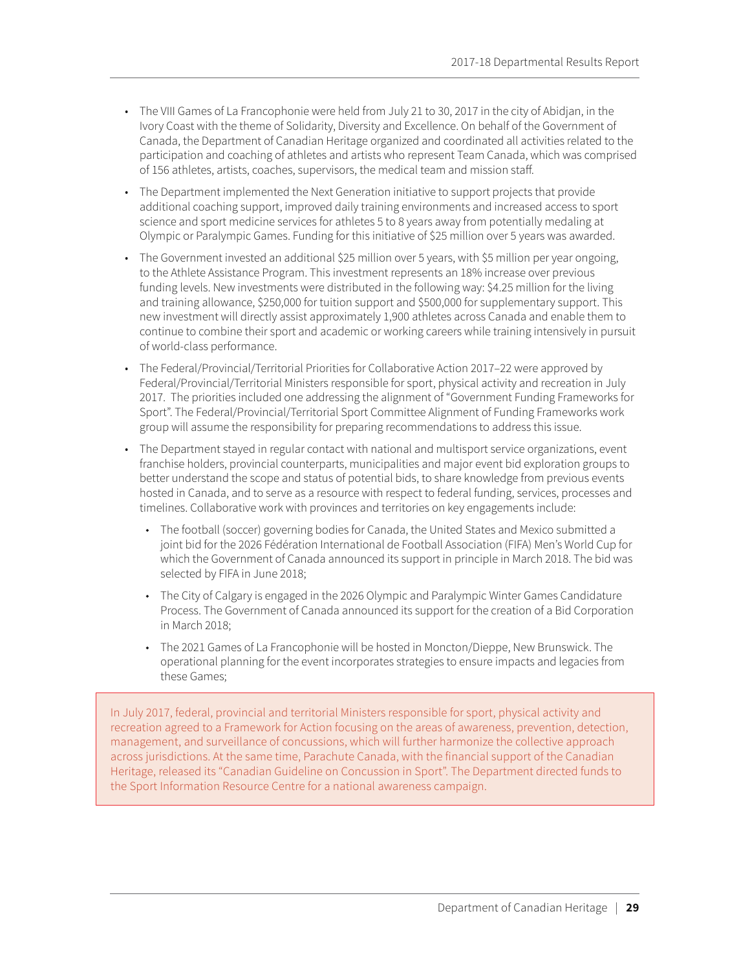- The VIII Games of La Francophonie were held from July 21 to 30, 2017 in the city of Abidjan, in the Ivory Coast with the theme of Solidarity, Diversity and Excellence. On behalf of the Government of Canada, the Department of Canadian Heritage organized and coordinated all activities related to the participation and coaching of athletes and artists who represent Team Canada, which was comprised of 156 athletes, artists, coaches, supervisors, the medical team and mission staff.
- The Department implemented the Next Generation initiative to support projects that provide additional coaching support, improved daily training environments and increased access to sport science and sport medicine services for athletes 5 to 8 years away from potentially medaling at Olympic or Paralympic Games. Funding for this initiative of \$25 million over 5 years was awarded.
- The Government invested an additional \$25 million over 5 years, with \$5 million per year ongoing, to the Athlete Assistance Program. This investment represents an 18% increase over previous funding levels. New investments were distributed in the following way: \$4.25 million for the living and training allowance, \$250,000 for tuition support and \$500,000 for supplementary support. This new investment will directly assist approximately 1,900 athletes across Canada and enable them to continue to combine their sport and academic or working careers while training intensively in pursuit of world-class performance.
- The Federal/Provincial/Territorial Priorities for Collaborative Action 2017–22 were approved by Federal/Provincial/Territorial Ministers responsible for sport, physical activity and recreation in July 2017. The priorities included one addressing the alignment of "Government Funding Frameworks for Sport". The Federal/Provincial/Territorial Sport Committee Alignment of Funding Frameworks work group will assume the responsibility for preparing recommendations to address this issue.
- The Department stayed in regular contact with national and multisport service organizations, event franchise holders, provincial counterparts, municipalities and major event bid exploration groups to better understand the scope and status of potential bids, to share knowledge from previous events hosted in Canada, and to serve as a resource with respect to federal funding, services, processes and timelines. Collaborative work with provinces and territories on key engagements include:
	- The football (soccer) governing bodies for Canada, the United States and Mexico submitted a joint bid for the 2026 Fédération International de Football Association (FIFA) Men's World Cup for which the Government of Canada announced its support in principle in March 2018. The bid was selected by FIFA in June 2018;
	- The City of Calgary is engaged in the 2026 Olympic and Paralympic Winter Games Candidature Process. The Government of Canada announced its support for the creation of a Bid Corporation in March 2018;
	- The 2021 Games of La Francophonie will be hosted in Moncton/Dieppe, New Brunswick. The operational planning for the event incorporates strategies to ensure impacts and legacies from these Games;

In July 2017, federal, provincial and territorial Ministers responsible for sport, physical activity and recreation agreed to a Framework for Action focusing on the areas of awareness, prevention, detection, management, and surveillance of concussions, which will further harmonize the collective approach across jurisdictions. At the same time, Parachute Canada, with the financial support of the Canadian Heritage, released its "Canadian Guideline on Concussion in Sport". The Department directed funds to the Sport Information Resource Centre for a national awareness campaign.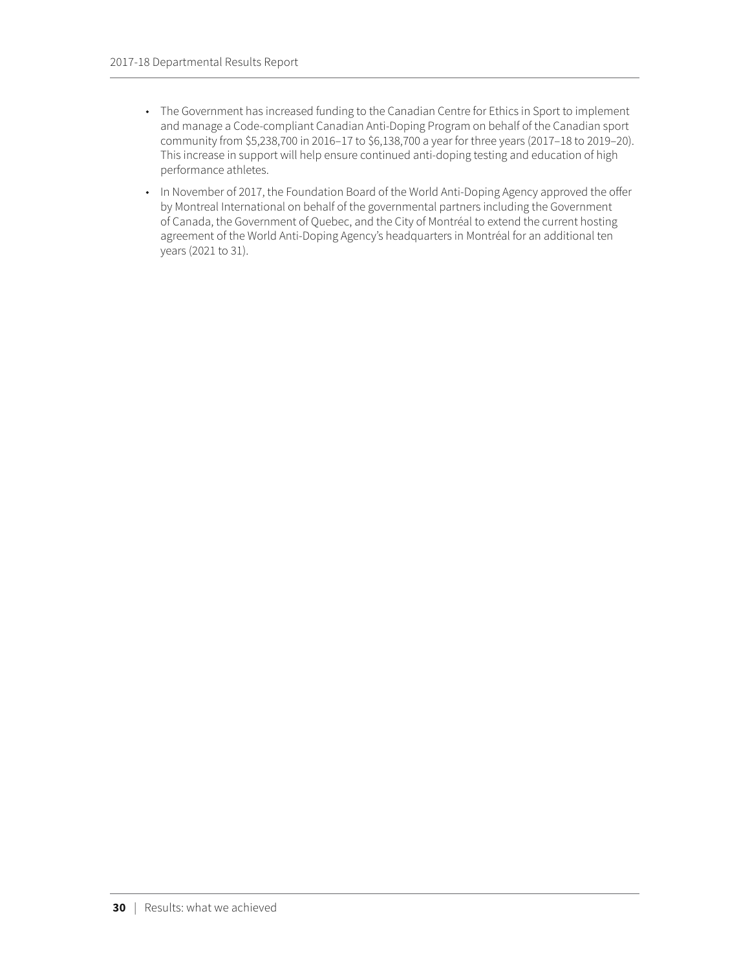- The Government has increased funding to the Canadian Centre for Ethics in Sport to implement and manage a Code-compliant Canadian Anti-Doping Program on behalf of the Canadian sport community from \$5,238,700 in 2016–17 to \$6,138,700 a year for three years (2017–18 to 2019–20). This increase in support will help ensure continued anti-doping testing and education of high performance athletes.
- In November of 2017, the Foundation Board of the World Anti-Doping Agency approved the offer by Montreal International on behalf of the governmental partners including the Government of Canada, the Government of Quebec, and the City of Montréal to extend the current hosting agreement of the World Anti-Doping Agency's headquarters in Montréal for an additional ten years (2021 to 31).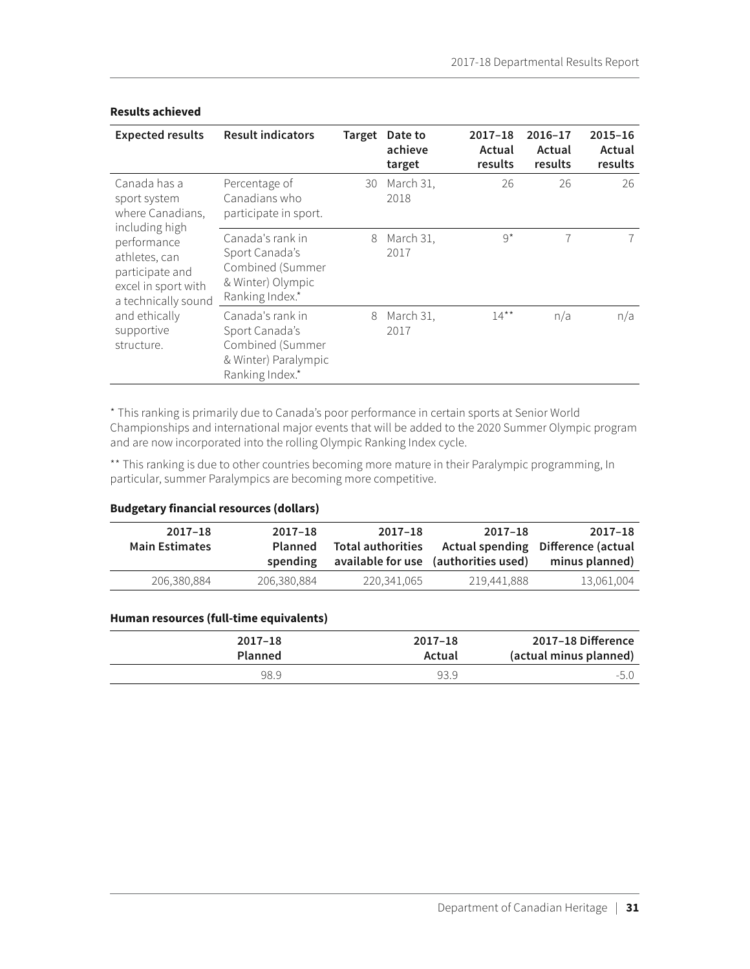| <b>Expected results</b>                                                                       | <b>Result indicators</b>                                                                          | <b>Target</b> | Date to<br>achieve<br>target | 2017-18<br>Actual<br>results | 2016-17<br>Actual<br>results | 2015-16<br>Actual<br>results |
|-----------------------------------------------------------------------------------------------|---------------------------------------------------------------------------------------------------|---------------|------------------------------|------------------------------|------------------------------|------------------------------|
| Canada has a<br>sport system<br>where Canadians,<br>including high                            | Percentage of<br>Canadians who<br>participate in sport.                                           | 30            | March 31,<br>2018            | 26                           | 26                           | 26                           |
| performance<br>athletes, can<br>participate and<br>excel in sport with<br>a technically sound | Canada's rank in<br>Sport Canada's<br>Combined (Summer<br>& Winter) Olympic<br>Ranking Index.*    | 8             | March 31,<br>2017            | $9^{\star}$                  | 7                            |                              |
| and ethically<br>supportive<br>structure.                                                     | Canada's rank in<br>Sport Canada's<br>Combined (Summer<br>& Winter) Paralympic<br>Ranking Index.* | 8             | March 31,<br>2017            | $14***$                      | n/a                          | n/a                          |

#### **Results achieved**

\* This ranking is primarily due to Canada's poor performance in certain sports at Senior World Championships and international major events that will be added to the 2020 Summer Olympic program and are now incorporated into the rolling Olympic Ranking Index cycle.

\*\* This ranking is due to other countries becoming more mature in their Paralympic programming, In particular, summer Paralympics are becoming more competitive.

### **Budgetary financial resources (dollars)**

| $2017 - 18$<br><b>Main Estimates</b> | $2017 - 18$<br>Planned<br>spending | 2017-18<br><b>Total authorities</b> | $2017 - 18$<br>available for use (authorities used) | 2017-18<br>Actual spending Difference (actual<br>minus planned) |
|--------------------------------------|------------------------------------|-------------------------------------|-----------------------------------------------------|-----------------------------------------------------------------|
| 206,380,884                          | 206,380,884                        | 220,341,065                         | 219,441,888                                         | 13,061,004                                                      |

### **Human resources (full-time equivalents)**

| 2017–18 Difference     | $2017 - 18$ | $2017 - 18$    |
|------------------------|-------------|----------------|
| (actual minus planned) | Actual      | <b>Planned</b> |
| -5.0                   | 93.9        | 98.9           |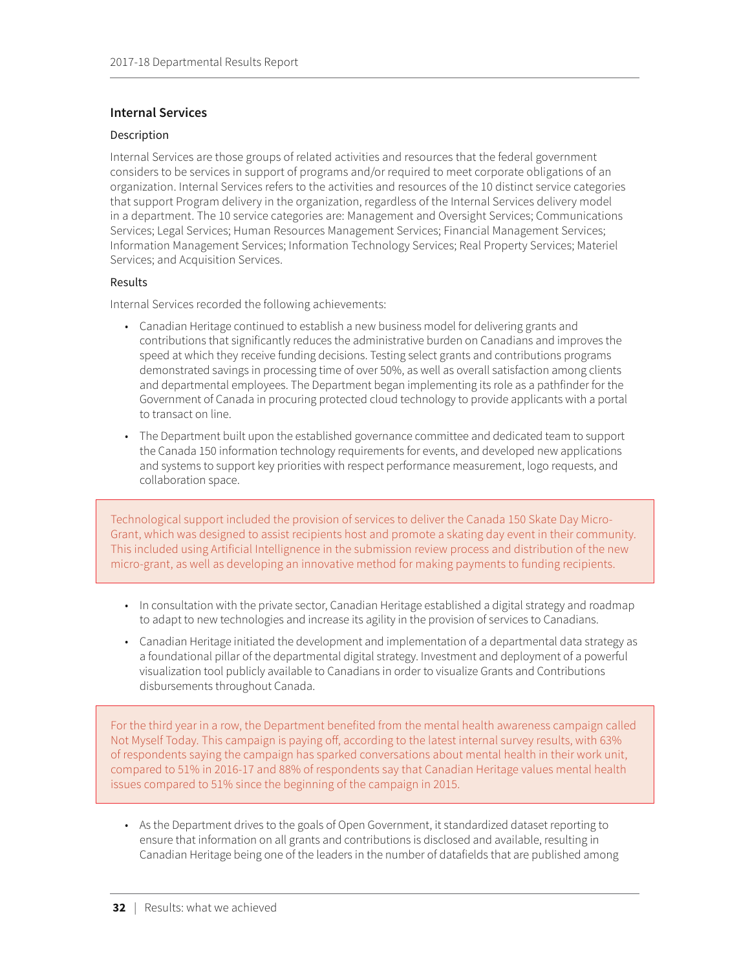### <span id="page-36-0"></span>**Internal Services**

### Description

Internal Services are those groups of related activities and resources that the federal government considers to be services in support of programs and/or required to meet corporate obligations of an organization. Internal Services refers to the activities and resources of the 10 distinct service categories that support Program delivery in the organization, regardless of the Internal Services delivery model in a department. The 10 service categories are: Management and Oversight Services; Communications Services; Legal Services; Human Resources Management Services; Financial Management Services; Information Management Services; Information Technology Services; Real Property Services; Materiel Services; and Acquisition Services.

### Results

Internal Services recorded the following achievements:

- Canadian Heritage continued to establish a new business model for delivering grants and contributions that significantly reduces the administrative burden on Canadians and improves the speed at which they receive funding decisions. Testing select grants and contributions programs demonstrated savings in processing time of over 50%, as well as overall satisfaction among clients and departmental employees. The Department began implementing its role as a pathfinder for the Government of Canada in procuring protected cloud technology to provide applicants with a portal to transact on line.
- The Department built upon the established governance committee and dedicated team to support the Canada 150 information technology requirements for events, and developed new applications and systems to support key priorities with respect performance measurement, logo requests, and collaboration space.

Technological support included the provision of services to deliver the Canada 150 Skate Day Micro-Grant, which was designed to assist recipients host and promote a skating day event in their community. This included using Artificial Intellignence in the submission review process and distribution of the new micro-grant, as well as developing an innovative method for making payments to funding recipients.

- In consultation with the private sector, Canadian Heritage established a digital strategy and roadmap to adapt to new technologies and increase its agility in the provision of services to Canadians.
- Canadian Heritage initiated the development and implementation of a departmental data strategy as a foundational pillar of the departmental digital strategy. Investment and deployment of a powerful visualization tool publicly available to Canadians in order to visualize Grants and Contributions disbursements throughout Canada.

For the third year in a row, the Department benefited from the mental health awareness campaign called Not Myself Today. This campaign is paying off, according to the latest internal survey results, with 63% of respondents saying the campaign has sparked conversations about mental health in their work unit, compared to 51% in 2016-17 and 88% of respondents say that Canadian Heritage values mental health issues compared to 51% since the beginning of the campaign in 2015.

• As the Department drives to the goals of Open Government, it standardized dataset reporting to ensure that information on all grants and contributions is disclosed and available, resulting in Canadian Heritage being one of the leaders in the number of datafields that are published among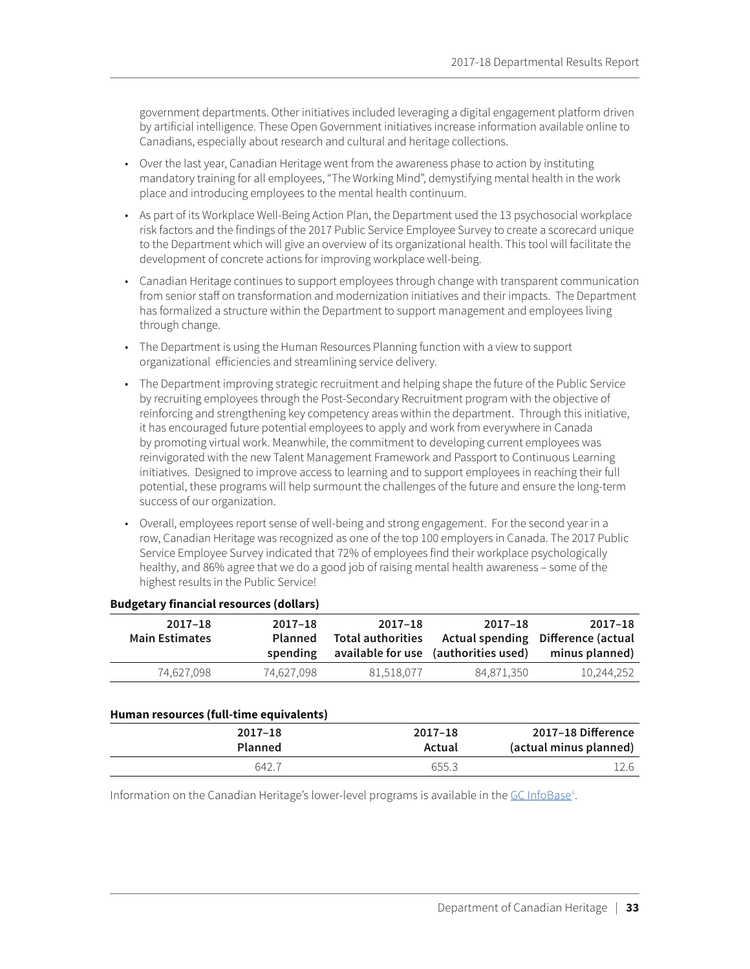government departments. Other initiatives included leveraging a digital engagement platform driven by artificial intelligence. These Open Government initiatives increase information available online to Canadians, especially about research and cultural and heritage collections.

- Over the last year, Canadian Heritage went from the awareness phase to action by instituting mandatory training for all employees, "The Working Mind", demystifying mental health in the work place and introducing employees to the mental health continuum.
- As part of its Workplace Well-Being Action Plan, the Department used the 13 psychosocial workplace risk factors and the findings of the 2017 Public Service Employee Survey to create a scorecard unique to the Department which will give an overview of its organizational health. This tool will facilitate the development of concrete actions for improving workplace well-being.
- Canadian Heritage continues to support employees through change with transparent communication from senior staff on transformation and modernization initiatives and their impacts. The Department has formalized a structure within the Department to support management and employees living through change.
- The Department is using the Human Resources Planning function with a view to support organizational efficiencies and streamlining service delivery.
- The Department improving strategic recruitment and helping shape the future of the Public Service by recruiting employees through the Post-Secondary Recruitment program with the objective of reinforcing and strengthening key competency areas within the department. Through this initiative, it has encouraged future potential employees to apply and work from everywhere in Canada by promoting virtual work. Meanwhile, the commitment to developing current employees was reinvigorated with the new Talent Management Framework and Passport to Continuous Learning initiatives. Designed to improve access to learning and to support employees in reaching their full potential, these programs will help surmount the challenges of the future and ensure the long-term success of our organization.
- Overall, employees report sense of well-being and strong engagement. For the second year in a row, Canadian Heritage was recognized as one of the top 100 employers in Canada. The 2017 Public Service Employee Survey indicated that 72% of employees find their workplace psychologically healthy, and 86% agree that we do a good job of raising mental health awareness – some of the highest results in the Public Service!

| 2017–18                            | 2017-18                              | 2017-18                  | $2017 - 18$ | 2017-18               |
|------------------------------------|--------------------------------------|--------------------------|-------------|-----------------------|
| Actual spending Difference (actual |                                      | <b>Total authorities</b> | Planned     | <b>Main Estimates</b> |
| minus planned)                     | available for use (authorities used) |                          | spending    |                       |
| 10.244.252                         | 84,871,350                           | 81.518.077               | 74.627.098  | 74.627.098            |

#### **Budgetary financial resources (dollars)**

#### **Human resources (full-time equivalents)**

|        | 2017-18 Difference     |
|--------|------------------------|
| Actual | (actual minus planned) |
| 655.3  | 12.6                   |
|        | $2017 - 18$            |

Information on the Canadian Heritage's lower-level programs is available in the [GC InfoBase](http://tbs-sct.gc.ca/ems-sgd/edb-bdd/index-eng.html)".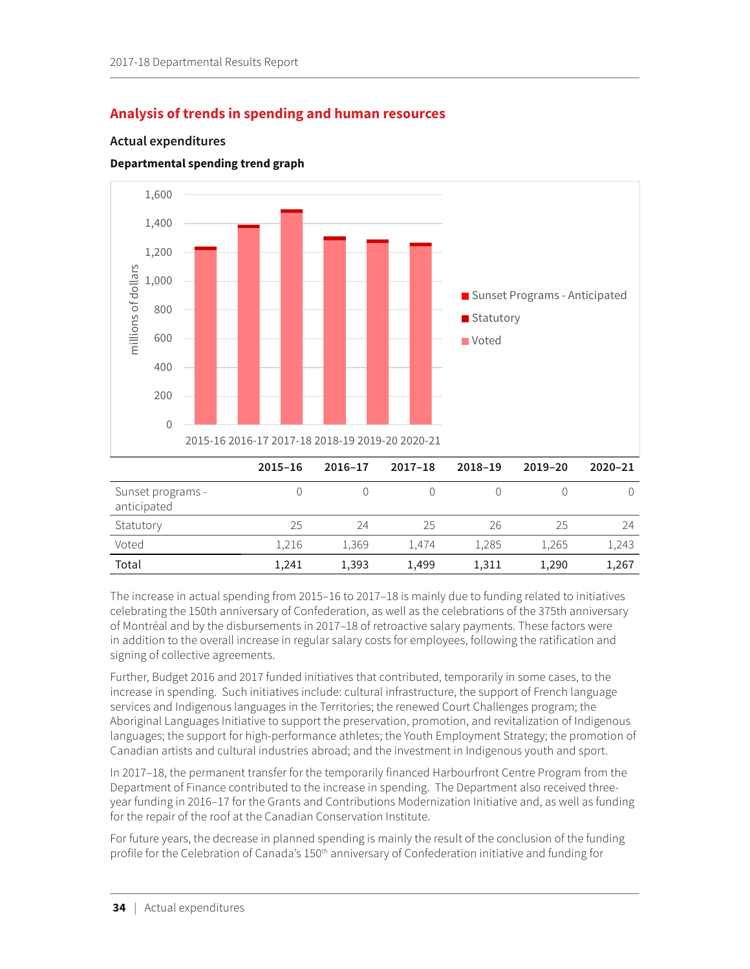## <span id="page-38-0"></span>**Analysis of trends in spending and human resources**

### **Actual expenditures**

### **Departmental spending trend graph**



The increase in actual spending from 2015–16 to 2017–18 is mainly due to funding related to initiatives celebrating the 150th anniversary of Confederation, as well as the celebrations of the 375th anniversary of Montréal and by the disbursements in 2017–18 of retroactive salary payments. These factors were in addition to the overall increase in regular salary costs for employees, following the ratification and signing of collective agreements.

Further, Budget 2016 and 2017 funded initiatives that contributed, temporarily in some cases, to the increase in spending. Such initiatives include: cultural infrastructure, the support of French language services and Indigenous languages in the Territories; the renewed Court Challenges program; the Aboriginal Languages Initiative to support the preservation, promotion, and revitalization of Indigenous languages; the support for high-performance athletes; the Youth Employment Strategy; the promotion of Canadian artists and cultural industries abroad; and the investment in Indigenous youth and sport.

In 2017–18, the permanent transfer for the temporarily financed Harbourfront Centre Program from the Department of Finance contributed to the increase in spending. The Department also received threeyear funding in 2016–17 for the Grants and Contributions Modernization Initiative and, as well as funding for the repair of the roof at the Canadian Conservation Institute.

For future years, the decrease in planned spending is mainly the result of the conclusion of the funding profile for the Celebration of Canada's 150<sup>th</sup> anniversary of Confederation initiative and funding for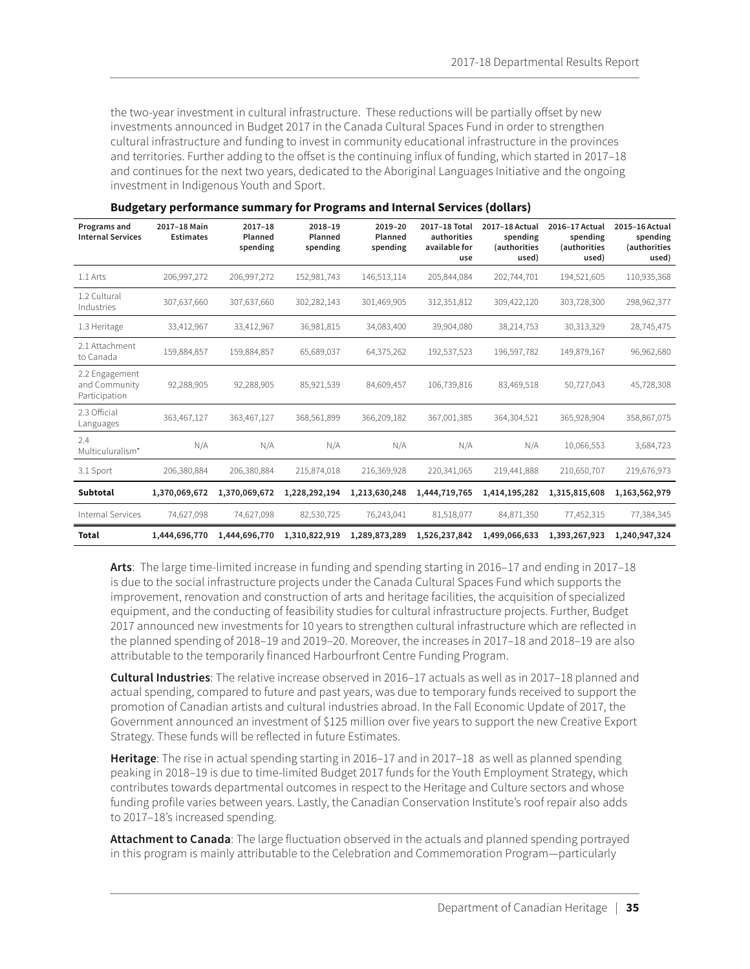the two-year investment in cultural infrastructure. These reductions will be partially offset by new investments announced in Budget 2017 in the Canada Cultural Spaces Fund in order to strengthen cultural infrastructure and funding to invest in community educational infrastructure in the provinces and territories. Further adding to the offset is the continuing influx of funding, which started in 2017–18 and continues for the next two years, dedicated to the Aboriginal Languages Initiative and the ongoing investment in Indigenous Youth and Sport.

| Programs and<br><b>Internal Services</b>         | 2017-18 Main<br><b>Estimates</b> | $2017 - 18$<br>Planned<br>spending | 2018-19<br>Planned<br>spending | 2019-20<br>Planned<br>spending | 2017-18 Total<br>authorities<br>available for<br>use | 2017-18 Actual<br>spending<br>(authorities<br>used) | 2016-17 Actual<br>spending<br>(authorities<br>used) | 2015-16 Actual<br>spending<br>(authorities<br>used) |
|--------------------------------------------------|----------------------------------|------------------------------------|--------------------------------|--------------------------------|------------------------------------------------------|-----------------------------------------------------|-----------------------------------------------------|-----------------------------------------------------|
| 1.1 Arts                                         | 206,997,272                      | 206,997,272                        | 152,981,743                    | 146,513,114                    | 205,844,084                                          | 202,744,701                                         | 194,521,605                                         | 110,935,368                                         |
| 1.2 Cultural<br>Industries                       | 307,637,660                      | 307,637,660                        | 302,282,143                    | 301,469,905                    | 312,351,812                                          | 309,422,120                                         | 303,728,300                                         | 298,962,377                                         |
| 1.3 Heritage                                     | 33,412,967                       | 33,412,967                         | 36,981,815                     | 34,083,400                     | 39,904,080                                           | 38,214,753                                          | 30,313,329                                          | 28,745,475                                          |
| 2.1 Attachment<br>to Canada                      | 159,884,857                      | 159,884,857                        | 65,689,037                     | 64,375,262                     | 192,537,523                                          | 196,597,782                                         | 149,879,167                                         | 96,962,680                                          |
| 2.2 Engagement<br>and Community<br>Participation | 92,288,905                       | 92,288,905                         | 85,921,539                     | 84,609,457                     | 106,739,816                                          | 83,469,518                                          | 50,727,043                                          | 45,728,308                                          |
| 2.3 Official<br>Languages                        | 363,467,127                      | 363,467,127                        | 368,561,899                    | 366,209,182                    | 367,001,385                                          | 364,304,521                                         | 365,928,904                                         | 358,867,075                                         |
| 2.4<br>Multiculuralism*                          | N/A                              | N/A                                | N/A                            | N/A                            | N/A                                                  | N/A                                                 | 10,066,553                                          | 3,684,723                                           |
| 3.1 Sport                                        | 206,380,884                      | 206,380,884                        | 215,874,018                    | 216,369,928                    | 220,341,065                                          | 219,441,888                                         | 210,650,707                                         | 219,676,973                                         |
| <b>Subtotal</b>                                  | 1,370,069,672                    | 1,370,069,672                      | 1,228,292,194                  | 1,213,630,248                  | 1,444,719,765                                        | 1,414,195,282                                       | 1,315,815,608                                       | 1,163,562,979                                       |
| Internal Services                                | 74,627,098                       | 74,627,098                         | 82,530,725                     | 76,243,041                     | 81,518,077                                           | 84,871,350                                          | 77,452,315                                          | 77,384,345                                          |
| <b>Total</b>                                     | 1,444,696,770                    | 1,444,696,770                      | 1,310,822,919                  | 1,289,873,289                  | 1,526,237,842                                        | 1,499,066,633                                       | 1,393,267,923                                       | 1,240,947,324                                       |

|  | <b>Budgetary performance summary for Programs and Internal Services (dollars)</b> |  |
|--|-----------------------------------------------------------------------------------|--|
|--|-----------------------------------------------------------------------------------|--|

**Arts**: The large time-limited increase in funding and spending starting in 2016–17 and ending in 2017–18 is due to the social infrastructure projects under the Canada Cultural Spaces Fund which supports the improvement, renovation and construction of arts and heritage facilities, the acquisition of specialized equipment, and the conducting of feasibility studies for cultural infrastructure projects. Further, Budget 2017 announced new investments for 10 years to strengthen cultural infrastructure which are reflected in the planned spending of 2018–19 and 2019–20. Moreover, the increases in 2017–18 and 2018–19 are also attributable to the temporarily financed Harbourfront Centre Funding Program.

**Cultural Industries**: The relative increase observed in 2016–17 actuals as well as in 2017–18 planned and actual spending, compared to future and past years, was due to temporary funds received to support the promotion of Canadian artists and cultural industries abroad. In the Fall Economic Update of 2017, the Government announced an investment of \$125 million over five years to support the new Creative Export Strategy. These funds will be reflected in future Estimates.

**Heritage**: The rise in actual spending starting in 2016–17 and in 2017–18 as well as planned spending peaking in 2018–19 is due to time-limited Budget 2017 funds for the Youth Employment Strategy, which contributes towards departmental outcomes in respect to the Heritage and Culture sectors and whose funding profile varies between years. Lastly, the Canadian Conservation Institute's roof repair also adds to 2017–18's increased spending.

**Attachment to Canada**: The large fluctuation observed in the actuals and planned spending portrayed in this program is mainly attributable to the Celebration and Commemoration Program—particularly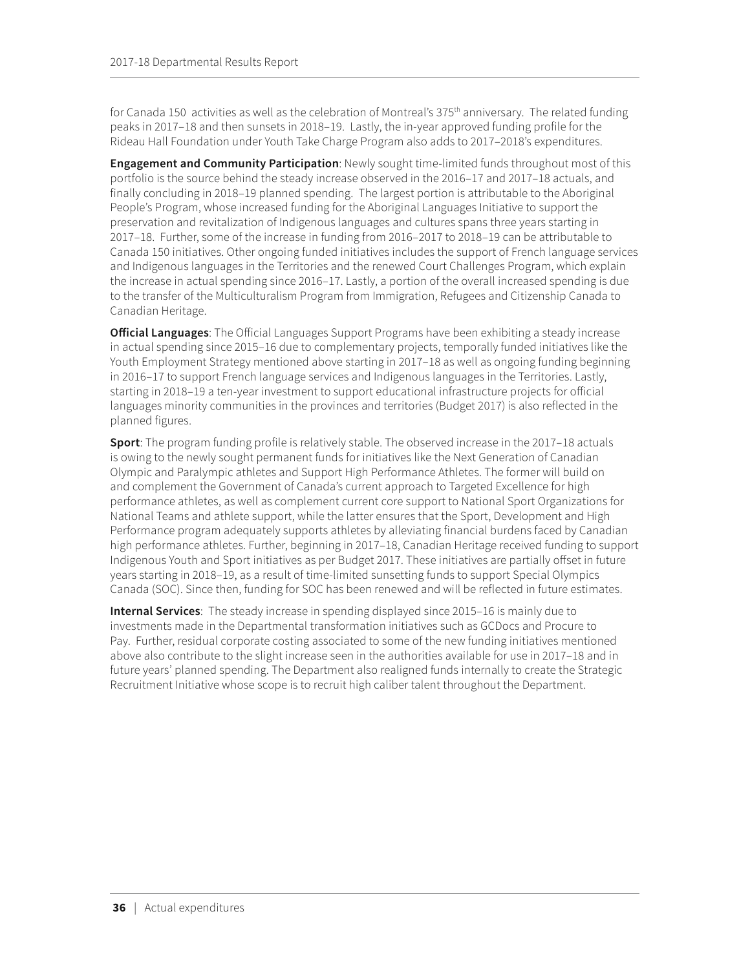for Canada 150 activities as well as the celebration of Montreal's 375<sup>th</sup> anniversary. The related funding peaks in 2017–18 and then sunsets in 2018–19. Lastly, the in-year approved funding profile for the Rideau Hall Foundation under Youth Take Charge Program also adds to 2017–2018's expenditures.

**Engagement and Community Participation**: Newly sought time-limited funds throughout most of this portfolio is the source behind the steady increase observed in the 2016–17 and 2017–18 actuals, and finally concluding in 2018–19 planned spending. The largest portion is attributable to the Aboriginal People's Program, whose increased funding for the Aboriginal Languages Initiative to support the preservation and revitalization of Indigenous languages and cultures spans three years starting in 2017–18. Further, some of the increase in funding from 2016–2017 to 2018–19 can be attributable to Canada 150 initiatives. Other ongoing funded initiatives includes the support of French language services and Indigenous languages in the Territories and the renewed Court Challenges Program, which explain the increase in actual spending since 2016–17. Lastly, a portion of the overall increased spending is due to the transfer of the Multiculturalism Program from Immigration, Refugees and Citizenship Canada to Canadian Heritage.

**Official Languages**: The Official Languages Support Programs have been exhibiting a steady increase in actual spending since 2015–16 due to complementary projects, temporally funded initiatives like the Youth Employment Strategy mentioned above starting in 2017–18 as well as ongoing funding beginning in 2016–17 to support French language services and Indigenous languages in the Territories. Lastly, starting in 2018–19 a ten-year investment to support educational infrastructure projects for official languages minority communities in the provinces and territories (Budget 2017) is also reflected in the planned figures.

**Sport**: The program funding profile is relatively stable. The observed increase in the 2017–18 actuals is owing to the newly sought permanent funds for initiatives like the Next Generation of Canadian Olympic and Paralympic athletes and Support High Performance Athletes. The former will build on and complement the Government of Canada's current approach to Targeted Excellence for high performance athletes, as well as complement current core support to National Sport Organizations for National Teams and athlete support, while the latter ensures that the Sport, Development and High Performance program adequately supports athletes by alleviating financial burdens faced by Canadian high performance athletes. Further, beginning in 2017–18, Canadian Heritage received funding to support Indigenous Youth and Sport initiatives as per Budget 2017. These initiatives are partially offset in future years starting in 2018–19, as a result of time-limited sunsetting funds to support Special Olympics Canada (SOC). Since then, funding for SOC has been renewed and will be reflected in future estimates.

**Internal Services**: The steady increase in spending displayed since 2015–16 is mainly due to investments made in the Departmental transformation initiatives such as GCDocs and Procure to Pay. Further, residual corporate costing associated to some of the new funding initiatives mentioned above also contribute to the slight increase seen in the authorities available for use in 2017–18 and in future years' planned spending. The Department also realigned funds internally to create the Strategic Recruitment Initiative whose scope is to recruit high caliber talent throughout the Department.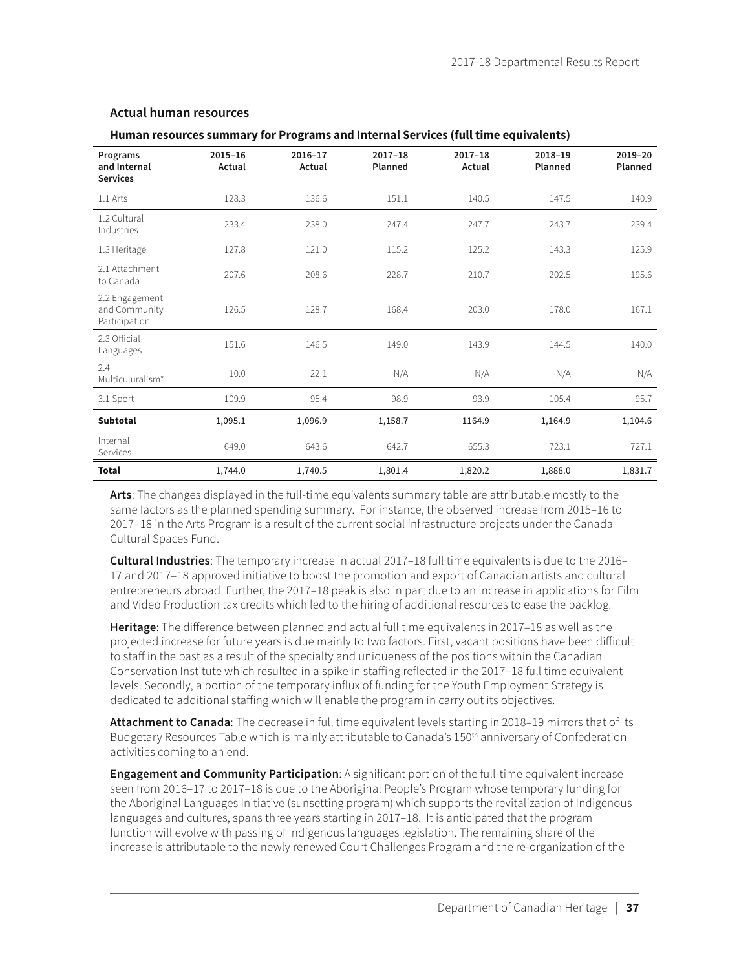| Programs<br>and Internal<br><b>Services</b>      | $2015 - 16$<br>Actual | $2016 - 17$<br>Actual | $2017 - 18$<br>Planned | $2017 - 18$<br>Actual | 2018-19<br>Planned | 2019-20<br>Planned |
|--------------------------------------------------|-----------------------|-----------------------|------------------------|-----------------------|--------------------|--------------------|
| 1.1 Arts                                         | 128.3                 | 136.6                 | 151.1                  | 140.5                 | 147.5              | 140.9              |
| 1.2 Cultural<br>Industries                       | 233.4                 | 238.0                 | 247.4                  | 247.7                 | 243.7              | 239.4              |
| 1.3 Heritage                                     | 127.8                 | 121.0                 | 115.2                  | 125.2                 | 143.3              | 125.9              |
| 2.1 Attachment<br>to Canada                      | 207.6                 | 208.6                 | 228.7                  | 210.7                 | 202.5              | 195.6              |
| 2.2 Engagement<br>and Community<br>Participation | 126.5                 | 128.7                 | 168.4                  | 203.0                 | 178.0              | 167.1              |
| 2.3 Official<br>Languages                        | 151.6                 | 146.5                 | 149.0                  | 143.9                 | 144.5              | 140.0              |
| 2.4<br>Multiculuralism*                          | 10.0                  | 22.1                  | N/A                    | N/A                   | N/A                | N/A                |
| 3.1 Sport                                        | 109.9                 | 95.4                  | 98.9                   | 93.9                  | 105.4              | 95.7               |
| <b>Subtotal</b>                                  | 1,095.1               | 1,096.9               | 1,158.7                | 1164.9                | 1,164.9            | 1,104.6            |
| Internal<br>Services                             | 649.0                 | 643.6                 | 642.7                  | 655.3                 | 723.1              | 727.1              |
| <b>Total</b>                                     | 1,744.0               | 1,740.5               | 1,801.4                | 1,820.2               | 1,888.0            | 1,831.7            |

### <span id="page-41-0"></span>**Actual human resources**

### **Human resources summary for Programs and Internal Services (full time equivalents)**

**Arts**: The changes displayed in the full-time equivalents summary table are attributable mostly to the same factors as the planned spending summary. For instance, the observed increase from 2015–16 to 2017–18 in the Arts Program is a result of the current social infrastructure projects under the Canada Cultural Spaces Fund.

**Cultural Industries**: The temporary increase in actual 2017–18 full time equivalents is due to the 2016– 17 and 2017–18 approved initiative to boost the promotion and export of Canadian artists and cultural entrepreneurs abroad. Further, the 2017–18 peak is also in part due to an increase in applications for Film and Video Production tax credits which led to the hiring of additional resources to ease the backlog.

**Heritage**: The difference between planned and actual full time equivalents in 2017–18 as well as the projected increase for future years is due mainly to two factors. First, vacant positions have been difficult to staff in the past as a result of the specialty and uniqueness of the positions within the Canadian Conservation Institute which resulted in a spike in staffing reflected in the 2017–18 full time equivalent levels. Secondly, a portion of the temporary influx of funding for the Youth Employment Strategy is dedicated to additional staffing which will enable the program in carry out its objectives.

**Attachment to Canada**: The decrease in full time equivalent levels starting in 2018–19 mirrors that of its Budgetary Resources Table which is mainly attributable to Canada's 150<sup>th</sup> anniversary of Confederation activities coming to an end.

**Engagement and Community Participation**: A significant portion of the full-time equivalent increase seen from 2016–17 to 2017–18 is due to the Aboriginal People's Program whose temporary funding for the Aboriginal Languages Initiative (sunsetting program) which supports the revitalization of Indigenous languages and cultures, spans three years starting in 2017–18. It is anticipated that the program function will evolve with passing of Indigenous languages legislation. The remaining share of the increase is attributable to the newly renewed Court Challenges Program and the re-organization of the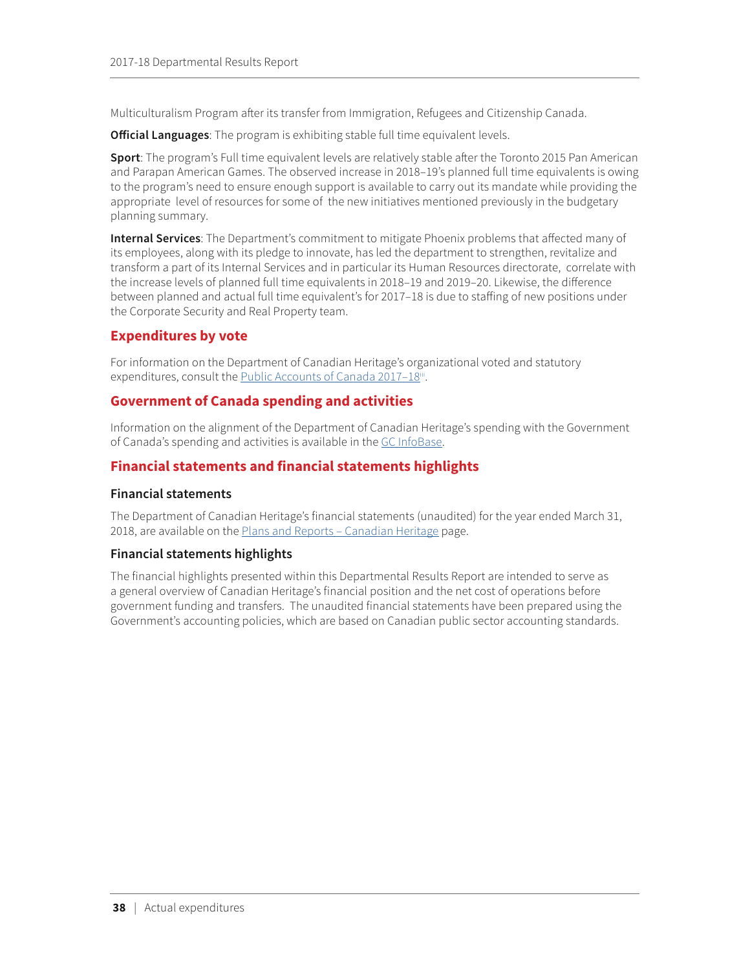<span id="page-42-0"></span>Multiculturalism Program after its transfer from Immigration, Refugees and Citizenship Canada.

**Official Languages**: The program is exhibiting stable full time equivalent levels.

**Sport**: The program's Full time equivalent levels are relatively stable after the Toronto 2015 Pan American and Parapan American Games. The observed increase in 2018–19's planned full time equivalents is owing to the program's need to ensure enough support is available to carry out its mandate while providing the appropriate level of resources for some of the new initiatives mentioned previously in the budgetary planning summary.

**Internal Services**: The Department's commitment to mitigate Phoenix problems that affected many of its employees, along with its pledge to innovate, has led the department to strengthen, revitalize and transform a part of its Internal Services and in particular its Human Resources directorate, correlate with the increase levels of planned full time equivalents in 2018–19 and 2019–20. Likewise, the difference between planned and actual full time equivalent's for 2017–18 is due to staffing of new positions under the Corporate Security and Real Property team.

## **Expenditures by vote**

For information on the Department of Canadian Heritage's organizational voted and statutory expenditures, consult the Public Accounts of Canada 2017-18[iii](#page-53-3).

### **Government of Canada spending and activities**

Information on the alignment of the Department of Canadian Heritage's spending with the Government of Canada's spending and activities is available in the [GC InfoBase](https://www.tbs-sct.gc.ca/ems-sgd/edb-bdd/index-eng.html).

## **Financial statements and financial statements highlights**

### **Financial statements**

The Department of Canadian Heritage's financial statements (unaudited) for the year ended March 31, 2018, are available on the Plans and Reports - Canadian Heritage page.

### **Financial statements highlights**

The financial highlights presented within this Departmental Results Report are intended to serve as a general overview of Canadian Heritage's financial position and the net cost of operations before government funding and transfers. The unaudited financial statements have been prepared using the Government's accounting policies, which are based on Canadian public sector accounting standards.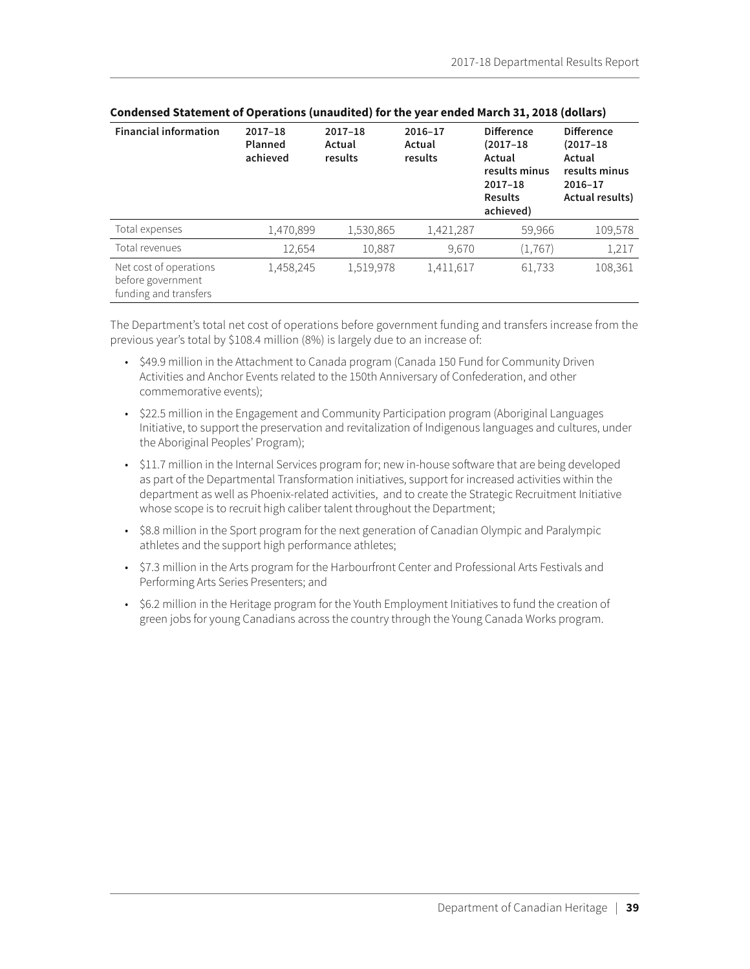| <b>Financial information</b>                                         | $2017 - 18$<br>Planned<br>achieved | $2017 - 18$<br>Actual<br>results | 2016-17<br>Actual<br>results | <b>Difference</b><br>$(2017 - 18)$<br>Actual<br>results minus<br>$2017 - 18$<br><b>Results</b><br>achieved) | <b>Difference</b><br>$(2017 - 18)$<br>Actual<br>results minus<br>2016-17<br>Actual results) |
|----------------------------------------------------------------------|------------------------------------|----------------------------------|------------------------------|-------------------------------------------------------------------------------------------------------------|---------------------------------------------------------------------------------------------|
| Total expenses                                                       | 1,470,899                          | 1,530,865                        | 1,421,287                    | 59,966                                                                                                      | 109,578                                                                                     |
| Total revenues                                                       | 12,654                             | 10,887                           | 9,670                        | (1, 767)                                                                                                    | 1,217                                                                                       |
| Net cost of operations<br>before government<br>funding and transfers | 1,458,245                          | 1,519,978                        | 1,411,617                    | 61,733                                                                                                      | 108,361                                                                                     |

The Department's total net cost of operations before government funding and transfers increase from the previous year's total by \$108.4 million (8%) is largely due to an increase of:

- \$49.9 million in the Attachment to Canada program (Canada 150 Fund for Community Driven Activities and Anchor Events related to the 150th Anniversary of Confederation, and other commemorative events);
- \$22.5 million in the Engagement and Community Participation program (Aboriginal Languages Initiative, to support the preservation and revitalization of Indigenous languages and cultures, under the Aboriginal Peoples' Program);
- \$11.7 million in the Internal Services program for; new in-house software that are being developed as part of the Departmental Transformation initiatives, support for increased activities within the department as well as Phoenix-related activities, and to create the Strategic Recruitment Initiative whose scope is to recruit high caliber talent throughout the Department;
- \$8.8 million in the Sport program for the next generation of Canadian Olympic and Paralympic athletes and the support high performance athletes;
- \$7.3 million in the Arts program for the Harbourfront Center and Professional Arts Festivals and Performing Arts Series Presenters; and
- \$6.2 million in the Heritage program for the Youth Employment Initiatives to fund the creation of green jobs for young Canadians across the country through the Young Canada Works program.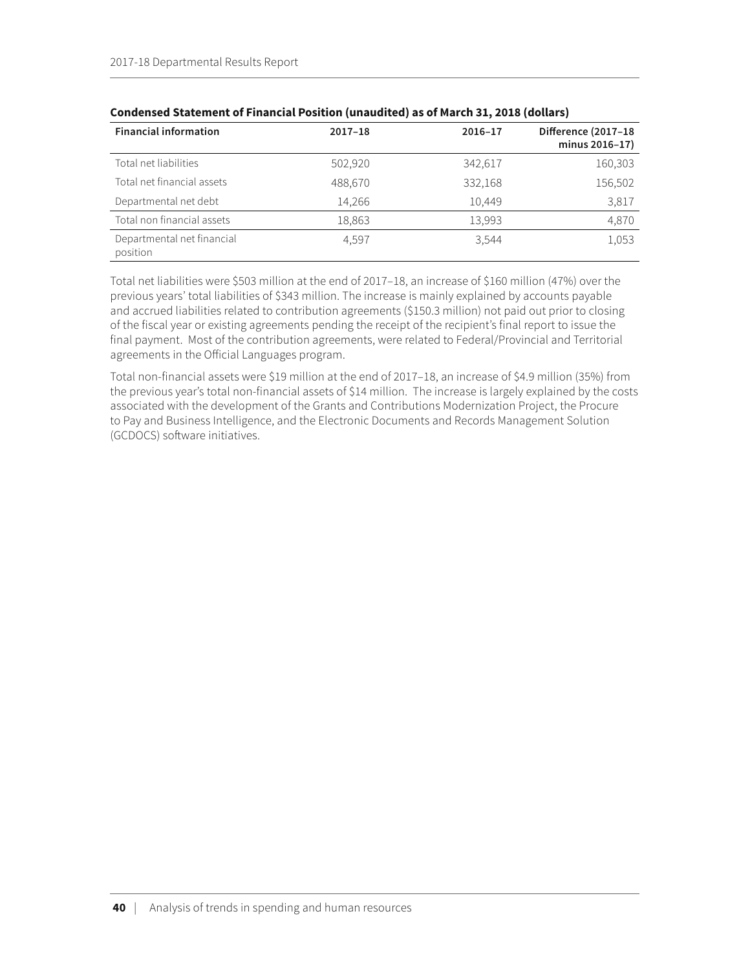| <b>Financial information</b>           | $2017 - 18$ | 2016-17 | Difference (2017-18<br>minus 2016-17) |
|----------------------------------------|-------------|---------|---------------------------------------|
| Total net liabilities                  | 502,920     | 342,617 | 160,303                               |
| Total net financial assets             | 488,670     | 332,168 | 156,502                               |
| Departmental net debt                  | 14,266      | 10,449  | 3,817                                 |
| Total non financial assets             | 18,863      | 13,993  | 4,870                                 |
| Departmental net financial<br>position | 4.597       | 3.544   | 1,053                                 |

### **Condensed Statement of Financial Position (unaudited) as of March 31, 2018 (dollars)**

Total net liabilities were \$503 million at the end of 2017–18, an increase of \$160 million (47%) over the previous years' total liabilities of \$343 million. The increase is mainly explained by accounts payable and accrued liabilities related to contribution agreements (\$150.3 million) not paid out prior to closing of the fiscal year or existing agreements pending the receipt of the recipient's final report to issue the final payment. Most of the contribution agreements, were related to Federal/Provincial and Territorial agreements in the Official Languages program.

Total non-financial assets were \$19 million at the end of 2017–18, an increase of \$4.9 million (35%) from the previous year's total non-financial assets of \$14 million. The increase is largely explained by the costs associated with the development of the Grants and Contributions Modernization Project, the Procure to Pay and Business Intelligence, and the Electronic Documents and Records Management Solution (GCDOCS) software initiatives.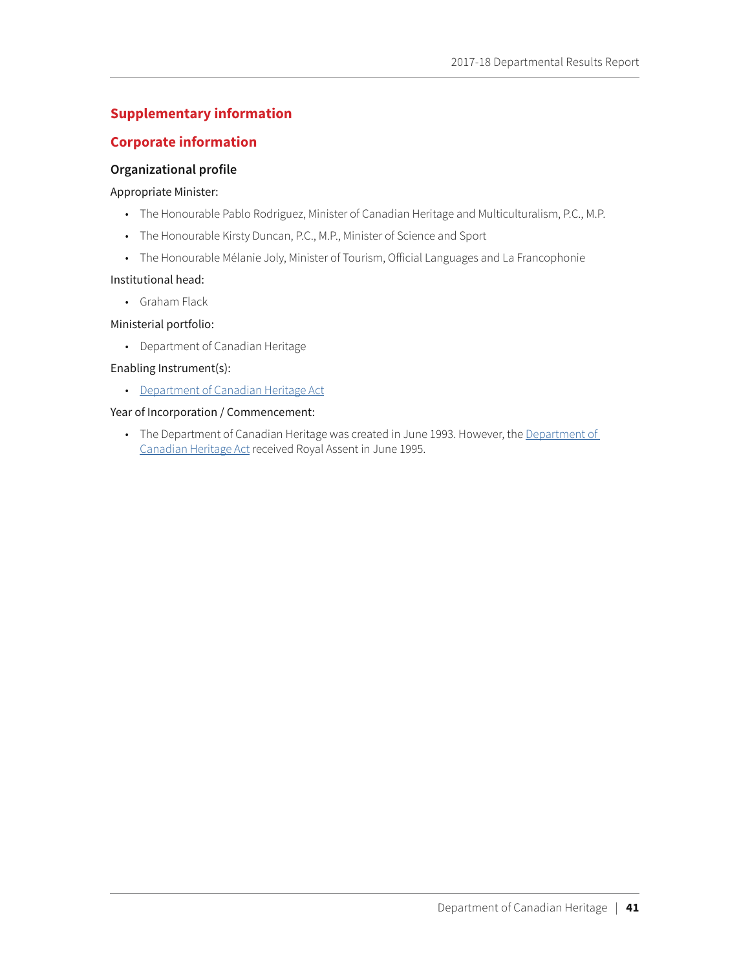## <span id="page-45-0"></span>**Supplementary information**

### **Corporate information**

### **Organizational profile**

#### Appropriate Minister:

- The Honourable Pablo Rodriguez, Minister of Canadian Heritage and Multiculturalism, P.C., M.P.
- The Honourable Kirsty Duncan, P.C., M.P., Minister of Science and Sport
- The Honourable Mélanie Joly, Minister of Tourism, Official Languages and La Francophonie

#### Institutional head:

• Graham Flack

### Ministerial portfolio:

• Department of Canadian Heritage

### Enabling Instrument(s):

• [Department of Canadian Heritage Act](http://laws-lois.justice.gc.ca/eng/acts/C-17.3/)

### Year of Incorporation / Commencement:

• The [Department of](http://laws-lois.justice.gc.ca/eng/acts/C-17.3/) Canadian Heritage was created in June 1993. However, the Department of [Canadian Heritage Act](http://laws-lois.justice.gc.ca/eng/acts/C-17.3/) received Royal Assent in June 1995.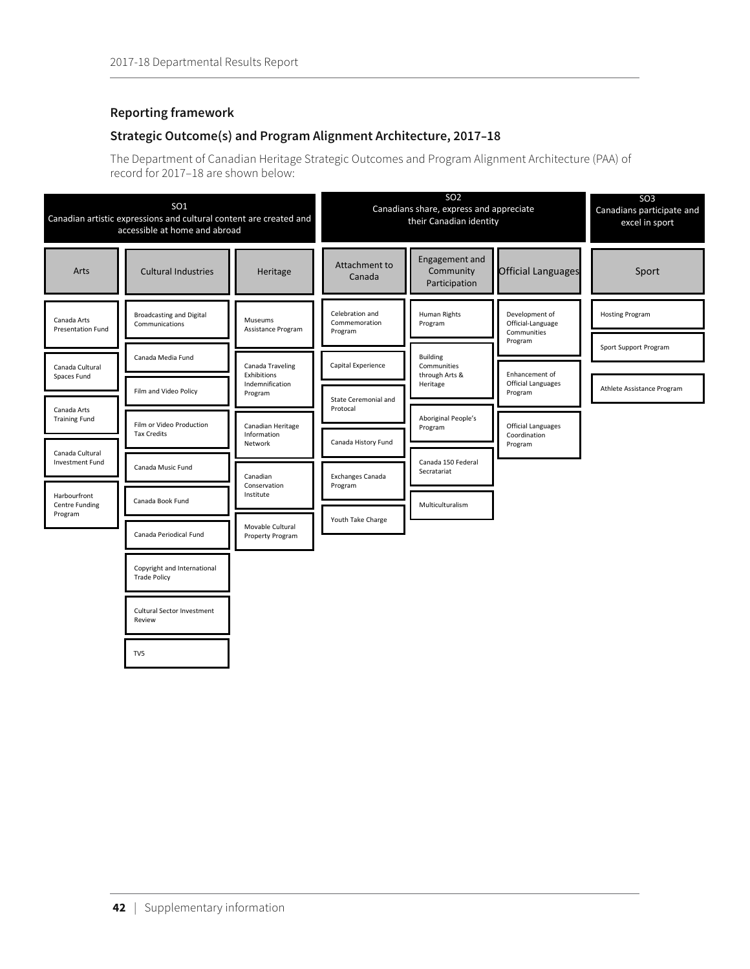### <span id="page-46-0"></span>**Reporting framework**

## **Strategic Outcome(s) and Program Alignment Architecture, 2017–18**

The Department of Canadian Heritage Strategic Outcomes and Program Alignment Architecture (PAA) of record for 2017–18 are shown below:

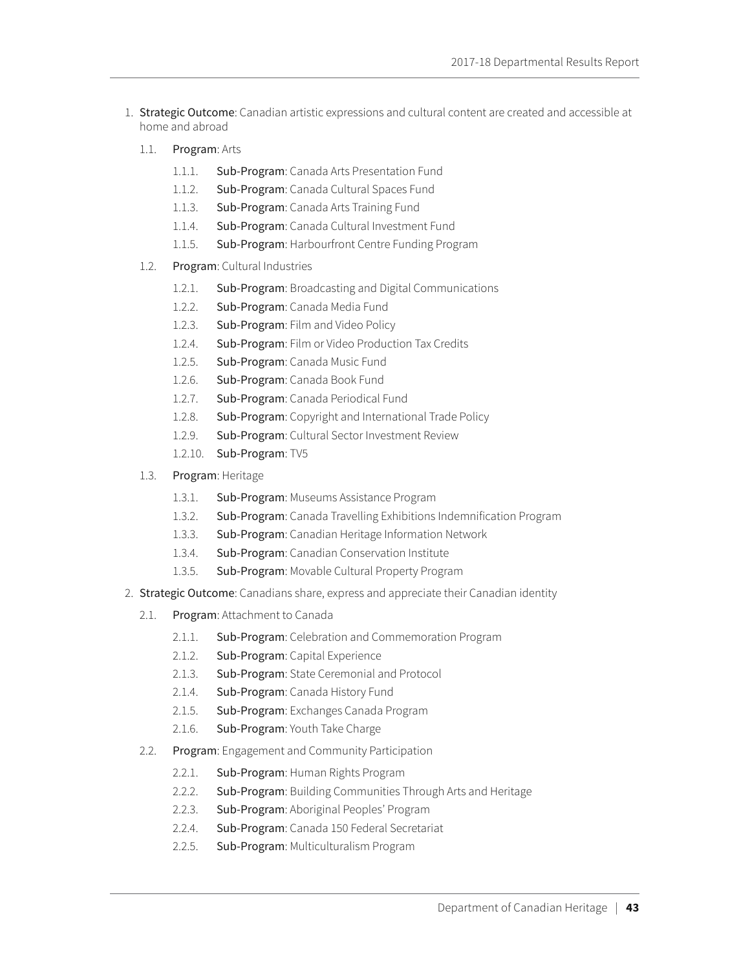- 1. Strategic Outcome: Canadian artistic expressions and cultural content are created and accessible at home and abroad
	- 1.1. Program: Arts
		- 1.1.1. Sub-Program: Canada Arts Presentation Fund
		- 1.1.2. Sub-Program: Canada Cultural Spaces Fund
		- 1.1.3. Sub-Program: Canada Arts Training Fund
		- 1.1.4. Sub-Program: Canada Cultural Investment Fund
		- 1.1.5. Sub-Program: Harbourfront Centre Funding Program
	- 1.2. Program: Cultural Industries
		- 1.2.1. Sub-Program: Broadcasting and Digital Communications
		- 1.2.2. Sub-Program: Canada Media Fund
		- 1.2.3. Sub-Program: Film and Video Policy
		- 1.2.4. Sub-Program: Film or Video Production Tax Credits
		- 1.2.5. Sub-Program: Canada Music Fund
		- 1.2.6. Sub-Program: Canada Book Fund
		- 1.2.7. Sub-Program: Canada Periodical Fund
		- 1.2.8. Sub-Program: Copyright and International Trade Policy
		- 1.2.9. Sub-Program: Cultural Sector Investment Review
		- 1.2.10. Sub-Program: TV5
	- 1.3. Program: Heritage
		- 1.3.1. Sub-Program: Museums Assistance Program
		- 1.3.2. Sub-Program: Canada Travelling Exhibitions Indemnification Program
		- 1.3.3. Sub-Program: Canadian Heritage Information Network
		- 1.3.4. Sub-Program: Canadian Conservation Institute
		- 1.3.5. Sub-Program: Movable Cultural Property Program
- 2. Strategic Outcome: Canadians share, express and appreciate their Canadian identity
	- 2.1. Program: Attachment to Canada
		- 2.1.1. Sub-Program: Celebration and Commemoration Program
		- 2.1.2. Sub-Program: Capital Experience
		- 2.1.3. Sub-Program: State Ceremonial and Protocol
		- 2.1.4. Sub-Program: Canada History Fund
		- 2.1.5. Sub-Program: Exchanges Canada Program
		- 2.1.6. Sub-Program: Youth Take Charge
	- 2.2. Program: Engagement and Community Participation
		- 2.2.1. Sub-Program: Human Rights Program
		- 2.2.2. Sub-Program: Building Communities Through Arts and Heritage
		- 2.2.3. Sub-Program: Aboriginal Peoples' Program
		- 2.2.4. Sub-Program: Canada 150 Federal Secretariat
		- 2.2.5. Sub-Program: Multiculturalism Program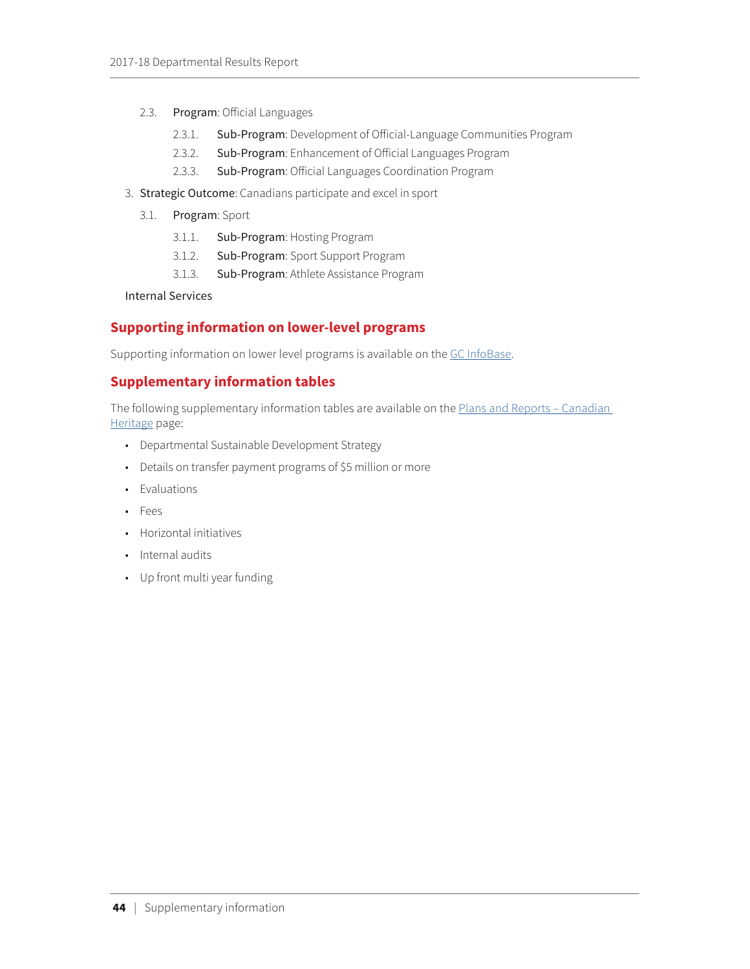- <span id="page-48-0"></span>2.3. Program: Official Languages
	- 2.3.1. Sub-Program: Development of Official-Language Communities Program
	- 2.3.2. Sub-Program: Enhancement of Official Languages Program
	- 2.3.3. Sub-Program: Official Languages Coordination Program
- 3. Strategic Outcome: Canadians participate and excel in sport
	- 3.1. Program: Sport
		- 3.1.1. Sub-Program: Hosting Program
		- 3.1.2. Sub-Program: Sport Support Program
		- 3.1.3. Sub-Program: Athlete Assistance Program

Internal Services

## **Supporting information on lower-level programs**

Supporting information on lower level programs is available on the [GC InfoBase](https://www.tbs-sct.gc.ca/ems-sgd/edb-bdd/index-eng.html).

## **Supplementary information tables**

The following supplementary information tables are available on the Plans and Reports - Canadian [Heritage](https://www.canada.ca/en/canadian-heritage/corporate/publications/plans-reports.html) page:

- Departmental Sustainable Development Strategy
- Details on transfer payment programs of \$5 million or more
- Evaluations
- Fees
- Horizontal initiatives
- Internal audits
- Up front multi year funding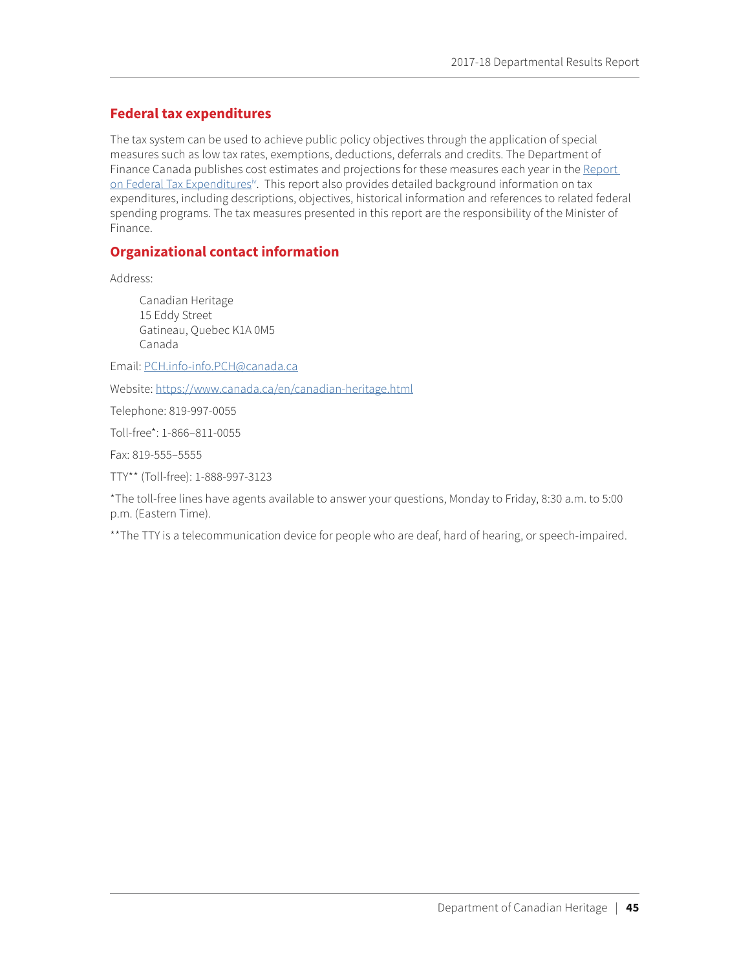## <span id="page-49-0"></span>**Federal tax expenditures**

The tax system can be used to achieve public policy objectives through the application of special measures such as low tax rates, exemptions, deductions, deferrals and credits. The Department of Finance Canada publishes cost estimates and projections for these measures each year in the [Report](http://www.fin.gc.ca/purl/taxexp-eng.asp)  [on Federal Tax Expenditures](http://www.fin.gc.ca/purl/taxexp-eng.asp)<sup>[iv](#page-53-4)</sup>. This report also provides detailed background information on tax expenditures, including descriptions, objectives, historical information and references to related federal spending programs. The tax measures presented in this report are the responsibility of the Minister of Finance.

## **Organizational contact information**

Address:

Canadian Heritage 15 Eddy Street Gatineau, Quebec K1A 0M5 Canada

Email: [PCH.info-info.PCH@canada.ca](mailto:PCH.info-info.PCH@canada.ca)

Website:<https://www.canada.ca/en/canadian-heritage.html>

Telephone: 819-997-0055

Toll-free\*: 1-866–811-0055

Fax: 819-555–5555

TTY\*\* (Toll-free): 1-888-997-3123

\*The toll-free lines have agents available to answer your questions, Monday to Friday, 8:30 a.m. to 5:00 p.m. (Eastern Time).

\*\*The TTY is a telecommunication device for people who are deaf, hard of hearing, or speech-impaired.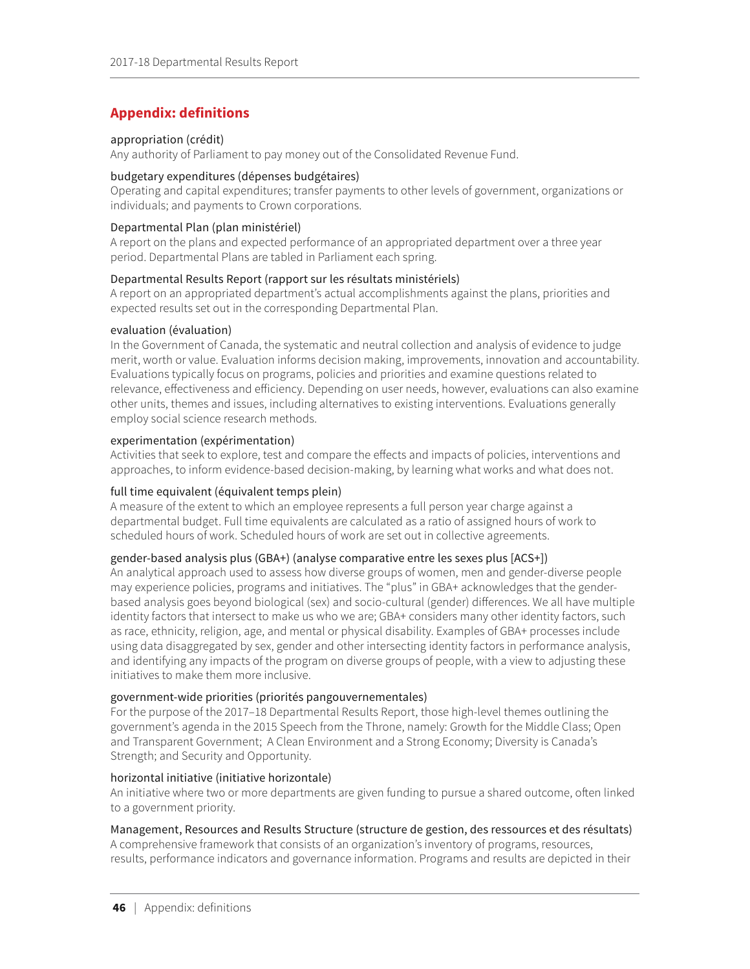## <span id="page-50-0"></span>**Appendix: definitions**

#### appropriation (crédit)

Any authority of Parliament to pay money out of the Consolidated Revenue Fund.

#### budgetary expenditures (dépenses budgétaires)

Operating and capital expenditures; transfer payments to other levels of government, organizations or individuals; and payments to Crown corporations.

### Departmental Plan (plan ministériel)

A report on the plans and expected performance of an appropriated department over a three year period. Departmental Plans are tabled in Parliament each spring.

### Departmental Results Report (rapport sur les résultats ministériels)

A report on an appropriated department's actual accomplishments against the plans, priorities and expected results set out in the corresponding Departmental Plan.

### evaluation (évaluation)

In the Government of Canada, the systematic and neutral collection and analysis of evidence to judge merit, worth or value. Evaluation informs decision making, improvements, innovation and accountability. Evaluations typically focus on programs, policies and priorities and examine questions related to relevance, effectiveness and efficiency. Depending on user needs, however, evaluations can also examine other units, themes and issues, including alternatives to existing interventions. Evaluations generally employ social science research methods.

### experimentation (expérimentation)

Activities that seek to explore, test and compare the effects and impacts of policies, interventions and approaches, to inform evidence-based decision-making, by learning what works and what does not.

### full time equivalent (équivalent temps plein)

A measure of the extent to which an employee represents a full person year charge against a departmental budget. Full time equivalents are calculated as a ratio of assigned hours of work to scheduled hours of work. Scheduled hours of work are set out in collective agreements.

### gender-based analysis plus (GBA+) (analyse comparative entre les sexes plus [ACS+])

An analytical approach used to assess how diverse groups of women, men and gender-diverse people may experience policies, programs and initiatives. The "plus" in GBA+ acknowledges that the genderbased analysis goes beyond biological (sex) and socio-cultural (gender) differences. We all have multiple identity factors that intersect to make us who we are; GBA+ considers many other identity factors, such as race, ethnicity, religion, age, and mental or physical disability. Examples of GBA+ processes include using data disaggregated by sex, gender and other intersecting identity factors in performance analysis, and identifying any impacts of the program on diverse groups of people, with a view to adjusting these initiatives to make them more inclusive.

#### government-wide priorities (priorités pangouvernementales)

For the purpose of the 2017–18 Departmental Results Report, those high-level themes outlining the government's agenda in the 2015 Speech from the Throne, namely: Growth for the Middle Class; Open and Transparent Government; A Clean Environment and a Strong Economy; Diversity is Canada's Strength; and Security and Opportunity.

#### horizontal initiative (initiative horizontale)

An initiative where two or more departments are given funding to pursue a shared outcome, often linked to a government priority.

### Management, Resources and Results Structure (structure de gestion, des ressources et des résultats)

A comprehensive framework that consists of an organization's inventory of programs, resources, results, performance indicators and governance information. Programs and results are depicted in their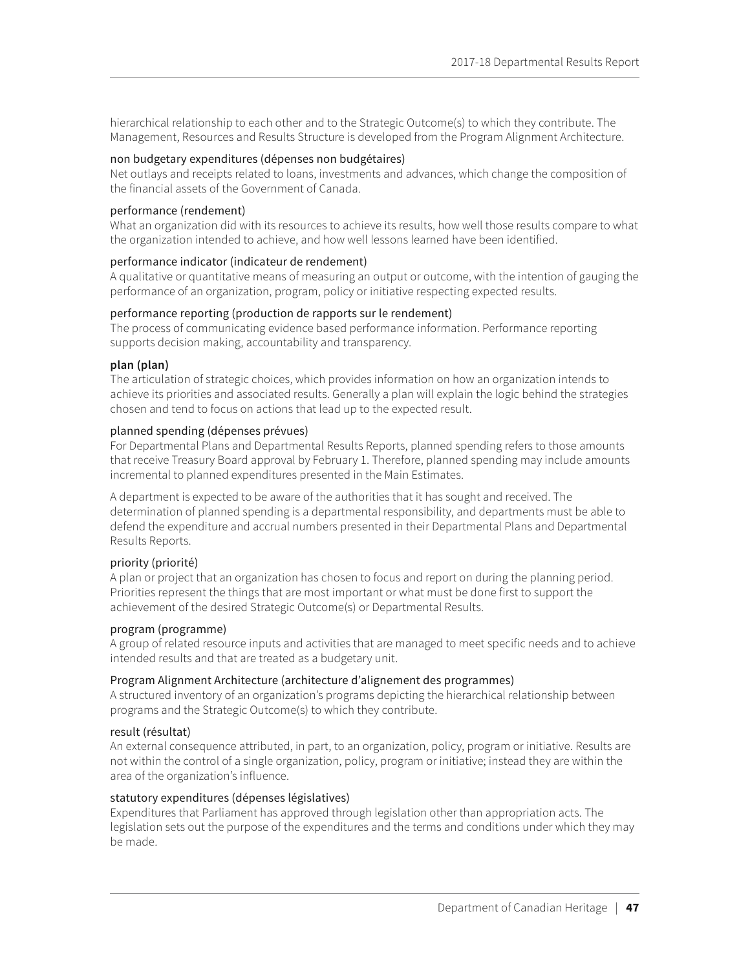hierarchical relationship to each other and to the Strategic Outcome(s) to which they contribute. The Management, Resources and Results Structure is developed from the Program Alignment Architecture.

#### non budgetary expenditures (dépenses non budgétaires)

Net outlays and receipts related to loans, investments and advances, which change the composition of the financial assets of the Government of Canada.

### performance (rendement)

What an organization did with its resources to achieve its results, how well those results compare to what the organization intended to achieve, and how well lessons learned have been identified.

### performance indicator (indicateur de rendement)

A qualitative or quantitative means of measuring an output or outcome, with the intention of gauging the performance of an organization, program, policy or initiative respecting expected results.

### performance reporting (production de rapports sur le rendement)

The process of communicating evidence based performance information. Performance reporting supports decision making, accountability and transparency.

### **plan (plan)**

The articulation of strategic choices, which provides information on how an organization intends to achieve its priorities and associated results. Generally a plan will explain the logic behind the strategies chosen and tend to focus on actions that lead up to the expected result.

### planned spending (dépenses prévues)

For Departmental Plans and Departmental Results Reports, planned spending refers to those amounts that receive Treasury Board approval by February 1. Therefore, planned spending may include amounts incremental to planned expenditures presented in the Main Estimates.

A department is expected to be aware of the authorities that it has sought and received. The determination of planned spending is a departmental responsibility, and departments must be able to defend the expenditure and accrual numbers presented in their Departmental Plans and Departmental Results Reports.

### priority (priorité)

A plan or project that an organization has chosen to focus and report on during the planning period. Priorities represent the things that are most important or what must be done first to support the achievement of the desired Strategic Outcome(s) or Departmental Results.

#### program (programme)

A group of related resource inputs and activities that are managed to meet specific needs and to achieve intended results and that are treated as a budgetary unit.

### Program Alignment Architecture (architecture d'alignement des programmes)

A structured inventory of an organization's programs depicting the hierarchical relationship between programs and the Strategic Outcome(s) to which they contribute.

### result (résultat)

An external consequence attributed, in part, to an organization, policy, program or initiative. Results are not within the control of a single organization, policy, program or initiative; instead they are within the area of the organization's influence.

### statutory expenditures (dépenses législatives)

Expenditures that Parliament has approved through legislation other than appropriation acts. The legislation sets out the purpose of the expenditures and the terms and conditions under which they may be made.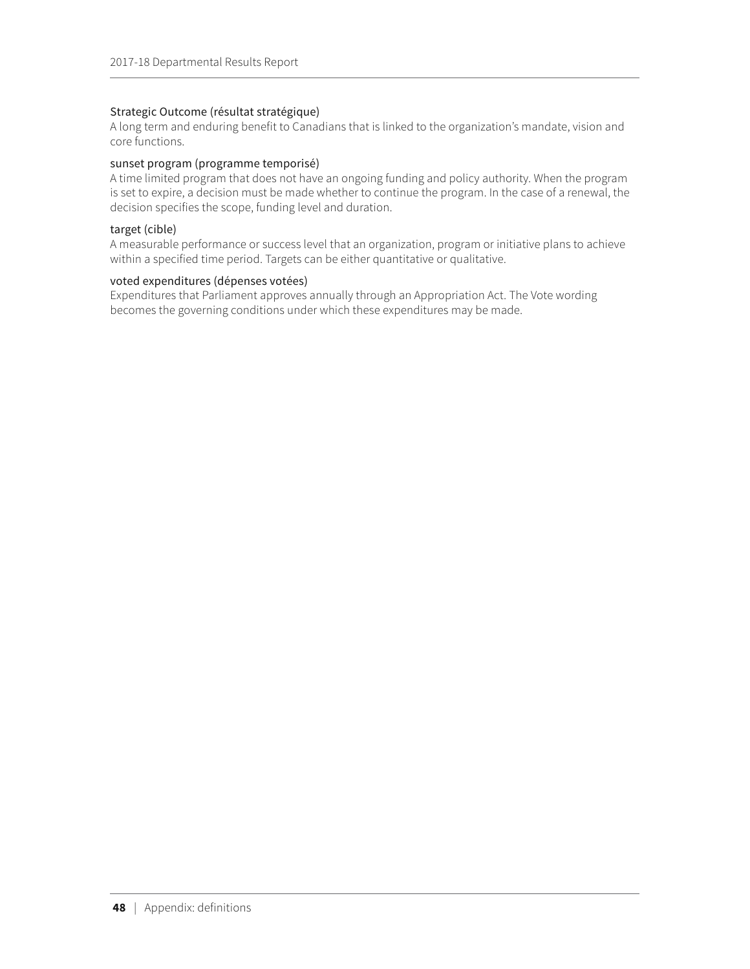### Strategic Outcome (résultat stratégique)

A long term and enduring benefit to Canadians that is linked to the organization's mandate, vision and core functions.

#### sunset program (programme temporisé)

A time limited program that does not have an ongoing funding and policy authority. When the program is set to expire, a decision must be made whether to continue the program. In the case of a renewal, the decision specifies the scope, funding level and duration.

#### target (cible)

A measurable performance or success level that an organization, program or initiative plans to achieve within a specified time period. Targets can be either quantitative or qualitative.

#### voted expenditures (dépenses votées)

Expenditures that Parliament approves annually through an Appropriation Act. The Vote wording becomes the governing conditions under which these expenditures may be made.